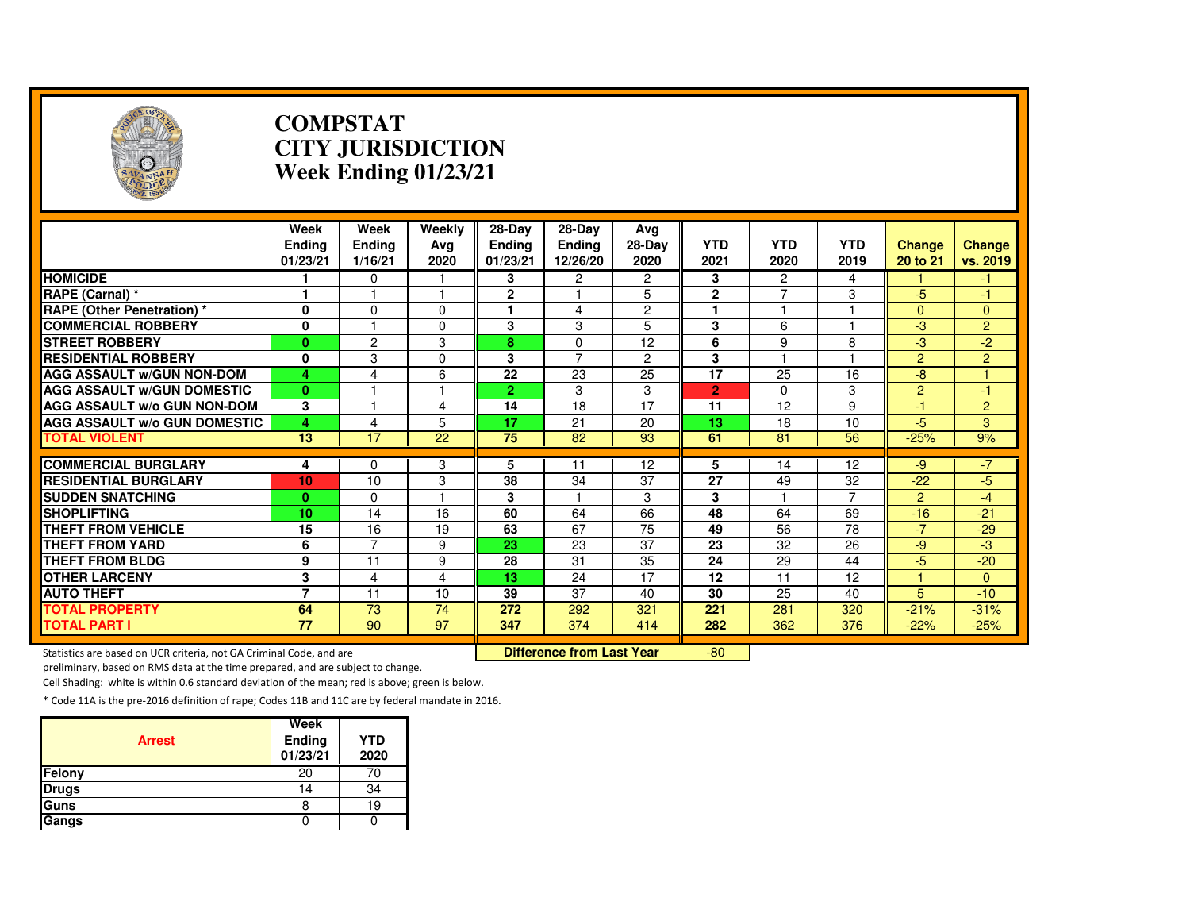

#### **COMPSTAT CITY JURISDICTIONWeek Ending 01/23/21**

|                                                                     | Week<br><b>Ending</b><br>01/23/21 | Week<br>Ending<br>1/16/21 | Weekly<br>Avg<br>2020 | 28-Day<br><b>Endina</b><br>01/23/21 | 28-Day<br>Ending<br>12/26/20 | Avg<br>28-Day<br>2020 | <b>YTD</b><br>2021 | <b>YTD</b><br>2020 | <b>YTD</b><br>2019 | <b>Change</b><br>20 to 21 | <b>Change</b><br>vs. 2019 |
|---------------------------------------------------------------------|-----------------------------------|---------------------------|-----------------------|-------------------------------------|------------------------------|-----------------------|--------------------|--------------------|--------------------|---------------------------|---------------------------|
| <b>HOMICIDE</b>                                                     |                                   | 0                         | 1                     | 3                                   | $\overline{2}$               | $\overline{2}$        | 3                  | $\overline{2}$     | 4                  |                           | -1.                       |
| RAPE (Carnal) *                                                     | $\mathbf{1}$                      |                           | 1                     | $\mathbf{2}$                        |                              | 5                     | $\overline{2}$     | $\overline{7}$     | 3                  | $-5$                      | $-1$                      |
| <b>RAPE (Other Penetration)</b> *                                   | $\mathbf 0$                       | 0                         | 0                     |                                     | 4                            | $\overline{c}$        |                    | 1                  |                    | $\Omega$                  | $\mathbf{0}$              |
| <b>COMMERCIAL ROBBERY</b>                                           | $\mathbf 0$                       |                           | $\mathbf{0}$          | 3                                   | 3                            | 5                     | 3                  | 6                  |                    | $-3$                      | $\overline{2}$            |
| <b>STREET ROBBERY</b>                                               | $\mathbf{0}$                      | $\overline{c}$            | 3                     | 8                                   | $\Omega$                     | 12                    | 6                  | 9                  | 8                  | $-3$                      | $-2$                      |
| <b>RESIDENTIAL ROBBERY</b>                                          | $\mathbf{0}$                      | 3                         | $\Omega$              | 3                                   | $\overline{7}$               | 2                     | 3                  | $\overline{1}$     |                    | $\overline{2}$            | $\overline{2}$            |
| <b>AGG ASSAULT W/GUN NON-DOM</b>                                    | 4                                 | 4                         | 6                     | 22                                  | 23                           | 25                    | $\overline{17}$    | 25                 | 16                 | $-8$                      |                           |
| <b>AGG ASSAULT W/GUN DOMESTIC</b>                                   | $\bf{0}$                          |                           |                       | $\overline{2}$                      | 3                            | 3                     | $\overline{2}$     | $\mathbf 0$        | 3                  | $\overline{2}$            | $-1$                      |
| <b>AGG ASSAULT W/o GUN NON-DOM</b>                                  | 3                                 |                           | 4                     | 14                                  | 18                           | 17                    | 11                 | 12                 | 9                  | $-1$                      | 2                         |
| <b>AGG ASSAULT w/o GUN DOMESTIC</b>                                 | 4                                 | 4                         | 5                     | 17                                  | 21                           | 20                    | 13                 | 18                 | 10                 | $-5$                      | 3                         |
| <b>TOTAL VIOLENT</b>                                                | $\overline{13}$                   | 17                        | 22                    | 75                                  | 82                           | 93                    | 61                 | 81                 | 56                 | $-25%$                    | 9%                        |
| <b>COMMERCIAL BURGLARY</b>                                          | 4                                 | $\Omega$                  | 3                     | 5                                   | 11                           | 12                    | 5                  | 14                 | 12                 | $-9$                      | $-7$                      |
| <b>RESIDENTIAL BURGLARY</b>                                         | 10                                | 10                        | 3                     | 38                                  | 34                           | 37                    | $\overline{27}$    | 49                 | 32                 | $-22$                     | $-5$                      |
| <b>SUDDEN SNATCHING</b>                                             | $\bf{0}$                          | $\Omega$                  |                       | 3                                   |                              | 3                     | 3                  |                    | $\overline{7}$     | $\overline{2}$            | $-4$                      |
| <b>SHOPLIFTING</b>                                                  | 10                                | 14                        | 16                    | 60                                  | 64                           | 66                    | 48                 | 64                 | 69                 | $-16$                     | $-21$                     |
| <b>THEFT FROM VEHICLE</b>                                           | 15                                | 16                        | 19                    | 63                                  | 67                           | 75                    | 49                 | 56                 | 78                 | $-7$                      | $-29$                     |
| <b>THEFT FROM YARD</b>                                              | 6                                 | $\overline{7}$            | 9                     | 23                                  | $\overline{23}$              | $\overline{37}$       | 23                 | 32                 | 26                 | $-9$                      | $-3$                      |
| <b>THEFT FROM BLDG</b>                                              | 9                                 | 11                        | 9                     | 28                                  | 31                           | 35                    | 24                 | 29                 | 44                 | $-5$                      | $-20$                     |
| <b>OTHER LARCENY</b>                                                | 3                                 | 4                         | 4                     | 13                                  | 24                           | 17                    | 12                 | 11                 | 12                 |                           | $\Omega$                  |
| <b>AUTO THEFT</b>                                                   | $\overline{7}$                    | 11                        | 10                    | 39                                  | 37                           | 40                    | 30                 | 25                 | 40                 | 5                         | $-10$                     |
| <b>TOTAL PROPERTY</b>                                               | 64                                | 73                        | 74                    | 272                                 | 292                          | 321                   | 221                | 281                | 320                | $-21%$                    | $-31%$                    |
| <b>TOTAL PART I</b>                                                 | 77                                | 90                        | 97                    | 347                                 | 374                          | 414                   | 282                | 362                | 376                | $-22%$                    | $-25%$                    |
| Statistics are based on UCR criteria, not GA Criminal Code, and are |                                   | Difference from Last Year |                       | $-80$                               |                              |                       |                    |                    |                    |                           |                           |

Statistics are based on UCR criteria, not GA Criminal Code, and are **Difference from Last Year** 

preliminary, based on RMS data at the time prepared, and are subject to change.

Cell Shading: white is within 0.6 standard deviation of the mean; red is above; green is below.

| <b>Arrest</b> | Week<br>Ending<br>01/23/21 | <b>YTD</b><br>2020 |
|---------------|----------------------------|--------------------|
| Felony        | 20                         | 70                 |
| <b>Drugs</b>  | 14                         | 34                 |
| Guns          | 8                          | 19                 |
| Gangs         |                            |                    |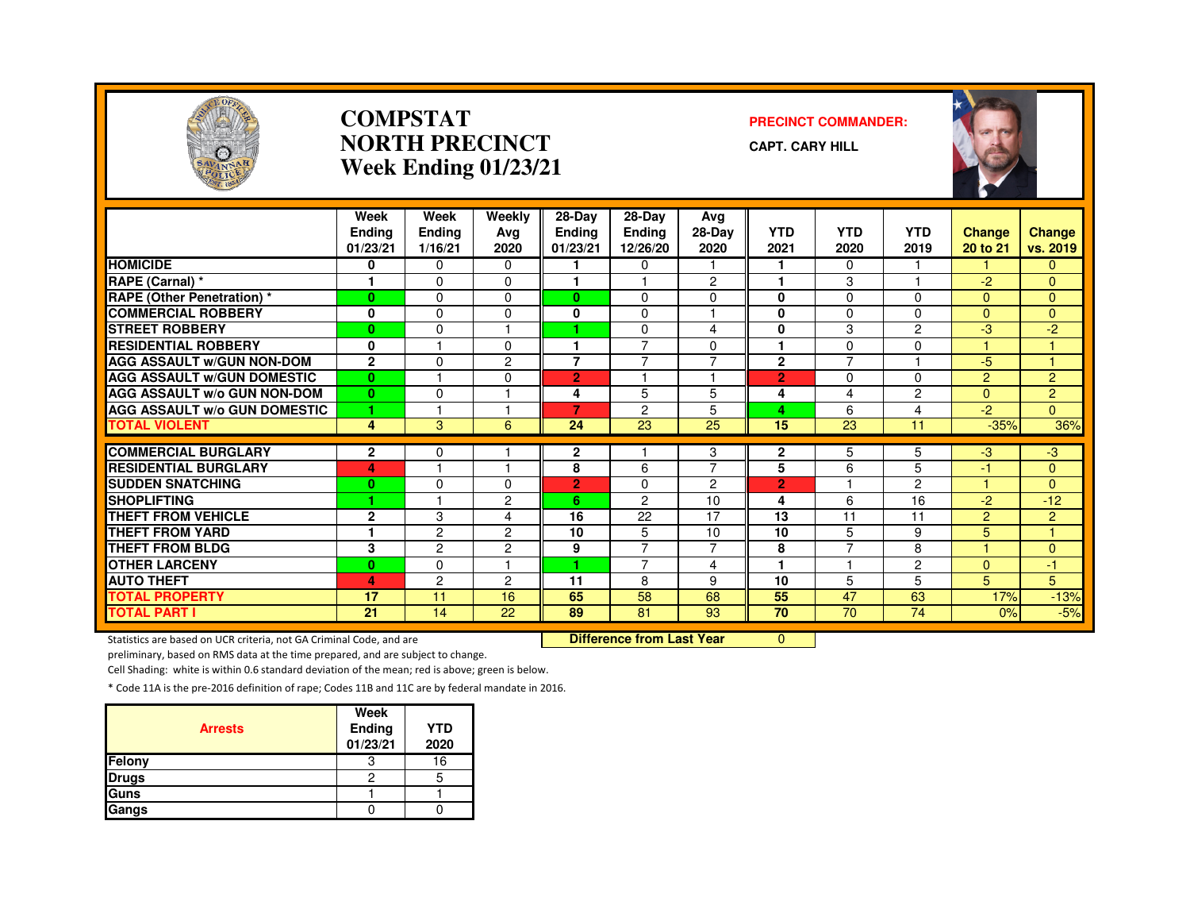

#### **COMPSTATNORTH PRECINCTWeek Ending 01/23/21**

#### **PRECINCT COMMANDER:**

**CAPT. CARY HILL**



|                                     | Week<br><b>Ending</b><br>01/23/21 | Week<br><b>Ending</b><br>1/16/21 | Weekly<br>Ava<br>2020 | 28-Day<br><b>Ending</b><br>01/23/21 | 28-Day<br><b>Ending</b><br>12/26/20 | Avg<br>28-Day<br>2020   | <b>YTD</b><br>2021 | <b>YTD</b><br>2020  | <b>YTD</b><br>2019 | <b>Change</b><br>20 to 21 | Change<br>vs. 2019  |
|-------------------------------------|-----------------------------------|----------------------------------|-----------------------|-------------------------------------|-------------------------------------|-------------------------|--------------------|---------------------|--------------------|---------------------------|---------------------|
| <b>HOMICIDE</b>                     | 0                                 | $\Omega$                         | $\Omega$              |                                     | $\mathbf{0}$                        |                         | 1                  | $\mathbf{0}$        |                    |                           | $\Omega$            |
| RAPE (Carnal) *                     | 1                                 | $\Omega$                         | $\Omega$              | 1                                   | ٠                                   | $\overline{2}$          | 1                  | 3                   |                    | $-2^{2}$                  | $\Omega$            |
| RAPE (Other Penetration) *          | $\bf{0}$                          | $\Omega$                         | 0                     | $\bf{0}$                            | $\Omega$                            | $\Omega$                | 0                  | $\Omega$            | $\Omega$           | $\Omega$                  | $\Omega$            |
| <b>COMMERCIAL ROBBERY</b>           | 0                                 | $\Omega$                         | $\Omega$              | 0                                   | $\Omega$                            |                         | 0                  | $\Omega$            | $\Omega$           | $\Omega$                  | $\overline{0}$      |
| <b>STREET ROBBERY</b>               | $\bf{0}$                          | $\mathbf 0$                      |                       |                                     | $\mathbf 0$                         | $\overline{4}$          | 0                  | 3                   | $\overline{c}$     | -3                        | $-2$                |
| <b>RESIDENTIAL ROBBERY</b>          | $\bf{0}$                          |                                  | $\Omega$              |                                     | $\overline{ }$                      | $\Omega$                | ۴                  | $\Omega$            | $\Omega$           |                           |                     |
| <b>AGG ASSAULT w/GUN NON-DOM</b>    | $\overline{2}$                    | $\Omega$                         | 2                     | $\overline{7}$                      | $\overline{7}$                      | $\overline{7}$          | $\overline{2}$     | $\overline{7}$      |                    | $-5$                      | ٠                   |
| <b>AGG ASSAULT W/GUN DOMESTIC</b>   | $\bf{0}$                          |                                  | 0                     | $\overline{2}$                      |                                     | $\overline{\mathbf{A}}$ | $\overline{2}$     | $\Omega$            | $\Omega$           | $\overline{2}$            | $\overline{2}$      |
| <b>AGG ASSAULT W/o GUN NON-DOM</b>  | $\mathbf{0}$                      | $\Omega$                         |                       | 4                                   | 5                                   | 5                       | 4                  | 4                   | $\overline{2}$     | $\Omega$                  | $\overline{2}$      |
| <b>AGG ASSAULT W/o GUN DOMESTIC</b> | ۴                                 |                                  |                       | 7                                   | 2                                   | 5                       | 4                  | 6                   | 4                  | $-2$                      | $\Omega$            |
| <b>TOTAL VIOLENT</b>                | 4                                 | 3                                | 6                     | 24                                  | 23                                  | 25                      | 15                 | 23                  | 11                 | $-35%$                    | 36%                 |
|                                     |                                   |                                  |                       |                                     |                                     |                         |                    |                     |                    |                           |                     |
| <b>COMMERCIAL BURGLARY</b>          | 2                                 | 0                                |                       | 2                                   |                                     | 3<br>$\overline{7}$     | $\mathbf{2}$       | 5                   | 5                  | $-3$                      | $-3$                |
| <b>RESIDENTIAL BURGLARY</b>         | 4                                 |                                  |                       | 8                                   | 6                                   |                         | 5                  | 6                   | 5                  | $-1$                      | $\overline{0}$      |
| <b>SUDDEN SNATCHING</b>             | $\bf{0}$<br>и                     | $\Omega$                         | 0                     | 2                                   | $\Omega$                            | 2                       | $\overline{2}$     |                     | $\overline{c}$     |                           | $\Omega$            |
| <b>SHOPLIFTING</b>                  |                                   |                                  | $\overline{2}$        | 6                                   | $\overline{c}$                      | 10<br>17                | 4                  | 6                   | 16                 | $-2$                      | $-12$               |
| <b>THEFT FROM VEHICLE</b>           | $\overline{2}$                    | 3                                | 4                     | 16                                  | 22                                  |                         | 13                 | 11                  | 11                 | $\overline{2}$            | $\overline{2}$<br>H |
| <b>THEFT FROM YARD</b>              | 1                                 | $\overline{c}$                   | $\overline{c}$        | 10                                  | 5                                   | 10                      | 10                 | 5<br>$\overline{7}$ | 9                  | 5<br>4.                   |                     |
| <b>THEFT FROM BLDG</b>              | 3                                 | $\mathcal{P}$                    | $\overline{2}$        | 9                                   | $\overline{7}$                      | $\overline{7}$          | 8                  |                     | 8                  |                           | $\Omega$            |
| <b>OTHER LARCENY</b>                | $\bf{0}$                          | $\Omega$                         |                       | 4.                                  | $\overline{7}$                      | 4                       | 1                  |                     | $\overline{2}$     | $\Omega$                  | -1                  |
| <b>AUTO THEFT</b>                   | 4                                 | $\overline{c}$                   | $\overline{2}$        | 11                                  | 8                                   | 9                       | 10                 | 5                   | 5                  | 5                         | 5                   |
| <b>TOTAL PROPERTY</b>               | 17                                | 11                               | 16                    | 65                                  | 58                                  | 68                      | 55                 | 47                  | 63                 | 17%                       | $-13%$              |
| TOTAL PART I                        | $\overline{21}$                   | 14                               | 22                    | 89                                  | $\overline{81}$                     | 93                      | $\overline{70}$    | $\overline{70}$     | 74                 | 0%                        | $-5%$               |

Statistics are based on UCR criteria, not GA Criminal Code, and are **Difference from Last Year** 

 $\overline{0}$ 

preliminary, based on RMS data at the time prepared, and are subject to change.

Cell Shading: white is within 0.6 standard deviation of the mean; red is above; green is below.

| <b>Arrests</b> | Week<br><b>Ending</b><br>01/23/21 | <b>YTD</b><br>2020 |
|----------------|-----------------------------------|--------------------|
| Felony         |                                   | 16                 |
| <b>Drugs</b>   | 2                                 |                    |
| Guns           |                                   |                    |
| Gangs          |                                   |                    |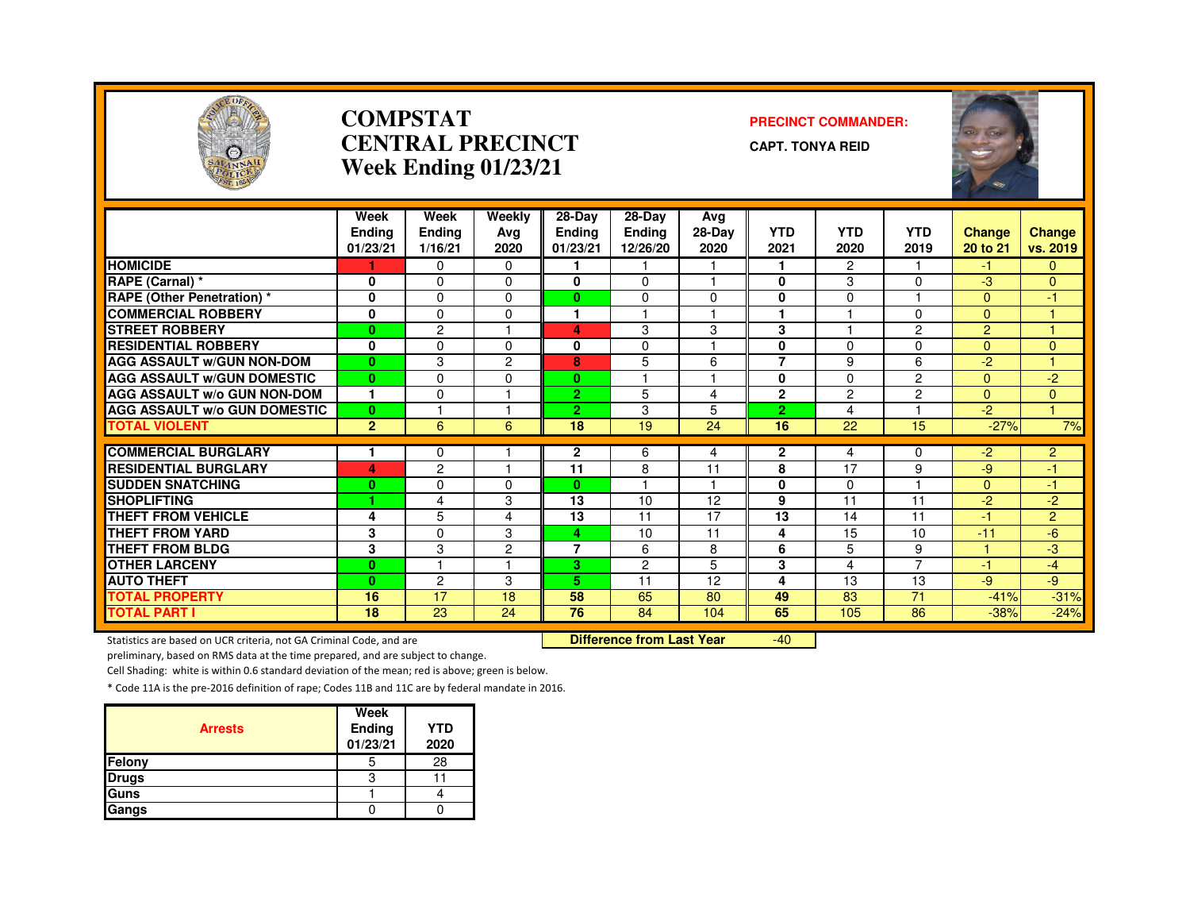

#### **COMPSTATCENTRAL PRECINCTWeek Ending 01/23/21**

#### **PRECINCT COMMANDER:**

**CAPT. TONYA REID**



|                                     | Week<br><b>Ending</b><br>01/23/21 | Week<br><b>Ending</b><br>1/16/21 | Weekly<br>Ava<br>2020 | 28-Day<br><b>Ending</b><br>01/23/21 | 28-Day<br><b>Ending</b><br>12/26/20 | Avg<br>28-Day<br>2020 | <b>YTD</b><br>2021 | <b>YTD</b><br>2020 | <b>YTD</b><br>2019 | <b>Change</b><br>20 to 21 | <b>Change</b><br>vs. 2019 |
|-------------------------------------|-----------------------------------|----------------------------------|-----------------------|-------------------------------------|-------------------------------------|-----------------------|--------------------|--------------------|--------------------|---------------------------|---------------------------|
| <b>HOMICIDE</b>                     |                                   | $\Omega$                         | $\Omega$              |                                     |                                     |                       | 1                  | $\overline{2}$     |                    | -1.                       | $\Omega$                  |
| RAPE (Carnal) *                     | 0                                 | $\Omega$                         | 0                     | 0                                   | $\Omega$                            |                       | 0                  | 3                  | $\Omega$           | $-3$                      | $\overline{0}$            |
| <b>RAPE (Other Penetration) *</b>   | $\bf{0}$                          | $\Omega$                         | 0                     | $\bf{0}$                            | $\Omega$                            | $\Omega$              | 0                  | $\Omega$           |                    | $\Omega$                  | -1                        |
| <b>COMMERCIAL ROBBERY</b>           | 0                                 | $\Omega$                         | $\Omega$              | 1                                   |                                     |                       | $\overline{1}$     |                    | $\Omega$           | $\Omega$                  |                           |
| <b>STREET ROBBERY</b>               | $\bf{0}$                          | 2                                |                       | 4                                   | 3                                   | 3                     | 3                  |                    | 2                  | $\overline{2}$            | 4                         |
| <b>RESIDENTIAL ROBBERY</b>          | $\bf{0}$                          | $\Omega$                         | $\Omega$              | 0                                   | $\Omega$                            |                       | 0                  | $\Omega$           | $\Omega$           | $\Omega$                  | $\Omega$                  |
| <b>AGG ASSAULT W/GUN NON-DOM</b>    | $\bf{0}$                          | 3                                | $\overline{2}$        | 8                                   | 5                                   | 6                     | $\overline{7}$     | 9                  | 6                  | $-2$                      | $\blacktriangleleft$      |
| <b>AGG ASSAULT W/GUN DOMESTIC</b>   | $\bf{0}$                          | $\Omega$                         | 0                     | $\bf{0}$                            |                                     |                       | 0                  | $\mathbf{0}$       | $\overline{2}$     | $\Omega$                  | $-2$                      |
| <b>AGG ASSAULT W/o GUN NON-DOM</b>  | 1                                 | $\Omega$                         |                       | $\overline{2}$                      | 5                                   | 4                     | $\mathbf{2}$       | 2                  | $\overline{2}$     | $\Omega$                  | $\overline{0}$            |
| <b>AGG ASSAULT w/o GUN DOMESTIC</b> | $\bf{0}$                          |                                  |                       | $\overline{2}$                      | 3                                   | 5                     | $\overline{2}$     | 4                  |                    | $-2$                      | и                         |
| <b>TOTAL VIOLENT</b>                | $\overline{2}$                    | 6                                | 6                     | 18                                  | 19                                  | 24                    | 16                 | 22                 | 15                 | $-27%$                    | 7%                        |
|                                     |                                   |                                  |                       |                                     |                                     |                       |                    |                    |                    |                           |                           |
| <b>COMMERCIAL BURGLARY</b>          | 1                                 | $\Omega$                         |                       | $\mathbf{2}$                        | 6                                   | 4                     | $\mathbf{2}$       | 4                  | $\Omega$           | $-2$                      | $\overline{2}$            |
| <b>RESIDENTIAL BURGLARY</b>         | 4                                 | $\overline{c}$                   |                       | 11                                  | 8                                   | 11                    | 8                  | 17                 | 9                  | $-9$                      | -1                        |
| <b>SUDDEN SNATCHING</b>             | $\bf{0}$                          | $\Omega$                         | 0                     | $\mathbf{0}$                        |                                     |                       | 0                  | $\Omega$           |                    | $\Omega$                  | -1                        |
| <b>SHOPLIFTING</b>                  | 1                                 | 4                                | 3                     | 13                                  | 10                                  | 12                    | 9                  | 11                 | 11                 | $-2$                      | $-2$                      |
| <b>THEFT FROM VEHICLE</b>           | 4                                 | 5                                | 4                     | 13                                  | 11                                  | 17                    | 13                 | 14                 | 11                 | $-1$                      | $\overline{2}$            |
| <b>THEFT FROM YARD</b>              | 3                                 | $\Omega$                         | 3                     | 4                                   | 10                                  | 11                    | 4                  | 15                 | 10                 | $-11$                     | $-6$                      |
| <b>THEFT FROM BLDG</b>              | 3                                 | 3                                | 2                     | $\overline{7}$                      | 6                                   | 8                     | 6                  | 5                  | 9                  |                           | -3                        |
| <b>OTHER LARCENY</b>                | $\bf{0}$                          |                                  |                       | 3.                                  | 2                                   | 5                     | 3                  | 4                  | $\overline{ }$     | $-1$                      | $-4$                      |
| <b>AUTO THEFT</b>                   | $\bf{0}$                          | $\overline{c}$                   | 3                     | 5.                                  | 11                                  | 12                    | 4                  | 13                 | 13                 | $-9$                      | $-9$                      |
| <b>TOTAL PROPERTY</b>               | 16                                | 17                               | 18                    | 58                                  | 65                                  | 80                    | 49                 | 83                 | 71                 | $-41%$                    | $-31%$                    |
| <b>TOTAL PART I</b>                 | 18                                | 23                               | 24                    | 76                                  | 84                                  | 104                   | 65                 | 105                | 86                 | $-38%$                    | $-24%$                    |

Statistics are based on UCR criteria, not GA Criminal Code, and are **Difference from Last Year** 

 $-40$ 

preliminary, based on RMS data at the time prepared, and are subject to change.

Cell Shading: white is within 0.6 standard deviation of the mean; red is above; green is below.

| <b>Arrests</b> | Week<br>Ending<br>01/23/21 | <b>YTD</b><br>2020 |
|----------------|----------------------------|--------------------|
| Felony         | 5                          | 28                 |
| <b>Drugs</b>   |                            |                    |
| Guns           |                            |                    |
| Gangs          |                            |                    |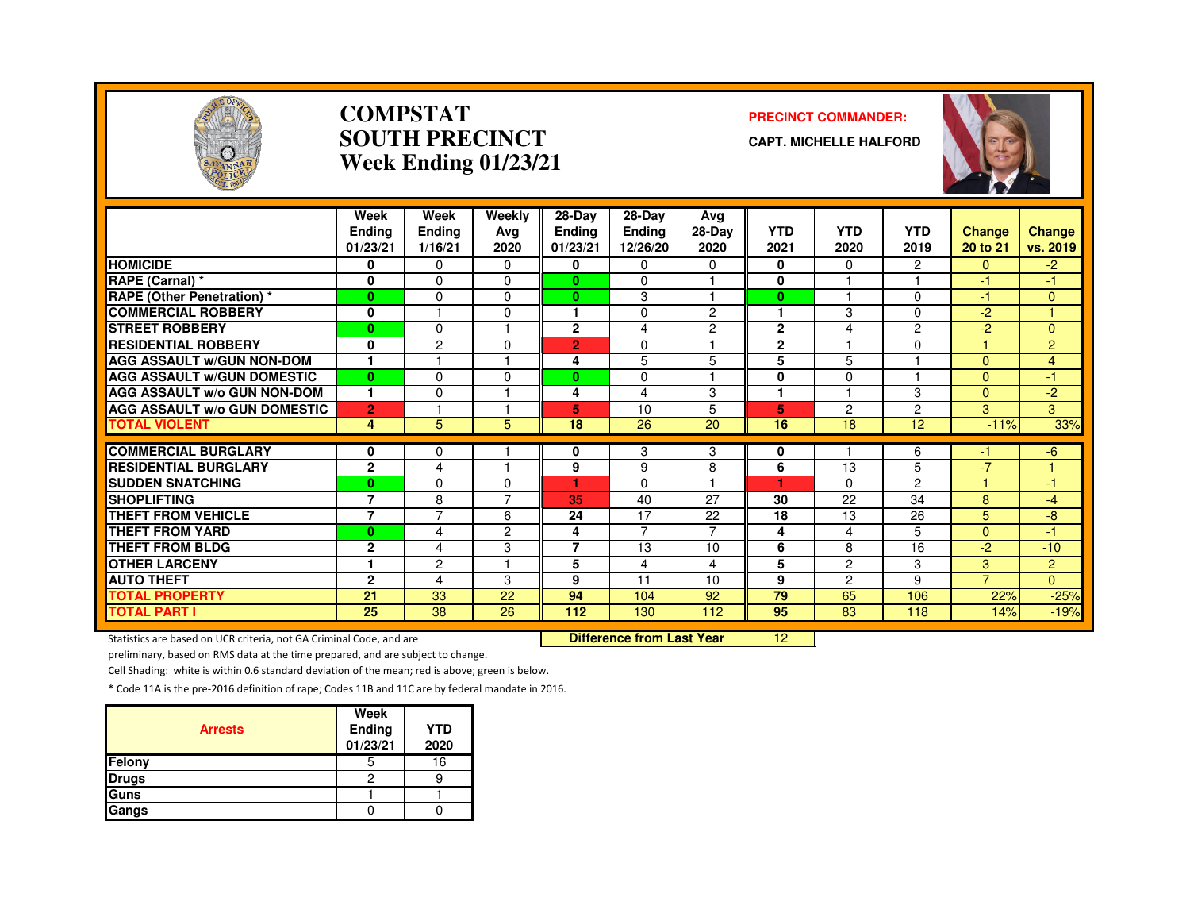

#### **COMPSTATSOUTH PRECINCTWeek Ending 01/23/21**

#### **PRECINCT COMMANDER:**

**CAPT. MICHELLE HALFORD**



|                                     | Week<br><b>Ending</b><br>01/23/21 | Week<br>Ending<br>1/16/21 | Weekly<br>Avg<br>2020 | 28-Day<br><b>Ending</b><br>01/23/21 | $28-Dav$<br><b>Ending</b><br>12/26/20 | Ava<br>28-Day<br>2020    | <b>YTD</b><br>2021   | <b>YTD</b><br>2020 | <b>YTD</b><br>2019 | <b>Change</b><br>20 to 21 | Change<br>vs. 2019 |
|-------------------------------------|-----------------------------------|---------------------------|-----------------------|-------------------------------------|---------------------------------------|--------------------------|----------------------|--------------------|--------------------|---------------------------|--------------------|
| <b>HOMICIDE</b>                     | 0                                 | $\Omega$                  | $\Omega$              | 0                                   | $\Omega$                              | 0                        | 0                    | 0                  | 2                  | $\Omega$                  | $-2$               |
| RAPE (Carnal) *                     | $\mathbf 0$                       | $\Omega$                  | $\Omega$              | $\mathbf{0}$                        | $\Omega$                              |                          | 0                    |                    |                    | $-1$                      | $-1$               |
| <b>RAPE (Other Penetration)</b> *   | $\bf{0}$                          | $\Omega$                  | $\Omega$              | $\mathbf{0}$                        | 3                                     |                          | $\bf{0}$             |                    | $\Omega$           | -1                        | $\mathbf{0}$       |
| <b>COMMERCIAL ROBBERY</b>           | 0                                 |                           | $\Omega$              |                                     | 0                                     | $\overline{2}$           | $\blacktriangleleft$ | 3                  | 0                  | $-2$                      |                    |
| <b>STREET ROBBERY</b>               | $\mathbf{0}$                      | $\Omega$                  |                       | $\mathbf{2}$                        | 4                                     | $\overline{c}$           | $\overline{2}$       | 4                  | $\overline{c}$     | $-2$                      | $\overline{0}$     |
| <b>RESIDENTIAL ROBBERY</b>          | $\mathbf{0}$                      | $\overline{2}$            | $\Omega$              | $\overline{2}$                      | $\Omega$                              |                          | $\overline{2}$       |                    | 0                  |                           | $\overline{2}$     |
| <b>AGG ASSAULT W/GUN NON-DOM</b>    |                                   |                           |                       | 4                                   | 5                                     | 5                        | 5                    | 5                  |                    | $\mathbf{0}$              | $\overline{4}$     |
| <b>AGG ASSAULT W/GUN DOMESTIC</b>   | $\bf{0}$                          | $\Omega$                  | $\Omega$              | 0                                   | $\Omega$                              | $\overline{\phantom{a}}$ | $\bf{0}$             | $\Omega$           |                    | $\Omega$                  | -1                 |
| <b>AGG ASSAULT w/o GUN NON-DOM</b>  | $\mathbf{1}$                      | $\mathbf{0}$              |                       | 4                                   | 4                                     | 3                        | 1                    |                    | 3                  | $\Omega$                  | $-2$               |
| <b>AGG ASSAULT W/o GUN DOMESTIC</b> | $\overline{2}$                    |                           |                       | 5                                   | 10                                    | 5                        | 5                    | 2                  | 2                  | 3                         | 3                  |
| <b>TOTAL VIOLENT</b>                | 4                                 | 5                         | 5                     | 18                                  | 26                                    | 20                       | 16                   | 18                 | 12                 | $-11%$                    | 33%                |
| <b>COMMERCIAL BURGLARY</b>          | 0                                 | 0                         |                       | 0                                   | 3                                     | 3                        | 0                    |                    | 6                  | -1                        | $-6$               |
| <b>RESIDENTIAL BURGLARY</b>         | $\mathbf{2}$                      | 4                         | -1                    | 9                                   | 9                                     | 8                        | 6                    | 13                 | 5                  | $-7$                      | м                  |
| <b>SUDDEN SNATCHING</b>             | $\bf{0}$                          | $\Omega$                  | 0                     | ٠                                   | $\Omega$                              |                          | и                    | 0                  | $\overline{c}$     |                           | -1                 |
| <b>SHOPLIFTING</b>                  | $\overline{7}$                    | 8                         | ⇁                     | 35                                  | 40                                    | 27                       | 30                   | 22                 | 34                 | 8                         | $-4$               |
| <b>THEFT FROM VEHICLE</b>           | $\overline{7}$                    | $\overline{7}$            | 6                     | 24                                  | 17                                    | 22                       | 18                   | 13                 | 26                 | 5                         | -8                 |
| <b>THEFT FROM YARD</b>              | $\bf{0}$                          | 4                         | 2                     | 4                                   | $\overline{7}$                        | $\overline{7}$           | 4                    | 4                  | 5                  | $\overline{0}$            | -1                 |
| <b>THEFT FROM BLDG</b>              | $\mathbf{2}$                      | 4                         | 3                     | 7                                   | 13                                    | 10                       | 6                    | 8                  | 16                 | $-2$                      | $-10$              |
| <b>OTHER LARCENY</b>                | 1                                 | $\overline{2}$            |                       | 5                                   | 4                                     | 4                        | 5                    | $\overline{2}$     | 3                  | 3                         | $\overline{2}$     |
| <b>AUTO THEFT</b>                   | $\mathbf{2}$                      | 4                         | 3                     | 9                                   | 11                                    | 10                       | 9                    | $\overline{c}$     | 9                  | $\overline{7}$            | $\Omega$           |
| <b>TOTAL PROPERTY</b>               | 21                                | 33                        | 22                    | 94                                  | 104                                   | 92                       | 79                   | 65                 | 106                | 22%                       | $-25%$             |
| <b>TOTAL PART I</b>                 | 25                                | 38                        | 26                    | 112                                 | 130                                   | 112                      | 95                   | 83                 | 118                | 14%                       | $-19%$             |

Statistics are based on UCR criteria, not GA Criminal Code, and are **Difference from Last Year** 

<sup>12</sup>

preliminary, based on RMS data at the time prepared, and are subject to change.

Cell Shading: white is within 0.6 standard deviation of the mean; red is above; green is below.

| <b>Arrests</b> | Week<br>Ending<br>01/23/21 | <b>YTD</b><br>2020 |
|----------------|----------------------------|--------------------|
| Felony         | 5                          | 16                 |
| <b>Drugs</b>   | 2                          |                    |
| Guns           |                            |                    |
| Gangs          |                            |                    |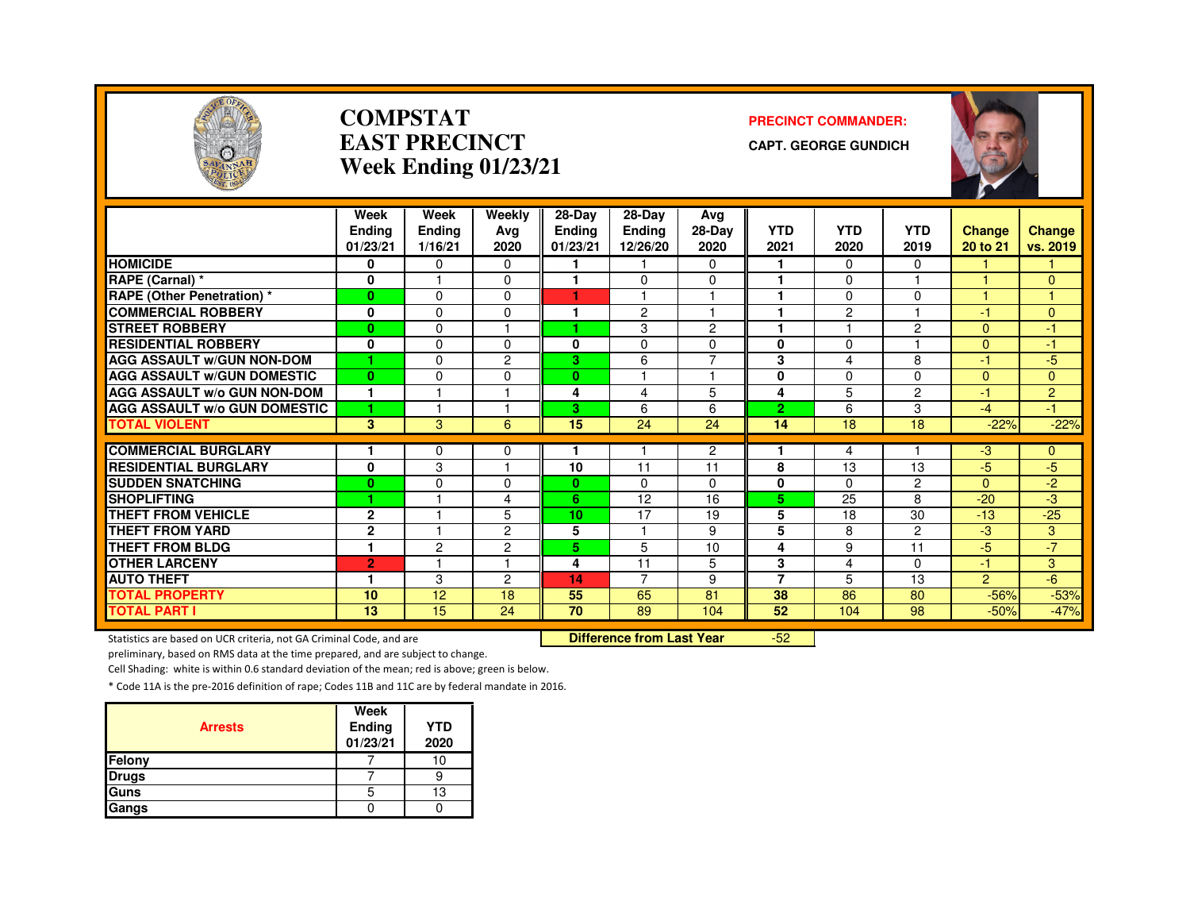

#### **COMPSTATEAST PRECINCTWeek Ending 01/23/21**

#### **PRECINCT COMMANDER:**

**CAPT. GEORGE GUNDICH**



|                                     | Week<br><b>Ending</b> | Week<br>Ending | Weekly<br>Avg  | $28-Dav$<br><b>Ending</b> | 28-Dav<br><b>Ending</b> | Ava<br>28-Day  | <b>YTD</b>     | <b>YTD</b>     | <b>YTD</b>     | <b>Change</b>  | <b>Change</b>  |
|-------------------------------------|-----------------------|----------------|----------------|---------------------------|-------------------------|----------------|----------------|----------------|----------------|----------------|----------------|
|                                     | 01/23/21              | 1/16/21        | 2020           | 01/23/21                  | 12/26/20                | 2020           | 2021           | 2020           | 2019           | 20 to 21       | vs. 2019       |
| <b>HOMICIDE</b>                     | 0                     | 0              | $\Omega$       |                           |                         | 0              |                | $\Omega$       | $\Omega$       |                |                |
| RAPE (Carnal) *                     | 0                     |                | $\Omega$       |                           | 0                       | $\Omega$       |                | $\Omega$       |                |                | $\overline{0}$ |
| <b>RAPE (Other Penetration) *</b>   | $\bf{0}$              | $\Omega$       | $\Omega$       | ٠                         |                         | и              |                | $\Omega$       | $\Omega$       |                |                |
| <b>COMMERCIAL ROBBERY</b>           | 0                     | $\Omega$       | $\Omega$       |                           | $\overline{c}$          | 1              | ٠              | $\overline{c}$ |                | $-1$           | $\Omega$       |
| <b>STREET ROBBERY</b>               | $\bf{0}$              | $\Omega$       |                |                           | 3                       | 2              |                |                | 2              | $\Omega$       | -1             |
| <b>RESIDENTIAL ROBBERY</b>          | 0                     | $\Omega$       | 0              | 0                         | 0                       | 0              | 0              | $\Omega$       |                | $\Omega$       | -1             |
| <b>AGG ASSAULT W/GUN NON-DOM</b>    | 1                     | $\Omega$       | $\overline{c}$ | 3                         | 6                       | $\overline{7}$ | 3              | 4              | 8              | $\cdot$        | $-5$           |
| <b>AGG ASSAULT W/GUN DOMESTIC</b>   | $\bf{0}$              | $\Omega$       | $\Omega$       | $\bf{0}$                  |                         | н              | $\bf{0}$       | $\Omega$       | $\Omega$       | $\Omega$       | $\Omega$       |
| <b>AGG ASSAULT W/o GUN NON-DOM</b>  | $\mathbf{1}$          | н              | и              | 4                         | 4                       | 5              | 4              | 5              | $\overline{2}$ | $-1$           | $\overline{2}$ |
| <b>AGG ASSAULT w/o GUN DOMESTIC</b> | 1                     |                | и              | 3                         | 6                       | 6              | $\overline{2}$ | 6              | 3              | $-4$           | $-1$           |
| <b>TOTAL VIOLENT</b>                | 3                     | 3              | 6              | 15                        | 24                      | 24             | 14             | 18             | 18             | $-22%$         | $-22%$         |
|                                     |                       |                |                |                           |                         |                |                |                |                |                |                |
| <b>COMMERCIAL BURGLARY</b>          |                       | $\Omega$       | 0              |                           |                         | $\overline{2}$ |                | 4              |                | $-3$           | 0              |
| <b>RESIDENTIAL BURGLARY</b>         | $\mathbf{0}$          | 3              | и              | 10                        | 11                      | 11             | 8              | 13             | 13             | $-5$           | $-5$           |
| <b>SUDDEN SNATCHING</b>             | $\bf{0}$              | $\Omega$       | $\Omega$       | $\mathbf{0}$              | 0                       | 0              | 0              | $\Omega$       | $\overline{2}$ | $\Omega$       | $-2$           |
| <b>SHOPLIFTING</b>                  | 1                     |                | 4              | 6.                        | 12                      | 16             | 5              | 25             | 8              | $-20$          | -3             |
| <b>THEFT FROM VEHICLE</b>           | $\mathbf{2}$          |                | 5              | 10                        | 17                      | 19             | 5              | 18             | 30             | $-13$          | $-25$          |
| <b>THEFT FROM YARD</b>              | $\mathbf{2}$          |                | 2              | 5                         |                         | 9              | 5              | 8              | $\overline{2}$ | $-3$           | 3              |
| <b>THEFT FROM BLDG</b>              | 1                     | $\overline{c}$ | $\overline{c}$ | 5.                        | 5                       | 10             | 4              | 9              | 11             | $-5$           | $-7'$          |
| <b>OTHER LARCENY</b>                | $\overline{2}$        |                | н              | 4                         | 11                      | 5              | 3              | 4              | $\Omega$       | 47             | 3              |
| <b>AUTO THEFT</b>                   | -1                    | 3              | 2              | 14                        | 7                       | 9              | $\overline{7}$ | 5              | 13             | $\overline{2}$ | $-6$           |
| <b>TOTAL PROPERTY</b>               | 10                    | 12             | 18             | 55                        | 65                      | 81             | 38             | 86             | 80             | $-56%$         | $-53%$         |
| <b>TOTAL PART I</b>                 | 13                    | 15             | 24             | 70                        | 89                      | 104            | 52             | 104            | 98             | $-50%$         | $-47%$         |

Statistics are based on UCR criteria, not GA Criminal Code, and are **Difference from Last Year** 

-52

preliminary, based on RMS data at the time prepared, and are subject to change.

Cell Shading: white is within 0.6 standard deviation of the mean; red is above; green is below.

| <b>Arrests</b> | Week<br>Ending<br>01/23/21 | <b>YTD</b><br>2020 |
|----------------|----------------------------|--------------------|
| Felony         |                            |                    |
| <b>Drugs</b>   |                            |                    |
| Guns           | b                          | 13                 |
| Gangs          |                            |                    |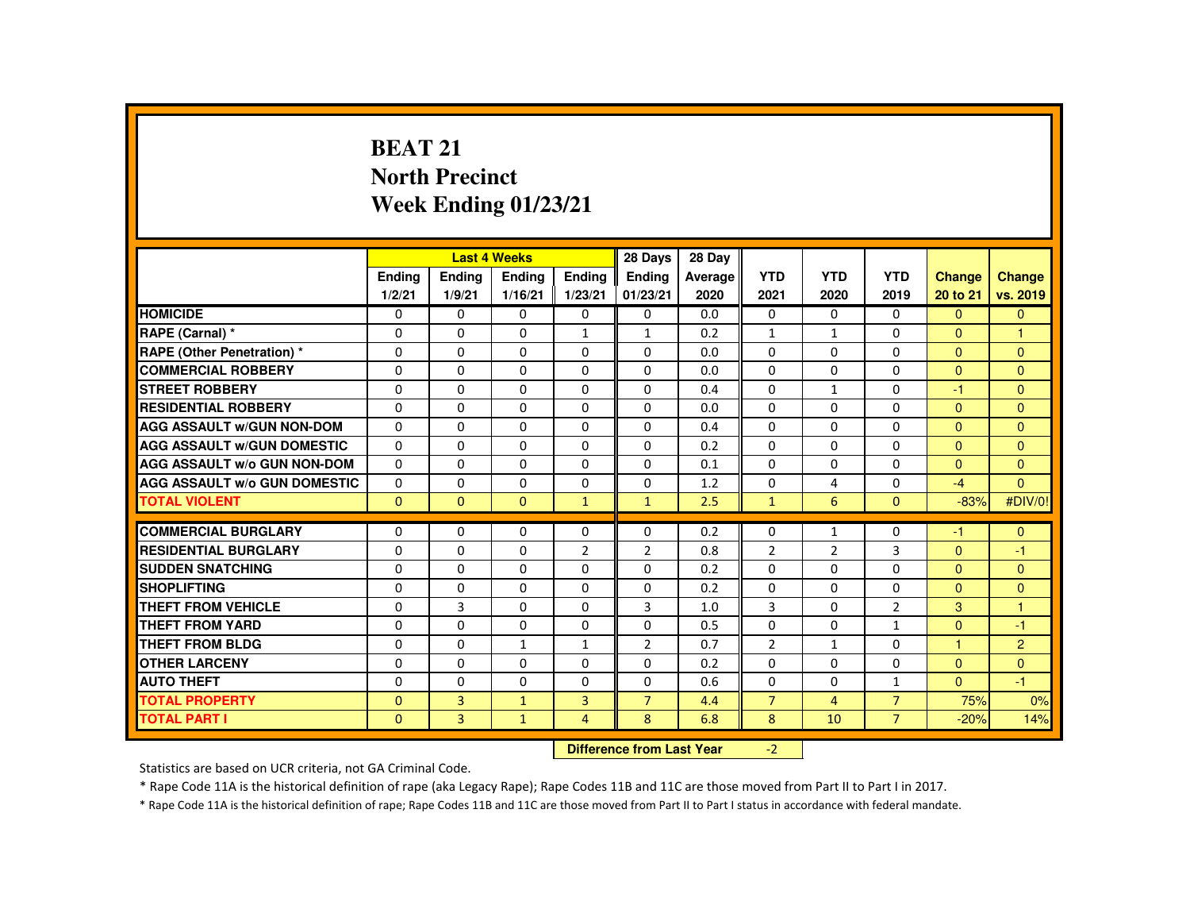# **BEAT 21 North PrecinctWeek Ending 01/23/21**

|                                     |                           |                | <b>Last 4 Weeks</b>     |                | 28 Days        | 28 Day  |                |                |                |                |                      |
|-------------------------------------|---------------------------|----------------|-------------------------|----------------|----------------|---------|----------------|----------------|----------------|----------------|----------------------|
|                                     | <b>Endina</b>             | <b>Ending</b>  | <b>Ending</b>           | Ending         | <b>Endina</b>  | Average | <b>YTD</b>     | <b>YTD</b>     | <b>YTD</b>     | <b>Change</b>  | <b>Change</b>        |
|                                     | 1/2/21                    | 1/9/21         | 1/16/21                 | 1/23/21        | 01/23/21       | 2020    | 2021           | 2020           | 2019           | 20 to 21       | vs. 2019             |
| <b>HOMICIDE</b>                     | $\Omega$                  | $\Omega$       | 0                       | $\Omega$       | $\Omega$       | 0.0     | $\mathbf{0}$   | $\Omega$       | $\Omega$       | $\Omega$       | $\Omega$             |
| RAPE (Carnal) *                     | 0                         | $\mathbf{0}$   | $\Omega$                | $\mathbf{1}$   | $\mathbf{1}$   | 0.2     | $\mathbf{1}$   | $\mathbf{1}$   | $\Omega$       | $\Omega$       | 1                    |
| <b>RAPE (Other Penetration) *</b>   | $\Omega$                  | $\Omega$       | $\Omega$                | $\Omega$       | $\Omega$       | 0.0     | $\Omega$       | $\Omega$       | $\Omega$       | $\Omega$       | $\Omega$             |
| <b>COMMERCIAL ROBBERY</b>           | $\Omega$                  | $\Omega$       | $\Omega$                | $\Omega$       | $\Omega$       | 0.0     | $\Omega$       | $\Omega$       | $\Omega$       | $\mathbf{0}$   | $\Omega$             |
| <b>STREET ROBBERY</b>               | $\Omega$                  | $\Omega$       | $\Omega$                | $\Omega$       | $\Omega$       | 0.4     | $\Omega$       | $\mathbf{1}$   | $\Omega$       | $-1$           | $\Omega$             |
| <b>RESIDENTIAL ROBBERY</b>          | 0                         | $\mathbf{0}$   | 0                       | 0              | $\mathbf{0}$   | 0.0     | $\Omega$       | 0              | 0              | $\Omega$       | $\Omega$             |
| <b>AGG ASSAULT w/GUN NON-DOM</b>    | $\Omega$                  | $\Omega$       | $\Omega$                | $\Omega$       | $\Omega$       | 0.4     | $\Omega$       | $\Omega$       | $\Omega$       | $\mathbf{0}$   | $\Omega$             |
| <b>AGG ASSAULT W/GUN DOMESTIC</b>   | $\Omega$                  | $\Omega$       | $\Omega$                | $\Omega$       | $\Omega$       | 0.2     | $\Omega$       | $\Omega$       | $\Omega$       | $\Omega$       | $\Omega$             |
| <b>AGG ASSAULT W/o GUN NON-DOM</b>  | $\Omega$                  | $\Omega$       | $\Omega$                | $\Omega$       | $\Omega$       | 0.1     | $\Omega$       | $\Omega$       | $\Omega$       | $\Omega$       | $\Omega$             |
| <b>AGG ASSAULT W/o GUN DOMESTIC</b> | $\mathbf{0}$              | $\Omega$       | 0                       | $\Omega$       | $\mathbf{0}$   | 1.2     | $\mathbf{0}$   | 4              | 0              | $-4$           | $\Omega$             |
| <b>TOTAL VIOLENT</b>                | $\mathbf{0}$              | $\mathbf{0}$   | $\mathbf{0}$            | $\mathbf{1}$   | $\mathbf{1}$   | 2.5     | $\mathbf{1}$   | 6              | $\mathbf{0}$   | $-83%$         | #DIV/0!              |
| <b>COMMERCIAL BURGLARY</b>          | $\Omega$                  | $\Omega$       | $\Omega$                | $\Omega$       | $\Omega$       | 0.2     | $\Omega$       | $\mathbf{1}$   | $\Omega$       | $-1$           | $\Omega$             |
| <b>RESIDENTIAL BURGLARY</b>         | $\Omega$                  | $\Omega$       | $\Omega$                | $\overline{2}$ | $\overline{2}$ | 0.8     | $\overline{2}$ | $\overline{2}$ | 3              | $\Omega$       | $-1$                 |
| <b>SUDDEN SNATCHING</b>             | 0                         | $\Omega$       | $\Omega$                | $\Omega$       | $\Omega$       | 0.2     | $\Omega$       | $\Omega$       | $\Omega$       | $\Omega$       | $\mathbf{0}$         |
| <b>SHOPLIFTING</b>                  | $\Omega$                  | $\Omega$       | $\Omega$                | $\Omega$       | $\Omega$       | 0.2     | $\Omega$       | $\Omega$       | $\Omega$       | $\mathbf{0}$   | $\Omega$             |
| <b>THEFT FROM VEHICLE</b>           | $\Omega$                  | 3              | $\Omega$                | $\Omega$       | 3              | 1.0     | 3              | $\Omega$       | $\overline{2}$ | 3              | $\blacktriangleleft$ |
| <b>THEFT FROM YARD</b>              | $\Omega$                  | $\Omega$       | $\Omega$                | $\Omega$       | $\Omega$       | 0.5     | $\Omega$       | $\Omega$       | $\mathbf{1}$   | $\overline{0}$ | $-1$                 |
| <b>THEFT FROM BLDG</b>              | $\Omega$                  | $\Omega$       | $\mathbf{1}$            | $\mathbf{1}$   | $\overline{2}$ | 0.7     | $\overline{2}$ | $\mathbf{1}$   | $\Omega$       | ٠              | $\overline{2}$       |
| <b>OTHER LARCENY</b>                | 0                         | $\Omega$       | 0                       | $\Omega$       | $\mathbf{0}$   | 0.2     | $\Omega$       | $\Omega$       | 0              | $\mathbf{0}$   | $\Omega$             |
| <b>AUTO THEFT</b>                   | $\Omega$                  | $\Omega$       | $\Omega$                | $\Omega$       | $\Omega$       | 0.6     | $\Omega$       | $\Omega$       | $\mathbf{1}$   | $\Omega$       | $-1$                 |
| <b>TOTAL PROPERTY</b>               | $\Omega$                  | $\overline{3}$ | $\mathbf{1}$            | $\overline{3}$ | $\overline{7}$ | 4.4     | $\overline{7}$ | $\overline{4}$ | $\overline{7}$ | 75%            | 0%                   |
| <b>TOTAL PART I</b>                 | $\mathbf{0}$              | 3              | $\mathbf{1}$            | $\overline{4}$ | 8              | 6.8     | 8              | 10             | $7^{\circ}$    | $-20%$         | 14%                  |
|                                     | Difference from Last Vear |                | $\overline{\mathbf{a}}$ |                |                |         |                |                |                |                |                      |

 **Difference from Last Year**r -2

Statistics are based on UCR criteria, not GA Criminal Code.

\* Rape Code 11A is the historical definition of rape (aka Legacy Rape); Rape Codes 11B and 11C are those moved from Part II to Part I in 2017.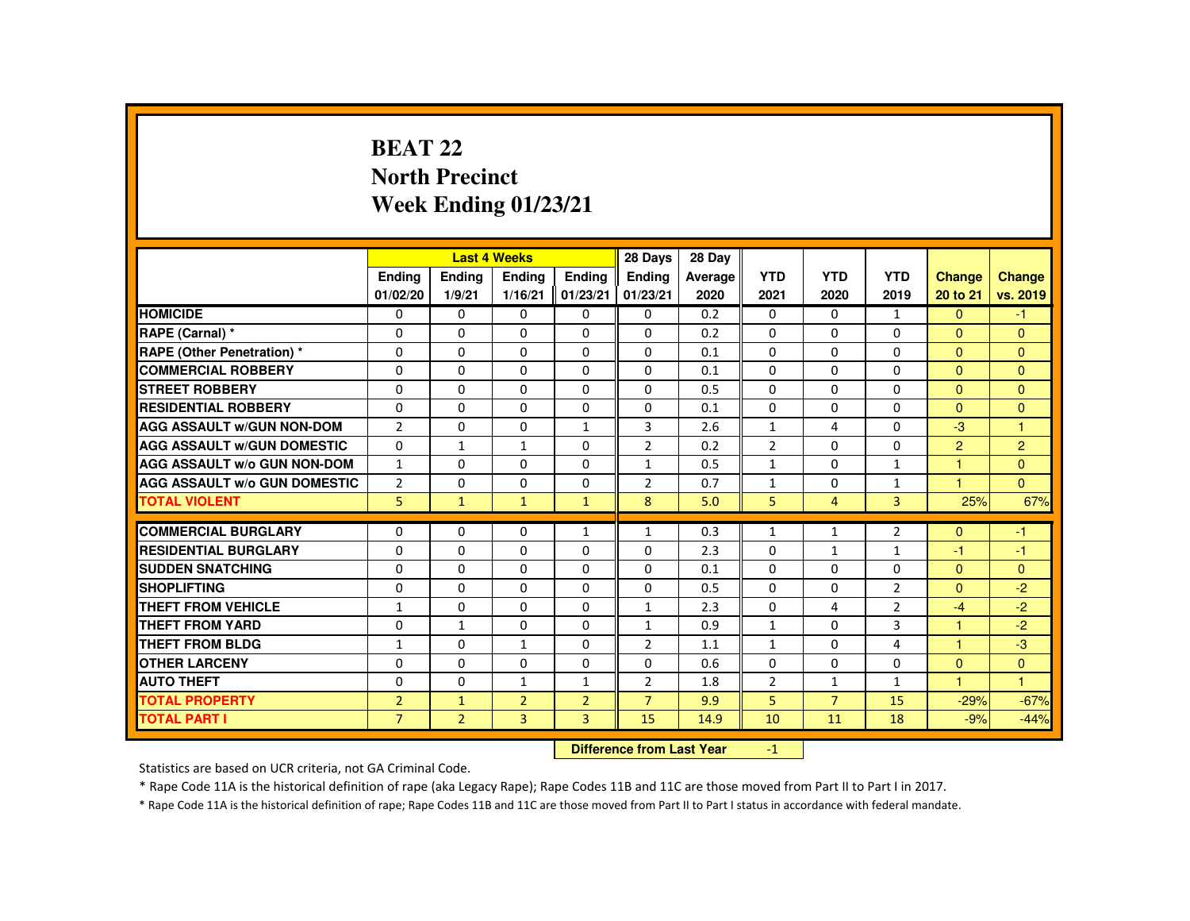# **BEAT 22 North PrecinctWeek Ending 01/23/21**

|                                     |                |                           | <b>Last 4 Weeks</b> |                | 28 Days        | 28 Day  |                |                |                |                |                |
|-------------------------------------|----------------|---------------------------|---------------------|----------------|----------------|---------|----------------|----------------|----------------|----------------|----------------|
|                                     | <b>Ending</b>  | <b>Ending</b>             | <b>Ending</b>       | <b>Endina</b>  | <b>Endina</b>  | Average | <b>YTD</b>     | <b>YTD</b>     | <b>YTD</b>     | <b>Change</b>  | Change         |
|                                     | 01/02/20       | 1/9/21                    | 1/16/21             | 01/23/21       | 01/23/21       | 2020    | 2021           | 2020           | 2019           | 20 to 21       | vs. 2019       |
| <b>HOMICIDE</b>                     | 0              | $\mathbf{0}$              | 0                   | 0              | 0              | 0.2     | $\mathbf{0}$   | 0              | $\mathbf{1}$   | $\mathbf{0}$   | $-1$           |
| RAPE (Carnal) *                     | $\Omega$       | $\Omega$                  | $\Omega$            | $\Omega$       | $\Omega$       | 0.2     | $\Omega$       | $\Omega$       | $\Omega$       | $\Omega$       | $\mathbf{0}$   |
| <b>RAPE (Other Penetration) *</b>   | $\Omega$       | $\Omega$                  | $\Omega$            | $\Omega$       | $\Omega$       | 0.1     | $\Omega$       | $\Omega$       | $\Omega$       | $\Omega$       | $\Omega$       |
| <b>COMMERCIAL ROBBERY</b>           | 0              | $\mathbf{0}$              | 0                   | 0              | $\Omega$       | 0.1     | 0              | 0              | 0              | $\mathbf{0}$   | $\mathbf{0}$   |
| <b>STREET ROBBERY</b>               | $\Omega$       | $\Omega$                  | $\Omega$            | $\Omega$       | $\Omega$       | 0.5     | $\Omega$       | $\Omega$       | $\Omega$       | $\Omega$       | $\Omega$       |
| <b>RESIDENTIAL ROBBERY</b>          | $\Omega$       | $\Omega$                  | $\Omega$            | $\Omega$       | $\Omega$       | 0.1     | $\Omega$       | $\Omega$       | $\Omega$       | $\Omega$       | $\mathbf{0}$   |
| <b>AGG ASSAULT W/GUN NON-DOM</b>    | $\overline{2}$ | $\Omega$                  | $\Omega$            | $\mathbf{1}$   | 3              | 2.6     | $\mathbf{1}$   | 4              | $\Omega$       | $-3$           | $\mathbf{1}$   |
| <b>AGG ASSAULT W/GUN DOMESTIC</b>   | $\Omega$       | $\mathbf{1}$              | $\mathbf{1}$        | $\Omega$       | $\overline{2}$ | 0.2     | $\overline{2}$ | $\Omega$       | $\Omega$       | $\overline{2}$ | 2              |
| <b>AGG ASSAULT W/o GUN NON-DOM</b>  | $\mathbf{1}$   | $\Omega$                  | $\Omega$            | $\Omega$       | $\mathbf{1}$   | 0.5     | $\mathbf{1}$   | $\Omega$       | $\mathbf{1}$   | $\mathbf{1}$   | $\mathbf{0}$   |
| <b>AGG ASSAULT W/o GUN DOMESTIC</b> | $\overline{2}$ | $\Omega$                  | $\Omega$            | $\Omega$       | $\overline{2}$ | 0.7     | $\mathbf{1}$   | $\Omega$       | $\mathbf{1}$   | $\mathbf{1}$   | $\overline{0}$ |
| <b>TOTAL VIOLENT</b>                | 5              | $\mathbf{1}$              | $\mathbf{1}$        | $\mathbf{1}$   | 8              | 5.0     | 5              | $\overline{4}$ | 3              | 25%            | 67%            |
|                                     |                |                           |                     |                |                |         |                |                |                |                |                |
| <b>COMMERCIAL BURGLARY</b>          | $\Omega$       | $\Omega$                  | $\Omega$            | $\mathbf{1}$   | $\mathbf{1}$   | 0.3     | $\mathbf{1}$   | $\mathbf{1}$   | $\overline{2}$ | $\Omega$       | $-1$           |
| <b>RESIDENTIAL BURGLARY</b>         | 0              | $\Omega$                  | $\Omega$            | $\Omega$       | $\Omega$       | 2.3     | $\Omega$       | $\mathbf{1}$   | $\mathbf{1}$   | $-1$           | $-1$           |
| <b>SUDDEN SNATCHING</b>             | $\Omega$       | $\Omega$                  | $\Omega$            | $\Omega$       | $\Omega$       | 0.1     | $\Omega$       | $\Omega$       | $\Omega$       | $\Omega$       | $\Omega$       |
| <b>SHOPLIFTING</b>                  | $\Omega$       | $\Omega$                  | $\Omega$            | $\Omega$       | $\Omega$       | 0.5     | $\Omega$       | $\Omega$       | $\overline{2}$ | $\Omega$       | $-2$           |
| <b>THEFT FROM VEHICLE</b>           | $\mathbf{1}$   | $\Omega$                  | $\Omega$            | $\Omega$       | $\mathbf{1}$   | 2.3     | $\Omega$       | 4              | $\overline{2}$ | $-4$           | $-2$           |
| <b>THEFT FROM YARD</b>              | $\Omega$       | $\mathbf{1}$              | $\Omega$            | $\Omega$       | $\mathbf{1}$   | 0.9     | $\mathbf{1}$   | $\Omega$       | 3              | $\mathbf{1}$   | $-2$           |
| <b>THEFT FROM BLDG</b>              | $\mathbf{1}$   | $\Omega$                  | $\mathbf{1}$        | $\Omega$       | $\overline{2}$ | 1.1     | $\mathbf{1}$   | $\Omega$       | $\overline{4}$ | $\mathbf{1}$   | $-3$           |
| <b>OTHER LARCENY</b>                | $\Omega$       | $\Omega$                  | $\Omega$            | $\Omega$       | $\Omega$       | 0.6     | $\Omega$       | 0              | $\Omega$       | $\overline{0}$ | $\mathbf{0}$   |
| <b>AUTO THEFT</b>                   | $\Omega$       | $\Omega$                  | $\mathbf{1}$        | $\mathbf{1}$   | $\overline{2}$ | 1.8     | $\overline{2}$ | $\mathbf{1}$   | $\mathbf{1}$   | $\mathbf{1}$   | $\mathbf{1}$   |
| <b>TOTAL PROPERTY</b>               | $\overline{2}$ | $\mathbf{1}$              | $\overline{2}$      | $\overline{2}$ | $\overline{7}$ | 9.9     | 5              | $\overline{7}$ | 15             | $-29%$         | $-67%$         |
| <b>TOTAL PART I</b>                 | $\overline{7}$ | $\overline{2}$            | $\overline{3}$      | $\overline{3}$ | 15             | 14.9    | 10             | 11             | 18             | $-9%$          | $-44%$         |
|                                     |                | Difference from Last Year |                     | $-1$           |                |         |                |                |                |                |                |

 **Difference from Last Year**

Statistics are based on UCR criteria, not GA Criminal Code.

\* Rape Code 11A is the historical definition of rape (aka Legacy Rape); Rape Codes 11B and 11C are those moved from Part II to Part I in 2017.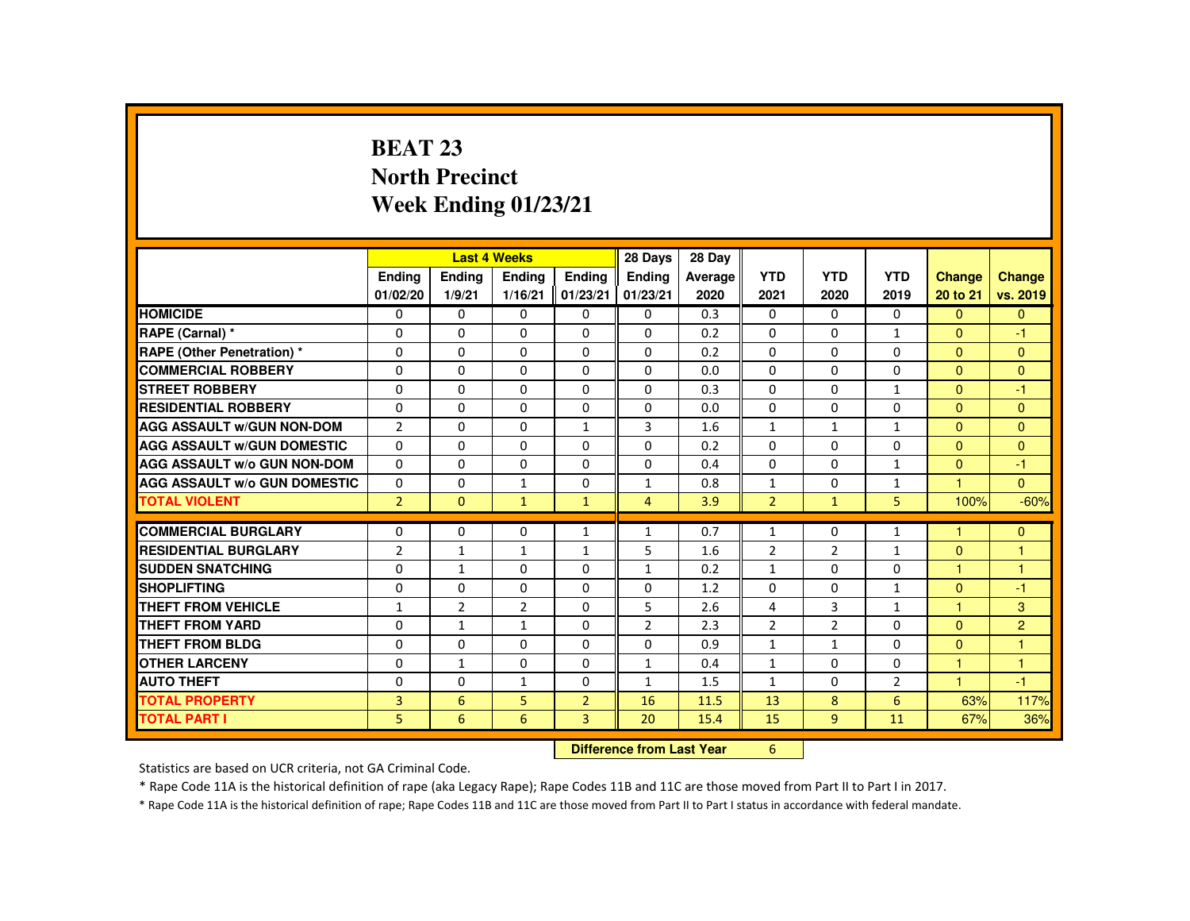# **BEAT 23 North PrecinctWeek Ending 01/23/21**

|                                     |                |                           | <b>Last 4 Weeks</b> |                | 28 Days        | 28 Day  |                |                |                |                |                |
|-------------------------------------|----------------|---------------------------|---------------------|----------------|----------------|---------|----------------|----------------|----------------|----------------|----------------|
|                                     | Ending         | Ending                    | Ending              | <b>Endina</b>  | <b>Endina</b>  | Average | <b>YTD</b>     | <b>YTD</b>     | <b>YTD</b>     | Change         | Change         |
|                                     | 01/02/20       | 1/9/21                    | 1/16/21             | 01/23/21       | 01/23/21       | 2020    | 2021           | 2020           | 2019           | 20 to 21       | vs. 2019       |
| <b>HOMICIDE</b>                     | $\Omega$       | $\mathbf{0}$              | 0                   | $\mathbf{0}$   | 0              | 0.3     | $\mathbf{0}$   | 0              | $\Omega$       | $\mathbf{0}$   | $\mathbf{0}$   |
| RAPE (Carnal) *                     | $\Omega$       | $\Omega$                  | $\Omega$            | $\Omega$       | $\Omega$       | 0.2     | $\Omega$       | $\Omega$       | $\mathbf{1}$   | $\Omega$       | $-1$           |
| <b>RAPE (Other Penetration) *</b>   | $\Omega$       | $\Omega$                  | $\Omega$            | $\Omega$       | $\Omega$       | 0.2     | $\Omega$       | $\Omega$       | $\Omega$       | $\Omega$       | $\mathbf{0}$   |
| <b>COMMERCIAL ROBBERY</b>           | 0              | $\Omega$                  | $\Omega$            | $\Omega$       | $\Omega$       | 0.0     | $\Omega$       | $\Omega$       | $\Omega$       | $\mathbf{0}$   | $\Omega$       |
| <b>STREET ROBBERY</b>               | 0              | $\Omega$                  | $\Omega$            | $\Omega$       | $\Omega$       | 0.3     | $\Omega$       | $\Omega$       | $\mathbf{1}$   | $\Omega$       | $-1$           |
| <b>RESIDENTIAL ROBBERY</b>          | $\Omega$       | $\Omega$                  | $\Omega$            | $\Omega$       | $\Omega$       | 0.0     | $\Omega$       | $\Omega$       | $\Omega$       | $\Omega$       | $\Omega$       |
| <b>AGG ASSAULT W/GUN NON-DOM</b>    | $\overline{2}$ | $\Omega$                  | $\Omega$            | $\mathbf{1}$   | 3              | 1.6     | $\mathbf{1}$   | $\mathbf{1}$   | $\mathbf{1}$   | $\Omega$       | $\mathbf{0}$   |
| <b>AGG ASSAULT W/GUN DOMESTIC</b>   | $\Omega$       | $\Omega$                  | $\Omega$            | $\Omega$       | $\Omega$       | 0.2     | $\Omega$       | $\Omega$       | $\Omega$       | $\Omega$       | $\Omega$       |
| <b>AGG ASSAULT W/o GUN NON-DOM</b>  | $\Omega$       | $\Omega$                  | $\Omega$            | $\Omega$       | $\Omega$       | 0.4     | $\Omega$       | $\Omega$       | $\mathbf{1}$   | $\Omega$       | $-1$           |
| <b>AGG ASSAULT W/o GUN DOMESTIC</b> | $\Omega$       | $\Omega$                  | $\mathbf{1}$        | $\Omega$       | $\mathbf{1}$   | 0.8     | $\mathbf{1}$   | $\Omega$       | $\mathbf{1}$   | $\overline{1}$ | $\mathbf{0}$   |
| <b>TOTAL VIOLENT</b>                | $\overline{2}$ | $\Omega$                  | $\mathbf{1}$        | $\mathbf{1}$   | $\overline{4}$ | 3.9     | $\overline{2}$ | $\mathbf{1}$   | 5              | 100%           | $-60%$         |
| <b>COMMERCIAL BURGLARY</b>          | $\Omega$       | $\Omega$                  | $\Omega$            | 1              | 1              | 0.7     | $\mathbf{1}$   | 0              | $\mathbf{1}$   | 1              | $\mathbf{0}$   |
| <b>RESIDENTIAL BURGLARY</b>         | $\overline{2}$ | $\mathbf{1}$              | $\mathbf{1}$        | $\mathbf{1}$   | 5              | 1.6     | $\overline{2}$ | $\overline{2}$ | $\mathbf{1}$   | $\overline{0}$ | $\mathbf{1}$   |
| <b>SUDDEN SNATCHING</b>             | $\Omega$       | $\mathbf{1}$              | $\Omega$            | $\Omega$       | $\mathbf{1}$   | 0.2     | $\mathbf{1}$   | $\Omega$       | $\Omega$       | $\mathbf{1}$   | $\mathbf{1}$   |
| <b>SHOPLIFTING</b>                  | 0              | 0                         | 0                   | 0              | 0              | 1.2     | 0              | 0              | $\mathbf{1}$   | $\overline{0}$ | $-1$           |
| <b>THEFT FROM VEHICLE</b>           | $\mathbf{1}$   | $\overline{2}$            | 2                   | $\Omega$       | 5              | 2.6     | 4              | 3              | $\mathbf{1}$   | $\mathbf{1}$   | 3              |
| <b>THEFT FROM YARD</b>              | $\Omega$       | $\mathbf{1}$              | $\mathbf{1}$        | $\Omega$       | $\overline{2}$ | 2.3     | $\overline{2}$ | $\overline{2}$ | $\Omega$       | $\Omega$       | $\overline{2}$ |
| <b>THEFT FROM BLDG</b>              | $\Omega$       | $\Omega$                  | $\Omega$            | $\Omega$       | $\Omega$       | 0.9     | $\mathbf{1}$   | $\mathbf{1}$   | $\Omega$       | $\Omega$       | $\mathbf{1}$   |
| <b>OTHER LARCENY</b>                | 0              | $\mathbf{1}$              | 0                   | $\Omega$       | $\mathbf{1}$   | 0.4     | $\mathbf{1}$   | 0              | 0              | $\mathbf{1}$   | $\mathbf{1}$   |
| <b>AUTO THEFT</b>                   | $\Omega$       | $\Omega$                  | $\mathbf{1}$        | $\Omega$       | $\mathbf{1}$   | 1.5     | $\mathbf{1}$   | $\Omega$       | $\overline{2}$ | $\mathbf{1}$   | $-1$           |
| <b>TOTAL PROPERTY</b>               | 3              | 6                         | 5                   | $\overline{2}$ | 16             | 11.5    | 13             | 8              | 6              | 63%            | 117%           |
| <b>TOTAL PART I</b>                 | 5              | 6                         | 6                   | $\overline{3}$ | 20             | 15.4    | 15             | 9              | 11             | 67%            | 36%            |
|                                     |                |                           |                     |                |                |         |                |                |                |                |                |
|                                     |                | Difference from Last Year |                     | 6              |                |         |                |                |                |                |                |

 **Difference from Last Year**

Statistics are based on UCR criteria, not GA Criminal Code.

\* Rape Code 11A is the historical definition of rape (aka Legacy Rape); Rape Codes 11B and 11C are those moved from Part II to Part I in 2017.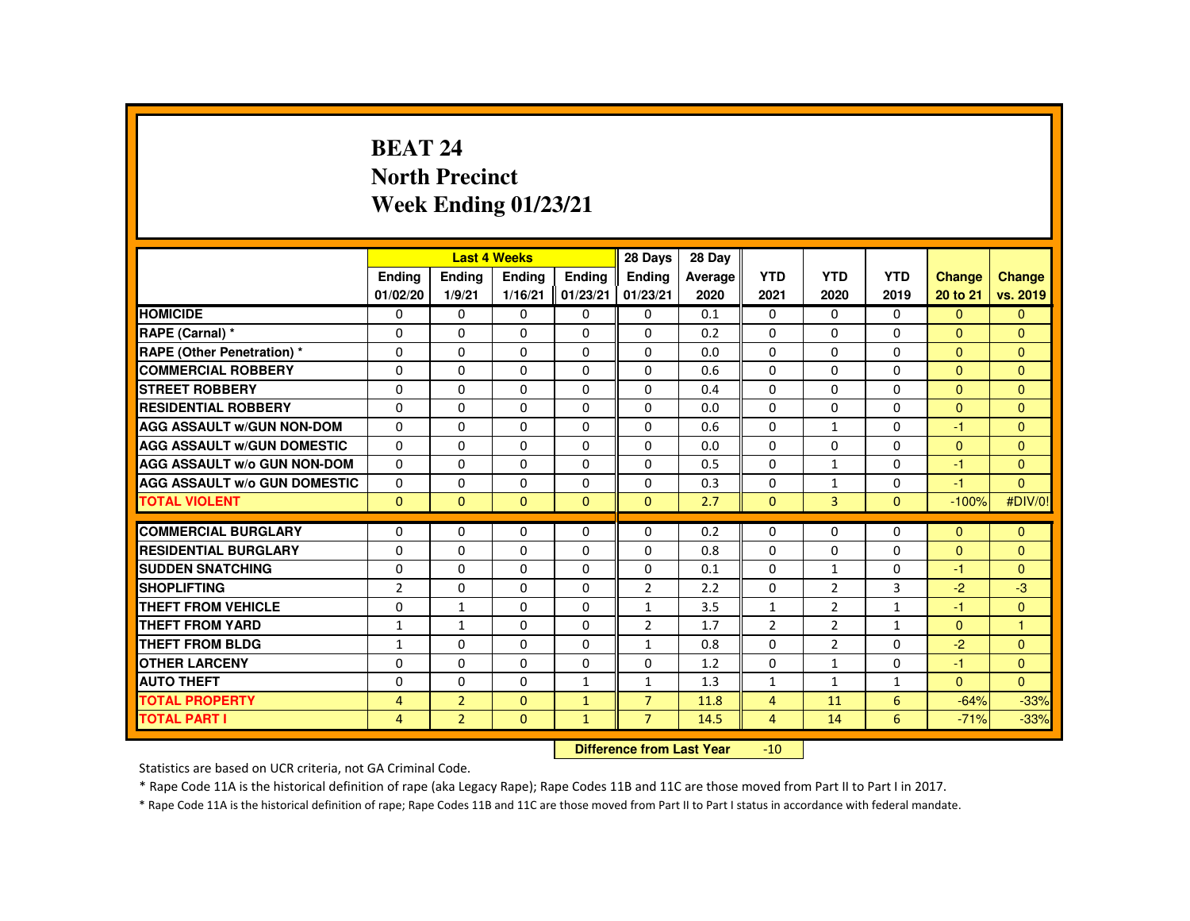# **BEAT 24 North PrecinctWeek Ending 01/23/21**

|                                     |                          |                | <b>Last 4 Weeks</b> |              | 28 Days                   | 28 Day  |                 |                |              |                |                |
|-------------------------------------|--------------------------|----------------|---------------------|--------------|---------------------------|---------|-----------------|----------------|--------------|----------------|----------------|
|                                     | <b>Endina</b>            | <b>Ending</b>  | <b>Ending</b>       | Ending       | Ending                    | Average | <b>YTD</b>      | <b>YTD</b>     | <b>YTD</b>   | Change         | <b>Change</b>  |
|                                     | 01/02/20                 | 1/9/21         | 1/16/21             | 01/23/21     | 01/23/21                  | 2020    | 2021            | 2020           | 2019         | 20 to 21       | vs. 2019       |
| <b>HOMICIDE</b>                     | $\mathbf{0}$             | $\Omega$       | $\Omega$            | $\Omega$     | 0                         | 0.1     | $\Omega$        | 0              | $\Omega$     | $\Omega$       | $\mathbf{0}$   |
| RAPE (Carnal) *                     | $\Omega$                 | $\Omega$       | $\Omega$            | $\Omega$     | 0                         | 0.2     | 0               | $\Omega$       | $\Omega$     | $\overline{0}$ | $\mathbf{0}$   |
| <b>RAPE (Other Penetration) *</b>   | $\Omega$                 | $\Omega$       | $\Omega$            | $\Omega$     | 0                         | 0.0     | $\Omega$        | $\Omega$       | $\Omega$     | $\Omega$       | $\mathbf{0}$   |
| <b>COMMERCIAL ROBBERY</b>           | $\Omega$                 | $\Omega$       | $\Omega$            | $\Omega$     | $\Omega$                  | 0.6     | $\Omega$        | $\Omega$       | $\Omega$     | $\mathbf{0}$   | $\mathbf{0}$   |
| <b>STREET ROBBERY</b>               | $\Omega$                 | $\Omega$       | $\Omega$            | $\Omega$     | $\Omega$                  | 0.4     | $\Omega$        | $\Omega$       | $\Omega$     | $\Omega$       | $\Omega$       |
| <b>RESIDENTIAL ROBBERY</b>          | 0                        | $\mathbf{0}$   | 0                   | 0            | 0                         | 0.0     | 0               | 0              | 0            | $\mathbf{0}$   | $\mathbf{0}$   |
| <b>AGG ASSAULT W/GUN NON-DOM</b>    | $\Omega$                 | $\Omega$       | $\Omega$            | $\Omega$     | $\Omega$                  | 0.6     | $\Omega$        | $\mathbf{1}$   | $\Omega$     | $-1$           | $\Omega$       |
| <b>AGG ASSAULT W/GUN DOMESTIC</b>   | $\Omega$                 | $\Omega$       | $\Omega$            | $\Omega$     | $\Omega$                  | 0.0     | $\Omega$        | $\Omega$       | $\Omega$     | $\Omega$       | $\mathbf{0}$   |
| <b>AGG ASSAULT W/o GUN NON-DOM</b>  | $\Omega$                 | $\Omega$       | $\Omega$            | $\Omega$     | $\Omega$                  | 0.5     | $\Omega$        | $\mathbf{1}$   | $\Omega$     | $-1$           | $\mathbf{0}$   |
| <b>AGG ASSAULT W/o GUN DOMESTIC</b> | $\Omega$                 | $\Omega$       | $\Omega$            | $\Omega$     | $\Omega$                  | 0.3     | $\Omega$        | $\mathbf{1}$   | $\Omega$     | $-1$           | $\Omega$       |
| <b>TOTAL VIOLENT</b>                | $\Omega$                 | $\mathbf{0}$   | $\Omega$            | $\Omega$     | $\Omega$                  | 2.7     | $\Omega$        | 3              | $\Omega$     | $-100%$        | #DIV/0!        |
| <b>COMMERCIAL BURGLARY</b>          | $\Omega$                 | $\Omega$       | $\Omega$            | $\Omega$     | $\Omega$                  | 0.2     | $\Omega$        | $\Omega$       | $\Omega$     | $\Omega$       | $\mathbf{0}$   |
| <b>RESIDENTIAL BURGLARY</b>         | $\Omega$                 | $\Omega$       | $\Omega$            | $\Omega$     | $\Omega$                  | 0.8     | $\Omega$        | $\Omega$       | $\Omega$     | $\Omega$       | $\Omega$       |
| <b>SUDDEN SNATCHING</b>             | $\Omega$                 | $\Omega$       | $\Omega$            | $\Omega$     | $\Omega$                  | 0.1     | $\Omega$        | $\mathbf{1}$   | $\Omega$     | $-1$           | $\Omega$       |
| <b>SHOPLIFTING</b>                  | $\overline{2}$           | $\Omega$       | $\Omega$            | $\Omega$     | $\overline{2}$            | 2.2     | $\Omega$        | $\overline{2}$ | 3            | $-2$           | $-3$           |
| <b>THEFT FROM VEHICLE</b>           | $\Omega$                 | $\mathbf{1}$   | $\Omega$            | $\Omega$     | $\mathbf{1}$              | 3.5     | $\mathbf{1}$    | $\overline{2}$ | $\mathbf{1}$ | $-1$           | $\overline{0}$ |
| <b>THEFT FROM YARD</b>              |                          | $\mathbf{1}$   | $\Omega$            | $\Omega$     | $\overline{2}$            | 1.7     | $\overline{2}$  | 2              | $\mathbf{1}$ | $\mathbf{0}$   | $\mathbf{1}$   |
| <b>THEFT FROM BLDG</b>              | $\mathbf{1}$             | $\Omega$       | $\Omega$            | $\Omega$     |                           | 0.8     | $\Omega$        | $\overline{2}$ | $\Omega$     | $-2$           | $\mathbf{0}$   |
| <b>OTHER LARCENY</b>                | $\mathbf{1}$<br>$\Omega$ | $\Omega$       | $\Omega$            | $\Omega$     | $\mathbf{1}$<br>$\Omega$  |         | $\Omega$        |                | $\Omega$     | $-1$           |                |
|                                     |                          |                |                     |              |                           | 1.2     |                 | $\mathbf{1}$   |              |                | $\mathbf{0}$   |
| <b>AUTO THEFT</b>                   | $\Omega$                 | $\Omega$       | $\Omega$            | $\mathbf{1}$ | $\mathbf{1}$              | 1.3     | $\mathbf{1}$    | $\mathbf{1}$   | $\mathbf{1}$ | $\Omega$       | $\Omega$       |
| <b>TOTAL PROPERTY</b>               | $\overline{4}$           | $\overline{2}$ | $\Omega$            | $\mathbf{1}$ | $\overline{7}$            | 11.8    | $\overline{4}$  | 11             | 6            | $-64%$         | $-33%$         |
| <b>TOTAL PART I</b>                 | $\overline{4}$           | $\overline{2}$ | $\mathbf{0}$        | $\mathbf{1}$ | $\overline{7}$            | 14.5    | $\overline{4}$  | 14             | 6            | $-71%$         | $-33%$         |
|                                     |                          |                |                     |              | Difference from Leat Voor |         | 40 <sup>1</sup> |                |              |                |                |

 **Difference from Last Year**-10

Statistics are based on UCR criteria, not GA Criminal Code.

\* Rape Code 11A is the historical definition of rape (aka Legacy Rape); Rape Codes 11B and 11C are those moved from Part II to Part I in 2017.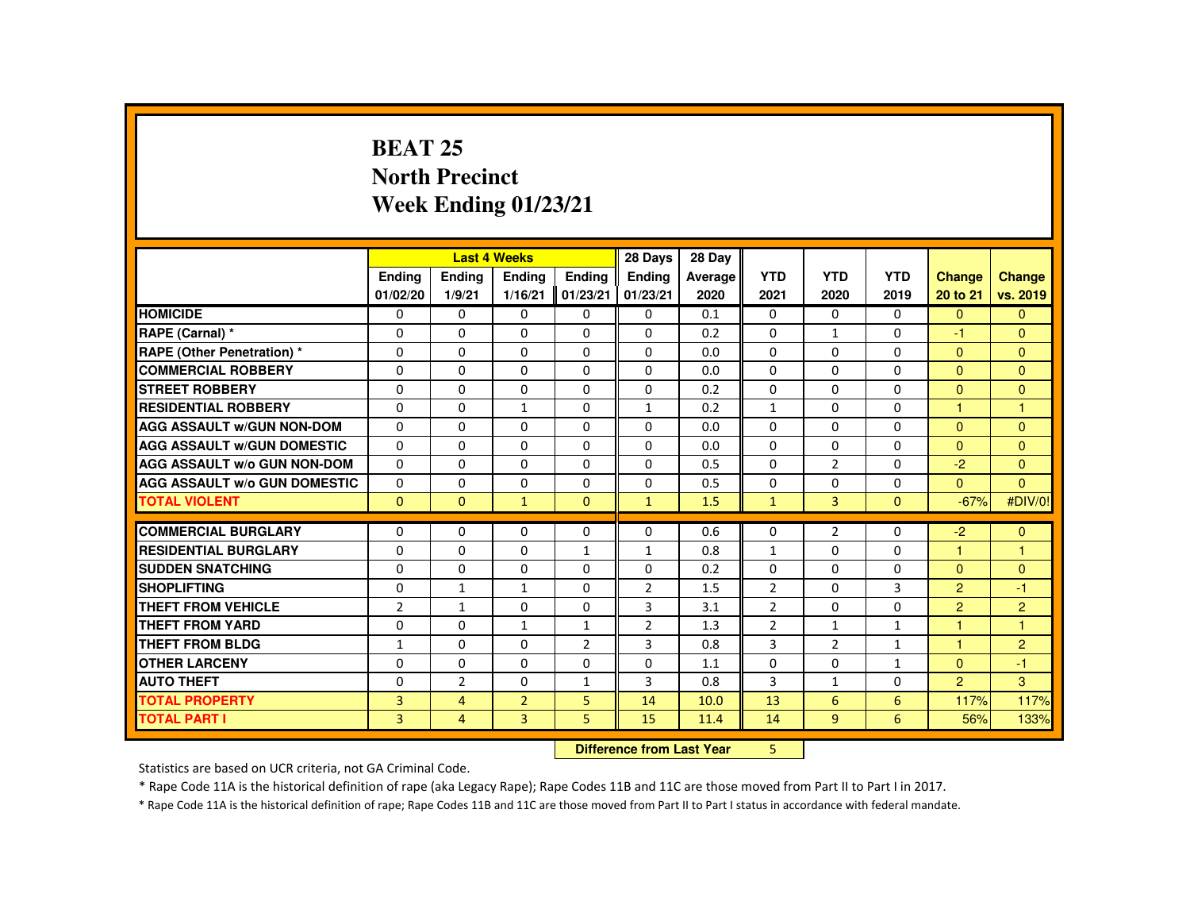## **BEAT 25 North PrecinctWeek Ending 01/23/21**

|                                     |                |                | <b>Last 4 Weeks</b> |                | 28 Days        | 28 Day  |                |                |              |                |                |
|-------------------------------------|----------------|----------------|---------------------|----------------|----------------|---------|----------------|----------------|--------------|----------------|----------------|
|                                     | Ending         | Ending         | <b>Ending</b>       | Ending         | <b>Ending</b>  | Average | <b>YTD</b>     | <b>YTD</b>     | <b>YTD</b>   | <b>Change</b>  | Change         |
|                                     | 01/02/20       | 1/9/21         | 1/16/21             | 01/23/21       | 01/23/21       | 2020    | 2021           | 2020           | 2019         | 20 to 21       | vs. 2019       |
| <b>HOMICIDE</b>                     | 0              | $\Omega$       | $\mathbf{0}$        | $\Omega$       | 0              | 0.1     | 0              | $\Omega$       | 0            | $\Omega$       | $\Omega$       |
| RAPE (Carnal) *                     | 0              | $\Omega$       | $\Omega$            | $\Omega$       | $\Omega$       | 0.2     | $\Omega$       | $\mathbf{1}$   | $\Omega$     | -1             | $\Omega$       |
| <b>RAPE (Other Penetration) *</b>   | $\Omega$       | $\Omega$       | $\Omega$            | $\Omega$       | $\Omega$       | 0.0     | $\Omega$       | $\Omega$       | $\Omega$     | $\Omega$       | $\Omega$       |
| <b>COMMERCIAL ROBBERY</b>           | $\Omega$       | $\Omega$       | $\Omega$            | $\Omega$       | $\Omega$       | 0.0     | $\Omega$       | $\Omega$       | $\Omega$     | $\Omega$       | $\Omega$       |
| <b>STREET ROBBERY</b>               | $\Omega$       | $\Omega$       | $\Omega$            | $\Omega$       | $\Omega$       | 0.2     | $\Omega$       | $\Omega$       | $\Omega$     | $\Omega$       | $\Omega$       |
| <b>RESIDENTIAL ROBBERY</b>          | 0              | $\Omega$       | 1                   | 0              | $\mathbf{1}$   | 0.2     | $\mathbf{1}$   | 0              | 0            | 1              | $\overline{1}$ |
| <b>AGG ASSAULT W/GUN NON-DOM</b>    | $\Omega$       | $\Omega$       | $\Omega$            | $\Omega$       | $\Omega$       | 0.0     | $\Omega$       | $\Omega$       | $\Omega$     | $\Omega$       | $\Omega$       |
| <b>AGG ASSAULT W/GUN DOMESTIC</b>   | $\Omega$       | $\Omega$       | $\Omega$            | $\Omega$       | $\Omega$       | 0.0     | $\Omega$       | $\Omega$       | $\Omega$     | $\Omega$       | $\Omega$       |
| AGG ASSAULT w/o GUN NON-DOM         | $\Omega$       | $\Omega$       | $\Omega$            | $\Omega$       | $\Omega$       | 0.5     | $\Omega$       | $\overline{2}$ | $\Omega$     | $-2$           | $\Omega$       |
| <b>AGG ASSAULT W/o GUN DOMESTIC</b> | $\Omega$       | $\Omega$       | $\Omega$            | $\Omega$       | $\Omega$       | 0.5     | $\Omega$       | $\Omega$       | $\Omega$     | $\Omega$       | $\Omega$       |
| <b>TOTAL VIOLENT</b>                | $\Omega$       | $\mathbf{0}$   | $\mathbf{1}$        | $\mathbf{0}$   | $\mathbf{1}$   | 1.5     | $\mathbf{1}$   | $\overline{3}$ | $\mathbf{0}$ | $-67%$         | #DIV/0!        |
|                                     |                |                |                     |                |                |         |                |                |              |                |                |
| <b>COMMERCIAL BURGLARY</b>          | $\Omega$       | $\Omega$       | $\Omega$            | 0              | 0              | 0.6     | 0              | $\overline{2}$ | 0            | $-2$           | $\mathbf{0}$   |
| <b>RESIDENTIAL BURGLARY</b>         | $\Omega$       | $\Omega$       | $\Omega$            | $\mathbf{1}$   | $\mathbf{1}$   | 0.8     | $\mathbf{1}$   | $\Omega$       | $\Omega$     | 1              | $\mathbf{1}$   |
| <b>SUDDEN SNATCHING</b>             | $\Omega$       | $\Omega$       | $\mathbf{0}$        | 0              | 0              | 0.2     | 0              | 0              | 0            | $\Omega$       | $\mathbf{0}$   |
| <b>SHOPLIFTING</b>                  | $\Omega$       | $\mathbf{1}$   | $\mathbf{1}$        | $\Omega$       | $\overline{2}$ | 1.5     | $\overline{2}$ | $\Omega$       | 3            | $\overline{2}$ | $-1$           |
| <b>THEFT FROM VEHICLE</b>           | $\overline{2}$ | $\mathbf{1}$   | $\Omega$            | $\Omega$       | 3              | 3.1     | $\overline{2}$ | $\Omega$       | 0            | 2              | $\overline{2}$ |
| <b>THEFT FROM YARD</b>              | $\Omega$       | $\Omega$       | $\mathbf{1}$        | $\mathbf{1}$   | $\overline{2}$ | 1.3     | $\overline{2}$ | $\mathbf{1}$   | $\mathbf{1}$ | 1              | $\mathbf{1}$   |
| <b>THEFT FROM BLDG</b>              | $\mathbf{1}$   | $\Omega$       | $\Omega$            | $\overline{2}$ | 3              | 0.8     | 3              | $\overline{2}$ | $\mathbf{1}$ | $\overline{1}$ | $\overline{2}$ |
| <b>OTHER LARCENY</b>                | $\Omega$       | $\Omega$       | $\Omega$            | $\Omega$       | 0              | 1.1     | 0              | 0              | $\mathbf{1}$ | $\overline{0}$ | $-1$           |
| <b>AUTO THEFT</b>                   | $\Omega$       | $\overline{2}$ | $\Omega$            | $\mathbf{1}$   | 3              | 0.8     | 3              | $\mathbf{1}$   | $\Omega$     | $\overline{2}$ | $\mathbf{3}$   |
| <b>TOTAL PROPERTY</b>               | 3              | $\overline{4}$ | $\overline{2}$      | 5              | 14             | 10.0    | 13             | 6              | 6            | 117%           | 117%           |
| <b>TOTAL PART I</b>                 | 3              | $\overline{4}$ | 3                   | 5              | 15             | 11.4    | 14             | 9              | 6            | 56%            | 133%           |
|                                     | <b>CARLES</b>  |                |                     |                |                |         |                |                |              |                |                |

 **Difference from Last Year**<sup>5</sup>

Statistics are based on UCR criteria, not GA Criminal Code.

\* Rape Code 11A is the historical definition of rape (aka Legacy Rape); Rape Codes 11B and 11C are those moved from Part II to Part I in 2017.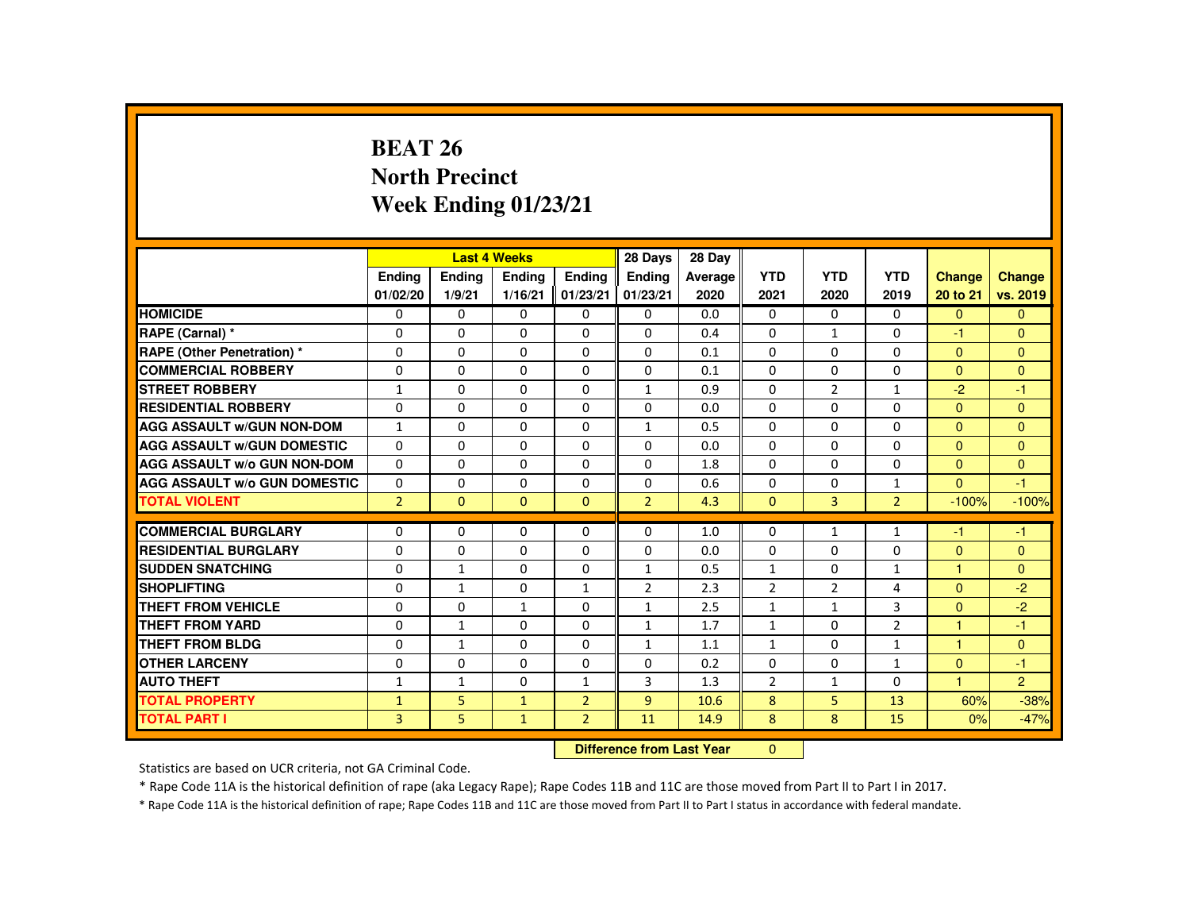# **BEAT 26 North PrecinctWeek Ending 01/23/21**

|                                     |                |              | <b>Last 4 Weeks</b> |                | 28 Days        | 28 Day  |                |                |                |              |                |
|-------------------------------------|----------------|--------------|---------------------|----------------|----------------|---------|----------------|----------------|----------------|--------------|----------------|
|                                     | Ending         | Ending       | Ending              | <b>Endina</b>  | <b>Endina</b>  | Average | <b>YTD</b>     | <b>YTD</b>     | <b>YTD</b>     | Change       | Change         |
|                                     | 01/02/20       | 1/9/21       | 1/16/21             | 01/23/21       | 01/23/21       | 2020    | 2021           | 2020           | 2019           | 20 to 21     | vs. 2019       |
| <b>HOMICIDE</b>                     | 0              | $\mathbf{0}$ | 0                   | 0              | 0              | 0.0     | 0              | 0              | 0              | $\mathbf{0}$ | $\mathbf{0}$   |
| RAPE (Carnal) *                     | 0              | $\Omega$     | $\Omega$            | $\Omega$       | $\Omega$       | 0.4     | $\Omega$       | $\mathbf{1}$   | $\Omega$       | $-1$         | $\mathbf{0}$   |
| <b>RAPE (Other Penetration) *</b>   | $\Omega$       | $\Omega$     | $\Omega$            | $\Omega$       | $\Omega$       | 0.1     | $\Omega$       | $\Omega$       | $\Omega$       | $\mathbf{0}$ | $\Omega$       |
| <b>COMMERCIAL ROBBERY</b>           | 0              | $\mathbf{0}$ | $\Omega$            | $\Omega$       | $\Omega$       | 0.1     | $\Omega$       | $\Omega$       | $\Omega$       | $\mathbf{0}$ | $\Omega$       |
| <b>STREET ROBBERY</b>               | $\mathbf{1}$   | $\Omega$     | $\Omega$            | $\Omega$       | $\mathbf{1}$   | 0.9     | $\Omega$       | $\overline{2}$ | $\mathbf{1}$   | $-2$         | $-1$           |
| <b>RESIDENTIAL ROBBERY</b>          | $\Omega$       | $\Omega$     | $\Omega$            | $\Omega$       | $\Omega$       | 0.0     | $\Omega$       | $\Omega$       | $\Omega$       | $\Omega$     | $\Omega$       |
| <b>AGG ASSAULT W/GUN NON-DOM</b>    | $\mathbf{1}$   | $\Omega$     | $\Omega$            | $\Omega$       | $\mathbf{1}$   | 0.5     | $\Omega$       | $\Omega$       | $\Omega$       | $\Omega$     | $\mathbf{0}$   |
| <b>AGG ASSAULT W/GUN DOMESTIC</b>   | $\Omega$       | $\Omega$     | $\Omega$            | $\Omega$       | $\Omega$       | 0.0     | $\Omega$       | $\Omega$       | $\Omega$       | $\Omega$     | $\Omega$       |
| <b>AGG ASSAULT W/o GUN NON-DOM</b>  | $\Omega$       | $\Omega$     | $\Omega$            | $\Omega$       | $\Omega$       | 1.8     | $\Omega$       | 0              | $\Omega$       | $\Omega$     | $\Omega$       |
| <b>AGG ASSAULT W/o GUN DOMESTIC</b> | $\Omega$       | $\Omega$     | $\Omega$            | $\Omega$       | $\Omega$       | 0.6     | $\Omega$       | 0              | $\mathbf{1}$   | $\Omega$     | $-1$           |
| <b>TOTAL VIOLENT</b>                | $\overline{2}$ | $\Omega$     | $\Omega$            | $\Omega$       | $\overline{2}$ | 4.3     | $\Omega$       | 3              | $\overline{2}$ | $-100%$      | $-100%$        |
| <b>COMMERCIAL BURGLARY</b>          | $\Omega$       | $\Omega$     | $\Omega$            | $\Omega$       | $\Omega$       | 1.0     | $\Omega$       | 1              | $\mathbf{1}$   | $-1$         | $-1$           |
| <b>RESIDENTIAL BURGLARY</b>         | $\Omega$       | $\Omega$     | $\Omega$            | $\mathbf 0$    | $\mathbf 0$    | 0.0     | $\mathbf 0$    | $\Omega$       | 0              | $\mathbf{0}$ | $\mathbf{0}$   |
| <b>SUDDEN SNATCHING</b>             | $\Omega$       | $\mathbf{1}$ | $\Omega$            | $\Omega$       | $\mathbf{1}$   | 0.5     | $\mathbf{1}$   | $\Omega$       | $\mathbf{1}$   | 1            | $\Omega$       |
| <b>SHOPLIFTING</b>                  | 0              | 1            | 0                   | $\mathbf{1}$   | $\overline{2}$ | 2.3     | $\overline{2}$ | $\overline{2}$ | 4              | $\mathbf{0}$ | $-2$           |
| <b>THEFT FROM VEHICLE</b>           | $\Omega$       | $\Omega$     | $\mathbf{1}$        | $\Omega$       | $\mathbf{1}$   | 2.5     | $\mathbf{1}$   | $\mathbf{1}$   | 3              | $\Omega$     | $-2$           |
| <b>THEFT FROM YARD</b>              | $\Omega$       | $\mathbf{1}$ | $\Omega$            | $\Omega$       | 1              | 1.7     | $\mathbf{1}$   | $\Omega$       | $\overline{2}$ | $\mathbf{1}$ | $-1$           |
| <b>THEFT FROM BLDG</b>              | $\Omega$       | $\mathbf{1}$ | $\Omega$            | $\Omega$       | 1              | 1.1     | $\mathbf{1}$   | $\Omega$       | $\mathbf{1}$   | 1            | $\mathbf{0}$   |
| <b>OTHER LARCENY</b>                | 0              | $\Omega$     | 0                   | $\Omega$       | 0              | 0.2     | $\Omega$       | 0              | $\mathbf{1}$   | $\mathbf{0}$ | $-1$           |
| <b>AUTO THEFT</b>                   | 1              | $\mathbf{1}$ | $\Omega$            | $\mathbf{1}$   | 3              | 1.3     | $\overline{2}$ | $\mathbf{1}$   | $\Omega$       | $\mathbf{1}$ | $\overline{2}$ |
| <b>TOTAL PROPERTY</b>               | $\mathbf{1}$   | 5            | $\mathbf{1}$        | $\overline{2}$ | $\overline{9}$ | 10.6    | 8              | 5              | 13             | 60%          | $-38%$         |
| <b>TOTAL PART I</b>                 | $\overline{3}$ | 5            | $\mathbf{1}$        | $\overline{2}$ | 11             | 14.9    | 8              | 8              | 15             | 0%           | $-47%$         |
|                                     |                |              |                     |                |                |         |                |                |                |              |                |
|                                     |                |              |                     |                |                |         | $\Omega$       |                |                |              |                |

 **Difference from Last Year**

Statistics are based on UCR criteria, not GA Criminal Code.

\* Rape Code 11A is the historical definition of rape (aka Legacy Rape); Rape Codes 11B and 11C are those moved from Part II to Part I in 2017.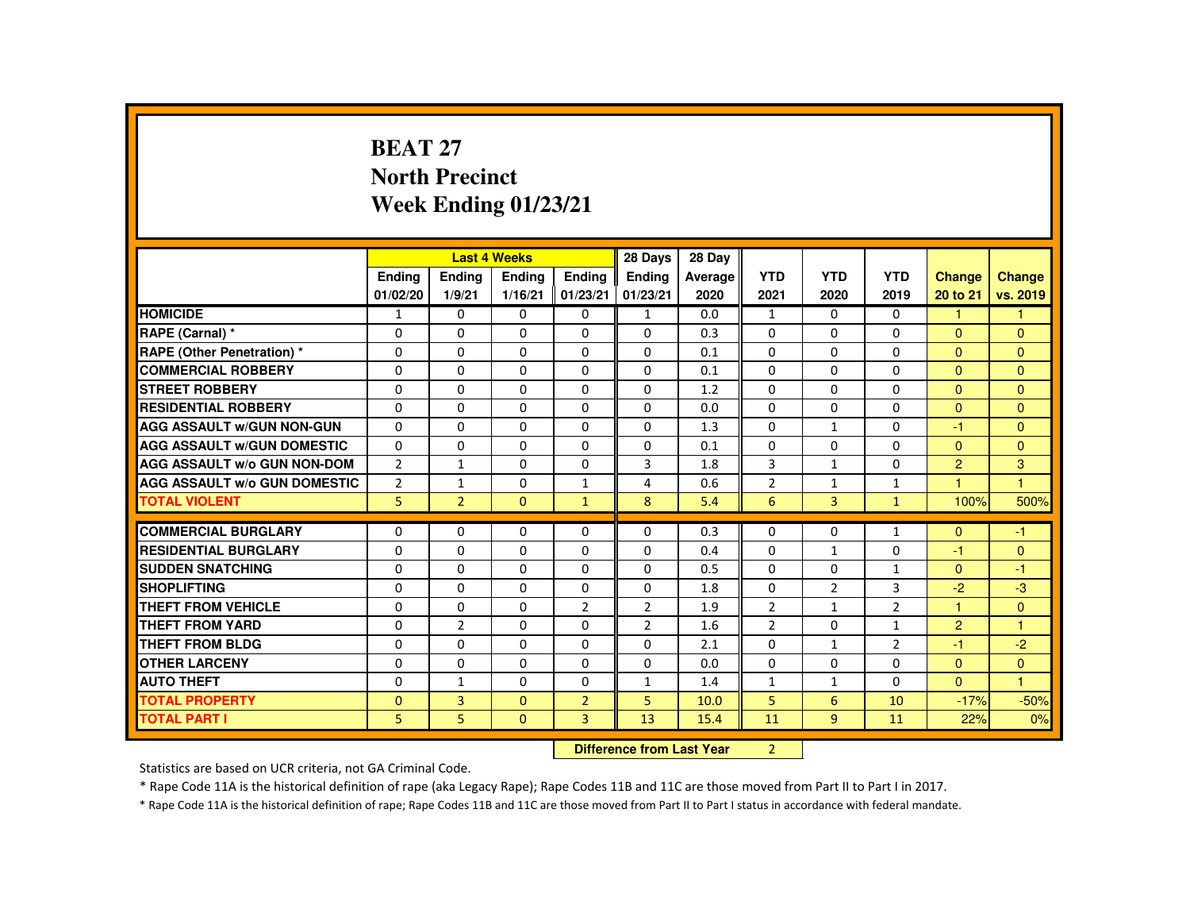# **BEAT 27 North PrecinctWeek Ending 01/23/21**

|                                     |                |                                  | <b>Last 4 Weeks</b> |                | 28 Days        | 28 Day  |                |                |                |                |                      |
|-------------------------------------|----------------|----------------------------------|---------------------|----------------|----------------|---------|----------------|----------------|----------------|----------------|----------------------|
|                                     | Ending         | <b>Ending</b>                    | <b>Ending</b>       | Ending         | Ending         | Average | <b>YTD</b>     | <b>YTD</b>     | <b>YTD</b>     | <b>Change</b>  | Change               |
|                                     | 01/02/20       | 1/9/21                           | 1/16/21             | 01/23/21       | 01/23/21       | 2020    | 2021           | 2020           | 2019           | 20 to 21       | vs. 2019             |
| <b>HOMICIDE</b>                     | 1              | $\Omega$                         | 0                   | 0              | $\mathbf{1}$   | 0.0     | $\mathbf{1}$   | $\Omega$       | $\mathbf{0}$   | 1              | 1                    |
| RAPE (Carnal) *                     | $\Omega$       | $\Omega$                         | $\Omega$            | $\Omega$       | $\Omega$       | 0.3     | $\Omega$       | $\Omega$       | $\Omega$       | $\Omega$       | $\Omega$             |
| <b>RAPE (Other Penetration)*</b>    | $\Omega$       | $\Omega$                         | $\Omega$            | $\Omega$       | $\Omega$       | 0.1     | $\Omega$       | $\Omega$       | $\Omega$       | $\Omega$       | $\Omega$             |
| <b>COMMERCIAL ROBBERY</b>           | $\Omega$       | $\Omega$                         | $\Omega$            | $\Omega$       | $\Omega$       | 0.1     | $\Omega$       | $\Omega$       | $\Omega$       | $\mathbf{0}$   | $\Omega$             |
| <b>STREET ROBBERY</b>               | 0              | $\Omega$                         | $\Omega$            | $\Omega$       | $\Omega$       | 1.2     | $\Omega$       | $\Omega$       | $\Omega$       | $\Omega$       | $\Omega$             |
| <b>RESIDENTIAL ROBBERY</b>          | $\Omega$       | $\Omega$                         | $\Omega$            | $\Omega$       | $\Omega$       | 0.0     | $\Omega$       | $\Omega$       | $\Omega$       | $\mathbf{0}$   | $\Omega$             |
| <b>AGG ASSAULT W/GUN NON-GUN</b>    | $\Omega$       | $\Omega$                         | $\Omega$            | $\Omega$       | $\Omega$       | 1.3     | $\Omega$       | $\mathbf{1}$   | $\Omega$       | $-1$           | $\Omega$             |
| <b>AGG ASSAULT W/GUN DOMESTIC</b>   | $\Omega$       | $\Omega$                         | $\Omega$            | $\Omega$       | $\Omega$       | 0.1     | $\Omega$       | $\Omega$       | $\Omega$       | $\Omega$       | $\Omega$             |
| <b>AGG ASSAULT W/o GUN NON-DOM</b>  | $\overline{2}$ | $\mathbf{1}$                     | $\Omega$            | 0              | 3              | 1.8     | 3              | $\mathbf{1}$   | $\Omega$       | $\overline{2}$ | 3                    |
| <b>AGG ASSAULT W/o GUN DOMESTIC</b> | $\overline{2}$ | $\mathbf{1}$                     | $\Omega$            | $\mathbf{1}$   | 4              | 0.6     | $\overline{2}$ | $\mathbf{1}$   | $\mathbf{1}$   | -1             | $\blacktriangleleft$ |
| <b>TOTAL VIOLENT</b>                | 5              | $\overline{2}$                   | $\mathbf{0}$        | $\mathbf{1}$   | 8              | 5.4     | 6              | $\overline{3}$ | $\mathbf{1}$   | 100%           | 500%                 |
| <b>COMMERCIAL BURGLARY</b>          | $\Omega$       | $\Omega$                         | $\Omega$            | $\Omega$       | $\Omega$       | 0.3     | $\Omega$       | $\Omega$       | $\mathbf{1}$   | $\Omega$       | $-1$                 |
| <b>RESIDENTIAL BURGLARY</b>         | $\Omega$       | $\Omega$                         | $\Omega$            | $\Omega$       | $\Omega$       | 0.4     | $\Omega$       | $\mathbf{1}$   | $\Omega$       | $-1$           | $\Omega$             |
| <b>SUDDEN SNATCHING</b>             | $\Omega$       | $\Omega$                         | $\Omega$            | $\Omega$       | $\Omega$       | 0.5     | $\Omega$       | $\Omega$       | $\mathbf{1}$   | $\Omega$       | $-1$                 |
| <b>SHOPLIFTING</b>                  | 0              | $\mathbf{0}$                     | 0                   | $\Omega$       | $\mathbf{0}$   | 1.8     | $\mathbf{0}$   | $\overline{2}$ | 3              | $-2$           | $-3$                 |
| <b>THEFT FROM VEHICLE</b>           | $\Omega$       | $\Omega$                         | $\Omega$            | $\overline{2}$ | $\overline{2}$ | 1.9     | $\overline{2}$ | $\mathbf{1}$   | $\overline{2}$ | -1             | $\Omega$             |
| <b>THEFT FROM YARD</b>              | $\Omega$       | $\overline{2}$                   | $\Omega$            | $\Omega$       | $\overline{2}$ | 1.6     | $\overline{2}$ | $\Omega$       | $\mathbf{1}$   | $\overline{2}$ | $\mathbf{1}$         |
| <b>THEFT FROM BLDG</b>              | $\Omega$       | $\Omega$                         | $\Omega$            | $\Omega$       | $\Omega$       | 2.1     | $\Omega$       | $\mathbf{1}$   | $\overline{2}$ | $-1$           | $-2$                 |
| <b>OTHER LARCENY</b>                | $\Omega$       | $\Omega$                         | $\Omega$            | $\Omega$       | $\Omega$       | 0.0     | $\Omega$       | $\Omega$       | $\Omega$       | $\Omega$       | $\overline{0}$       |
| <b>AUTO THEFT</b>                   | 0              | $\mathbf{1}$                     | $\Omega$            | $\Omega$       | 1              | 1.4     | $\mathbf{1}$   | $\mathbf{1}$   | 0              | $\mathbf{0}$   | $\overline{1}$       |
| <b>TOTAL PROPERTY</b>               | $\Omega$       | $\overline{3}$                   | $\Omega$            | $\overline{2}$ | 5              | 10.0    | 5              | 6              | 10             | $-17%$         | $-50%$               |
| <b>TOTAL PART I</b>                 | 5              | 5                                | $\mathbf{0}$        | $\overline{3}$ | 13             | 15.4    | 11             | $\overline{9}$ | 11             | 22%            | 0%                   |
|                                     |                | <b>Difference from Last Year</b> |                     | $\overline{2}$ |                |         |                |                |                |                |                      |

 **Difference from Last Year**

Statistics are based on UCR criteria, not GA Criminal Code.

\* Rape Code 11A is the historical definition of rape (aka Legacy Rape); Rape Codes 11B and 11C are those moved from Part II to Part I in 2017.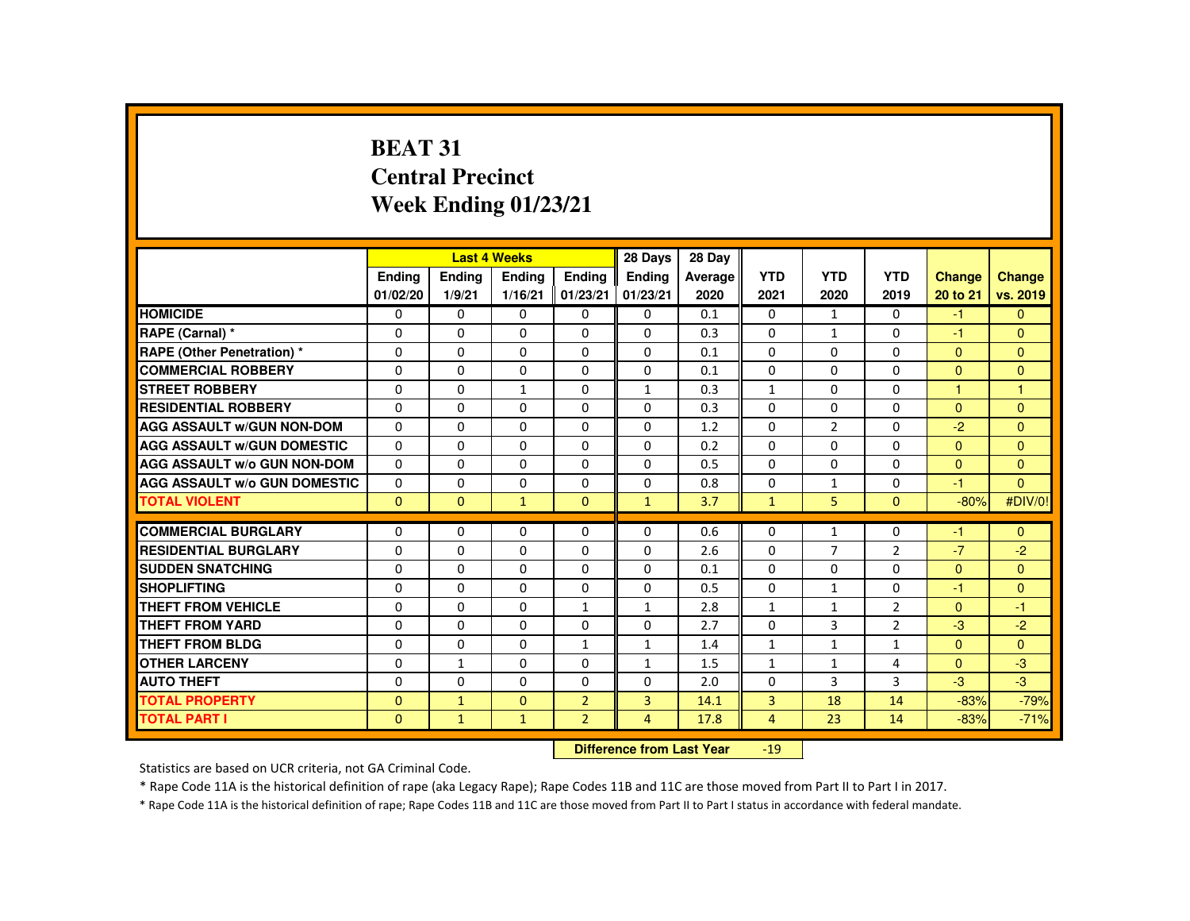# **BEAT 31 Central PrecinctWeek Ending 01/23/21**

|                                     |                           |              | <b>Last 4 Weeks</b> |                | 28 Days        | 28 Day  |                 |                |                |                |                |
|-------------------------------------|---------------------------|--------------|---------------------|----------------|----------------|---------|-----------------|----------------|----------------|----------------|----------------|
|                                     | <b>Endina</b>             | Ending       | <b>Ending</b>       | <b>Endina</b>  | <b>Endina</b>  | Average | <b>YTD</b>      | <b>YTD</b>     | <b>YTD</b>     | <b>Change</b>  | Change         |
|                                     | 01/02/20                  | 1/9/21       | 1/16/21             | 01/23/21       | 01/23/21       | 2020    | 2021            | 2020           | 2019           | 20 to 21       | vs. 2019       |
| <b>HOMICIDE</b>                     | $\Omega$                  | $\Omega$     | $\Omega$            | 0              | 0              | 0.1     | $\Omega$        | 1              | $\Omega$       | $-1$           | $\Omega$       |
| RAPE (Carnal) *                     | 0                         | $\Omega$     | $\Omega$            | $\Omega$       | $\Omega$       | 0.3     | $\Omega$        | $\mathbf{1}$   | $\Omega$       | $-1$           | $\mathbf{0}$   |
| <b>RAPE (Other Penetration)</b> *   | $\Omega$                  | $\Omega$     | $\Omega$            | $\Omega$       | $\Omega$       | 0.1     | $\Omega$        | $\Omega$       | $\Omega$       | $\Omega$       | $\Omega$       |
| <b>COMMERCIAL ROBBERY</b>           | 0                         | 0            | $\Omega$            | 0              | 0              | 0.1     | 0               | $\Omega$       | 0              | $\mathbf{0}$   | $\mathbf{0}$   |
| <b>STREET ROBBERY</b>               | $\Omega$                  | $\Omega$     | $\mathbf{1}$        | $\Omega$       | $\mathbf{1}$   | 0.3     | $\mathbf{1}$    | $\Omega$       | $\Omega$       | $\overline{1}$ | $\mathbf{1}$   |
| <b>RESIDENTIAL ROBBERY</b>          | 0                         | 0            | 0                   | 0              | 0              | 0.3     | 0               | 0              | 0              | $\overline{0}$ | $\mathbf{0}$   |
| <b>AGG ASSAULT W/GUN NON-DOM</b>    | $\Omega$                  | $\Omega$     | $\Omega$            | $\Omega$       | $\Omega$       | 1.2     | $\Omega$        | $\overline{2}$ | $\Omega$       | $-2$           | $\Omega$       |
| <b>AGG ASSAULT W/GUN DOMESTIC</b>   | $\Omega$                  | $\Omega$     | $\Omega$            | $\Omega$       | $\Omega$       | 0.2     | $\Omega$        | $\Omega$       | $\Omega$       | $\Omega$       | $\Omega$       |
| <b>AGG ASSAULT W/o GUN NON-DOM</b>  | $\Omega$                  | $\Omega$     | $\Omega$            | $\Omega$       | $\Omega$       | 0.5     | $\Omega$        | $\Omega$       | $\Omega$       | $\Omega$       | $\Omega$       |
| <b>AGG ASSAULT W/o GUN DOMESTIC</b> | $\Omega$                  | $\Omega$     | $\Omega$            | $\Omega$       | $\Omega$       | 0.8     | $\Omega$        | $\mathbf{1}$   | $\Omega$       | $-1$           | $\Omega$       |
| <b>TOTAL VIOLENT</b>                | $\Omega$                  | $\mathbf{0}$ | $\mathbf{1}$        | $\mathbf{0}$   | $\mathbf{1}$   | 3.7     | $\mathbf{1}$    | 5              | $\mathbf{0}$   | $-80%$         | #DIV/0!        |
| <b>COMMERCIAL BURGLARY</b>          | $\Omega$                  | $\Omega$     | $\Omega$            | $\Omega$       | $\Omega$       | 0.6     | $\Omega$        | $\mathbf{1}$   | 0              | $-1$           | $\Omega$       |
| <b>RESIDENTIAL BURGLARY</b>         | $\Omega$                  | $\Omega$     | $\Omega$            | $\Omega$       | $\Omega$       | 2.6     | $\Omega$        | $\overline{7}$ | $\overline{2}$ | $-7$           | $-2$           |
| <b>SUDDEN SNATCHING</b>             | $\Omega$                  | $\Omega$     | $\Omega$            | 0              | $\Omega$       | 0.1     | $\Omega$        | $\Omega$       | $\Omega$       | $\mathbf{0}$   | $\Omega$       |
| <b>SHOPLIFTING</b>                  | $\Omega$                  | $\Omega$     | $\Omega$            | $\Omega$       | $\Omega$       | 0.5     | $\Omega$        | $\mathbf{1}$   | $\Omega$       | $-1$           | $\Omega$       |
| <b>THEFT FROM VEHICLE</b>           | $\Omega$                  | $\Omega$     | $\Omega$            | $\mathbf{1}$   | $\mathbf{1}$   | 2.8     | $\mathbf{1}$    | $\mathbf{1}$   | $\overline{2}$ | $\Omega$       | $-1$           |
| <b>THEFT FROM YARD</b>              | $\Omega$                  | $\Omega$     | $\Omega$            | $\Omega$       | $\Omega$       | 2.7     | $\Omega$        | $\overline{3}$ | $\overline{2}$ | $-3$           | $-2$           |
| <b>THEFT FROM BLDG</b>              | 0                         | $\Omega$     | 0                   | $\mathbf{1}$   | 1              | 1.4     | $\mathbf{1}$    | $\mathbf{1}$   | $\mathbf{1}$   | $\mathbf{0}$   | $\overline{0}$ |
| <b>OTHER LARCENY</b>                | $\Omega$                  | $\mathbf{1}$ | $\Omega$            | $\Omega$       | 1              | 1.5     | $\mathbf{1}$    | $\mathbf{1}$   | 4              | $\Omega$       | $-3$           |
| <b>AUTO THEFT</b>                   | $\Omega$                  | $\Omega$     | $\Omega$            | $\Omega$       | $\Omega$       | 2.0     | $\Omega$        | 3              | 3              | $-3$           | $-3$           |
| <b>TOTAL PROPERTY</b>               | $\Omega$                  | $\mathbf{1}$ | $\Omega$            | $\overline{2}$ | $\overline{3}$ | 14.1    | $\overline{3}$  | 18             | 14             | $-83%$         | $-79%$         |
| <b>TOTAL PART I</b>                 | $\mathbf{0}$              | $\mathbf{1}$ | $\mathbf{1}$        | $\overline{2}$ | 4              | 17.8    | $\overline{4}$  | 23             | 14             | $-83%$         | $-71%$         |
|                                     | Difference from Loot Vear |              |                     |                |                |         | 10 <sub>1</sub> |                |                |                |                |

 **Difference from Last Year**-19

Statistics are based on UCR criteria, not GA Criminal Code.

\* Rape Code 11A is the historical definition of rape (aka Legacy Rape); Rape Codes 11B and 11C are those moved from Part II to Part I in 2017.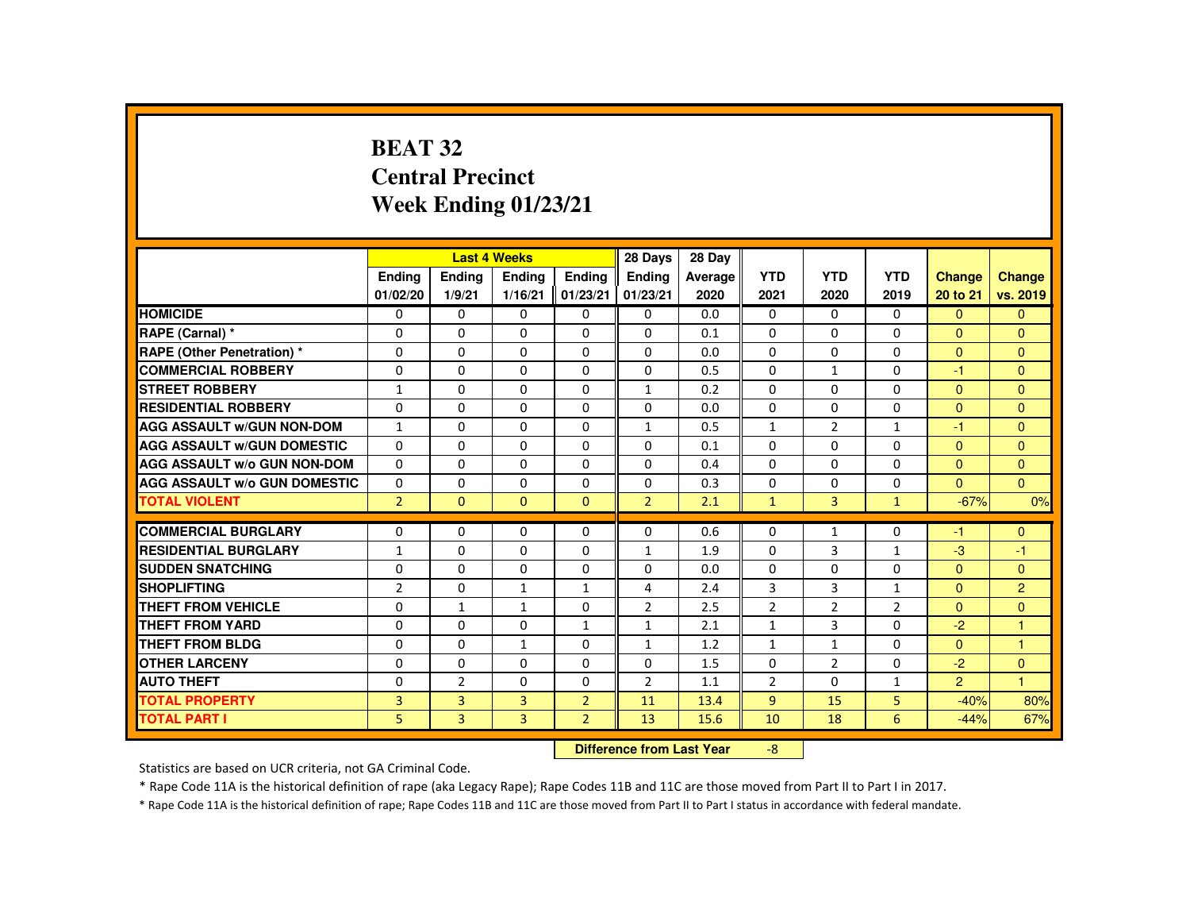# **BEAT 32 Central PrecinctWeek Ending 01/23/21**

|                                     |                |                | <b>Last 4 Weeks</b> |                | 28 Days                   | 28 Day  |                |                |                |                |               |
|-------------------------------------|----------------|----------------|---------------------|----------------|---------------------------|---------|----------------|----------------|----------------|----------------|---------------|
|                                     | Ending         | Ending         | Ending              | <b>Endina</b>  | Ending                    | Average | <b>YTD</b>     | <b>YTD</b>     | <b>YTD</b>     | Change         | <b>Change</b> |
|                                     | 01/02/20       | 1/9/21         | 1/16/21             | 01/23/21       | 01/23/21                  | 2020    | 2021           | 2020           | 2019           | 20 to 21       | vs. 2019      |
| <b>HOMICIDE</b>                     | 0              | $\Omega$       | 0                   | $\mathbf{0}$   | 0                         | 0.0     | $\mathbf{0}$   | $\Omega$       | $\Omega$       | $\mathbf{0}$   | $\mathbf{0}$  |
| RAPE (Carnal) *                     | $\Omega$       | $\Omega$       | $\Omega$            | 0              | 0                         | 0.1     | 0              | 0              | 0              | $\mathbf{0}$   | $\mathbf{0}$  |
| <b>RAPE (Other Penetration) *</b>   | $\Omega$       | $\Omega$       | $\Omega$            | $\Omega$       | $\Omega$                  | 0.0     | $\Omega$       | $\Omega$       | $\Omega$       | $\mathbf{0}$   | $\mathbf{0}$  |
| <b>COMMERCIAL ROBBERY</b>           | $\Omega$       | $\Omega$       | $\Omega$            | $\mathbf{0}$   | $\Omega$                  | 0.5     | $\Omega$       | $\mathbf{1}$   | $\Omega$       | $-1$           | $\Omega$      |
| <b>STREET ROBBERY</b>               | $\mathbf{1}$   | $\Omega$       | $\Omega$            | $\Omega$       | $\mathbf{1}$              | 0.2     | $\Omega$       | $\Omega$       | $\Omega$       | $\Omega$       | $\Omega$      |
| <b>RESIDENTIAL ROBBERY</b>          | $\Omega$       | $\mathbf{0}$   | 0                   | $\Omega$       | $\Omega$                  | 0.0     | $\Omega$       | 0              | 0              | $\mathbf{0}$   | $\Omega$      |
| <b>AGG ASSAULT W/GUN NON-DOM</b>    | $\mathbf{1}$   | $\Omega$       | $\Omega$            | $\Omega$       | $\mathbf{1}$              | 0.5     | $\mathbf{1}$   | 2              | $\mathbf{1}$   | $-1$           | $\Omega$      |
| <b>AGG ASSAULT W/GUN DOMESTIC</b>   | $\Omega$       | $\Omega$       | $\Omega$            | $\Omega$       | $\Omega$                  | 0.1     | $\Omega$       | $\Omega$       | $\Omega$       | $\overline{0}$ | $\mathbf{0}$  |
| <b>AGG ASSAULT W/o GUN NON-DOM</b>  | $\Omega$       | $\Omega$       | $\Omega$            | $\Omega$       | $\Omega$                  | 0.4     | $\Omega$       | $\Omega$       | $\Omega$       | $\Omega$       | $\Omega$      |
| <b>AGG ASSAULT W/o GUN DOMESTIC</b> | 0              | $\mathbf{0}$   | 0                   | 0              | 0                         | 0.3     | 0              | 0              | 0              | $\Omega$       | $\mathbf{0}$  |
| <b>TOTAL VIOLENT</b>                | $\overline{2}$ | $\mathbf{0}$   | $\mathbf{0}$        | $\mathbf{0}$   | $\overline{2}$            | 2.1     | $\mathbf{1}$   | $\overline{3}$ | $\mathbf{1}$   | $-67%$         | 0%            |
| <b>COMMERCIAL BURGLARY</b>          | $\Omega$       | $\Omega$       | $\Omega$            | $\Omega$       | $\Omega$                  | 0.6     | $\Omega$       | $\mathbf{1}$   | $\Omega$       | $-1$           | $\mathbf{0}$  |
| <b>RESIDENTIAL BURGLARY</b>         | $\mathbf{1}$   | $\Omega$       | $\Omega$            | 0              | 1                         | 1.9     | 0              | 3              | $\mathbf{1}$   | $-3$           | -1            |
| <b>SUDDEN SNATCHING</b>             | $\Omega$       | $\Omega$       | $\Omega$            | 0              | 0                         | 0.0     | 0              | 0              | 0              | $\overline{0}$ | $\mathbf{0}$  |
| <b>SHOPLIFTING</b>                  | $\overline{2}$ | $\Omega$       | $\mathbf{1}$        | $\mathbf{1}$   | 4                         | 2.4     | 3              | 3              | $\mathbf{1}$   | $\mathbf{0}$   | 2             |
| <b>THEFT FROM VEHICLE</b>           | $\Omega$       | $\mathbf{1}$   | $\mathbf{1}$        | $\Omega$       | $\overline{2}$            | 2.5     | $\overline{2}$ | $\overline{2}$ | $\overline{2}$ | $\Omega$       | $\mathbf{0}$  |
| <b>THEFT FROM YARD</b>              | $\Omega$       | $\Omega$       | $\Omega$            | $\mathbf{1}$   | 1                         | 2.1     | $\mathbf{1}$   | 3              | $\Omega$       | $-2$           | 1             |
| THEFT FROM BLDG                     | $\mathbf{0}$   | $\Omega$       | $\mathbf{1}$        | 0              | $\mathbf{1}$              | 1.2     | $\mathbf{1}$   | $\mathbf{1}$   | 0              | $\mathbf{0}$   | 1             |
| <b>OTHER LARCENY</b>                | $\Omega$       | $\Omega$       | $\Omega$            | $\Omega$       | $\Omega$                  | 1.5     | $\Omega$       | 2              | $\Omega$       | $-2$           | $\mathbf{0}$  |
| <b>AUTO THEFT</b>                   | $\Omega$       | $\overline{2}$ | $\Omega$            | 0              | $\overline{2}$            | 1.1     | $\overline{2}$ | $\Omega$       | $\mathbf{1}$   | $\overline{2}$ | $\mathbf{1}$  |
| <b>TOTAL PROPERTY</b>               | $\overline{3}$ | 3              | 3                   | $\overline{2}$ | 11                        | 13.4    | $\overline{9}$ | 15             | 5              | $-40%$         | 80%           |
| <b>TOTAL PART I</b>                 | 5              | 3              | 3                   | $\overline{2}$ | 13                        | 15.6    | 10             | 18             | 6              | $-44%$         | 67%           |
|                                     |                |                |                     |                | Difference from Loot Voor |         | $\circ$        |                |                |                |               |

 **Difference from Last Year**r -8

Statistics are based on UCR criteria, not GA Criminal Code.

\* Rape Code 11A is the historical definition of rape (aka Legacy Rape); Rape Codes 11B and 11C are those moved from Part II to Part I in 2017.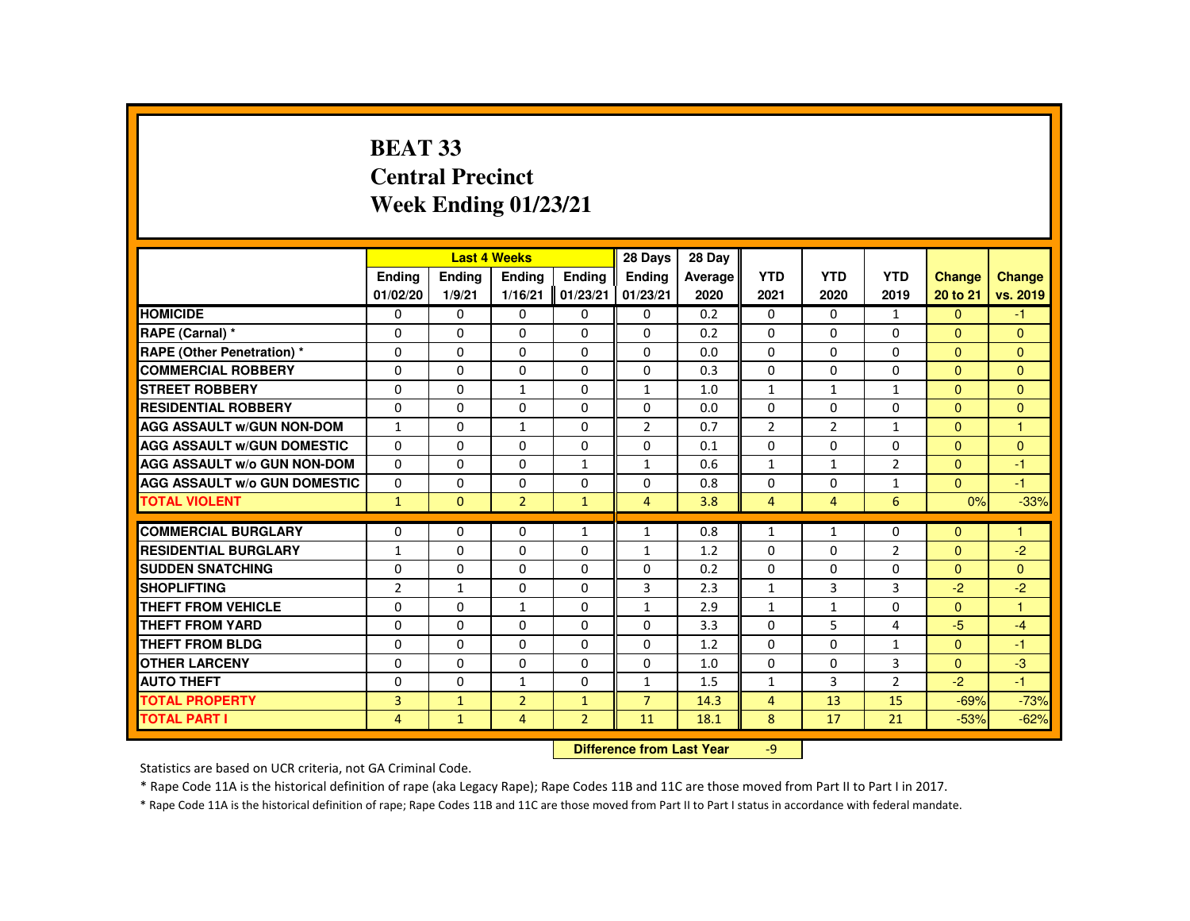# **BEAT 33 Central PrecinctWeek Ending 01/23/21**

|                                     |                | <b>Last 4 Weeks</b>              |                |              | 28 Days        | 28 Day  |                |                |                |               |                |
|-------------------------------------|----------------|----------------------------------|----------------|--------------|----------------|---------|----------------|----------------|----------------|---------------|----------------|
|                                     | Ending         | Ending                           | Ending         | Ending       | Ending         | Average | <b>YTD</b>     | <b>YTD</b>     | <b>YTD</b>     | <b>Change</b> | <b>Change</b>  |
|                                     | 01/02/20       | 1/9/21                           | 1/16/21        | 01/23/21     | 01/23/21       | 2020    | 2021           | 2020           | 2019           | 20 to 21      | vs. 2019       |
| <b>HOMICIDE</b>                     | 0              | 0                                | 0              | 0            | 0              | 0.2     | $\mathbf{0}$   | 0              | $\mathbf{1}$   | $\mathbf{0}$  | $-1$           |
| RAPE (Carnal) *                     | $\Omega$       | $\Omega$                         | $\Omega$       | $\Omega$     | $\Omega$       | 0.2     | $\Omega$       | $\Omega$       | $\Omega$       | $\Omega$      | $\Omega$       |
| <b>RAPE (Other Penetration) *</b>   | $\Omega$       | $\Omega$                         | $\Omega$       | $\Omega$     | $\Omega$       | 0.0     | $\Omega$       | $\Omega$       | $\Omega$       | $\Omega$      | $\Omega$       |
| <b>COMMERCIAL ROBBERY</b>           | $\Omega$       | 0                                | $\Omega$       | 0            | $\Omega$       | 0.3     | $\Omega$       | 0              | $\Omega$       | $\mathbf{0}$  | $\Omega$       |
| <b>STREET ROBBERY</b>               | $\Omega$       | $\Omega$                         | $\mathbf{1}$   | $\Omega$     | $\mathbf{1}$   | 1.0     | $\mathbf{1}$   | $\mathbf{1}$   | $\mathbf{1}$   | $\Omega$      | $\Omega$       |
| <b>RESIDENTIAL ROBBERY</b>          | $\Omega$       | $\Omega$                         | $\Omega$       | $\Omega$     | $\Omega$       | 0.0     | $\Omega$       | $\Omega$       | 0              | $\Omega$      | $\mathbf{0}$   |
| <b>AGG ASSAULT W/GUN NON-DOM</b>    | $\mathbf{1}$   | $\Omega$                         | $\mathbf{1}$   | $\Omega$     | $\overline{2}$ | 0.7     | $\overline{2}$ | $\overline{2}$ | $\mathbf{1}$   | $\Omega$      | $\overline{1}$ |
| <b>AGG ASSAULT W/GUN DOMESTIC</b>   | 0              | 0                                | 0              | 0            | 0              | 0.1     | 0              | 0              | 0              | $\Omega$      | $\mathbf{0}$   |
| AGG ASSAULT W/o GUN NON-DOM         | $\Omega$       | $\Omega$                         | $\Omega$       | $\mathbf{1}$ | $\mathbf{1}$   | 0.6     | $\mathbf{1}$   | $\mathbf{1}$   | $\overline{2}$ | $\Omega$      | $-1$           |
| <b>AGG ASSAULT W/o GUN DOMESTIC</b> | $\Omega$       | $\Omega$                         | $\Omega$       | $\Omega$     | $\Omega$       | 0.8     | $\Omega$       | $\Omega$       | $\mathbf{1}$   | $\Omega$      | $-1$           |
| <b>TOTAL VIOLENT</b>                | $\mathbf{1}$   | $\Omega$                         | $\overline{2}$ | $\mathbf{1}$ | $\overline{4}$ | 3.8     | $\overline{4}$ | $\overline{4}$ | 6              | 0%            | $-33%$         |
|                                     |                |                                  |                |              |                |         |                |                |                |               |                |
| <b>COMMERCIAL BURGLARY</b>          | $\mathbf{0}$   | 0                                | 0              | $\mathbf{1}$ | $\mathbf{1}$   | 0.8     | $\mathbf{1}$   | $\mathbf{1}$   | $\mathbf{0}$   | $\Omega$      | $\mathbf{1}$   |
| <b>RESIDENTIAL BURGLARY</b>         | $\mathbf{1}$   | $\Omega$                         | $\Omega$       | $\Omega$     | $\mathbf{1}$   | 1.2     | $\Omega$       | $\Omega$       | $\overline{2}$ | $\Omega$      | $-2$           |
| <b>SUDDEN SNATCHING</b>             | $\Omega$       | $\Omega$                         | $\Omega$       | 0            | $\Omega$       | 0.2     | $\Omega$       | $\Omega$       | 0              | $\Omega$      | $\mathbf{0}$   |
| <b>SHOPLIFTING</b>                  | $\overline{2}$ | $\mathbf{1}$                     | $\Omega$       | $\Omega$     | 3              | 2.3     | $\mathbf{1}$   | 3              | 3              | $-2$          | $-2$           |
| <b>THEFT FROM VEHICLE</b>           | $\Omega$       | $\Omega$                         | $\mathbf{1}$   | $\Omega$     | $\mathbf{1}$   | 2.9     | $\mathbf{1}$   | $\mathbf{1}$   | $\Omega$       | $\Omega$      | $\mathbf{1}$   |
| <b>THEFT FROM YARD</b>              | $\Omega$       | $\Omega$                         | $\Omega$       | $\Omega$     | $\Omega$       | 3.3     | $\Omega$       | 5              | 4              | $-5$          | $-4$           |
| <b>THEFT FROM BLDG</b>              | $\Omega$       | 0                                | $\Omega$       | 0            | 0              | 1.2     | $\Omega$       | 0              | $\mathbf{1}$   | $\Omega$      | $-1$           |
| <b>OTHER LARCENY</b>                | 0              | 0                                | 0              | $\Omega$     | $\Omega$       | 1.0     | $\Omega$       | 0              | 3              | $\Omega$      | $-3$           |
| <b>AUTO THEFT</b>                   | $\Omega$       | $\Omega$                         | $\mathbf{1}$   | $\Omega$     | $\mathbf{1}$   | 1.5     | $\mathbf{1}$   | 3              | $\overline{2}$ | $-2$          | $-1$           |
| <b>TOTAL PROPERTY</b>               | 3              | $\mathbf{1}$                     | $\overline{2}$ | $\mathbf{1}$ | $\overline{7}$ | 14.3    | 4              | 13             | 15             | $-69%$        | $-73%$         |
| <b>TOTAL PART I</b>                 | $\overline{4}$ | $\overline{2}$                   | 11             | 18.1         | 8              | 17      | 21             | $-53%$         | $-62%$         |               |                |
|                                     |                | <b>Difference from Last Year</b> |                | $-9$         |                |         |                |                |                |               |                |

Statistics are based on UCR criteria, not GA Criminal Code.

\* Rape Code 11A is the historical definition of rape (aka Legacy Rape); Rape Codes 11B and 11C are those moved from Part II to Part I in 2017.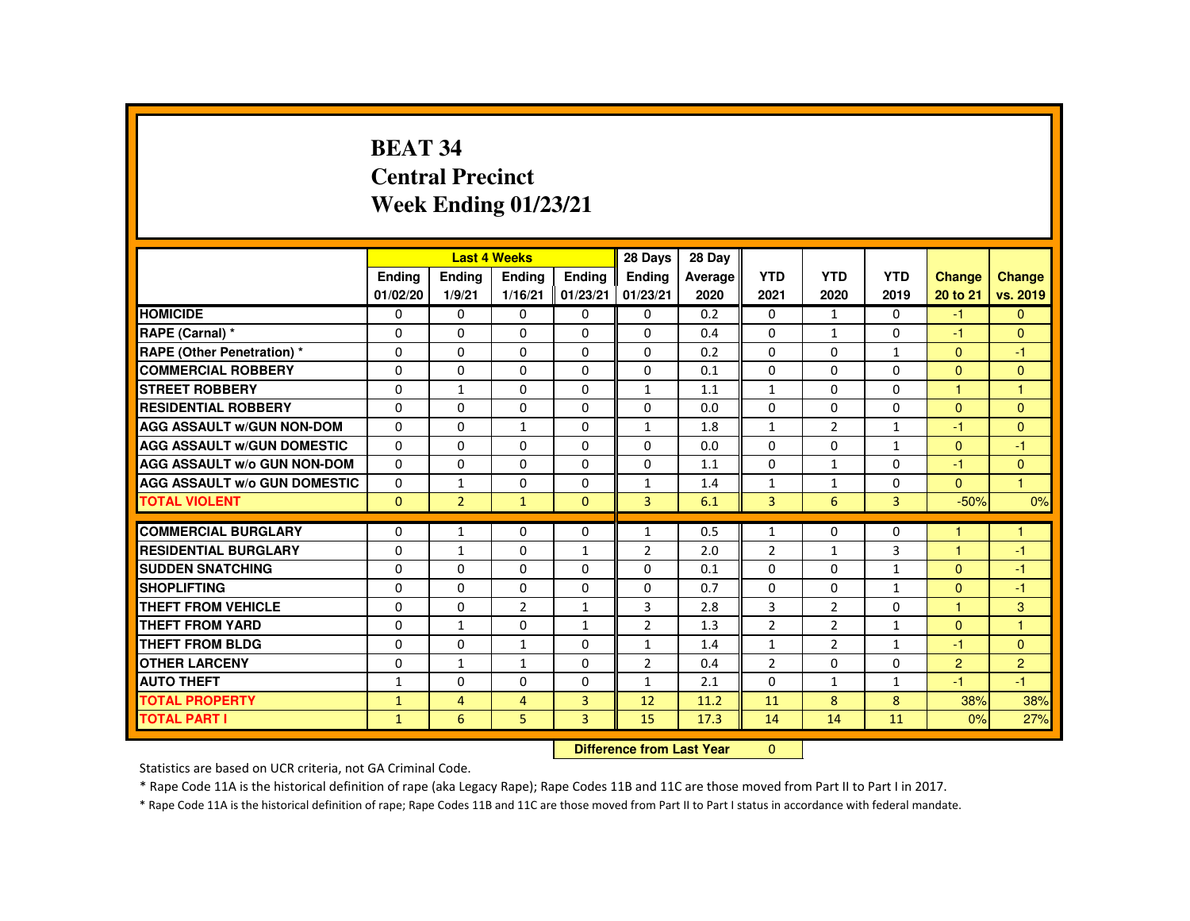# **BEAT 34 Central PrecinctWeek Ending 01/23/21**

|                                     |               |                | <b>Last 4 Weeks</b> |                | 28 Days                   | 28 Day  |                |                |                |                |                |
|-------------------------------------|---------------|----------------|---------------------|----------------|---------------------------|---------|----------------|----------------|----------------|----------------|----------------|
|                                     | <b>Endina</b> | Ending         | <b>Ending</b>       | Ending         | <b>Endina</b>             | Average | <b>YTD</b>     | <b>YTD</b>     | <b>YTD</b>     | <b>Change</b>  | Change         |
|                                     | 01/02/20      | 1/9/21         | 1/16/21             | 01/23/21       | 01/23/21                  | 2020    | 2021           | 2020           | 2019           | 20 to 21       | vs. 2019       |
| <b>HOMICIDE</b>                     | 0             | $\Omega$       | 0                   | 0              | 0                         | 0.2     | 0              | $\mathbf{1}$   | $\mathbf{0}$   | $-1$           | $\mathbf{0}$   |
| RAPE (Carnal) *                     | 0             | 0              | $\Omega$            | 0              | $\Omega$                  | 0.4     | $\Omega$       | $\mathbf{1}$   | $\Omega$       | $-1$           | $\mathbf{0}$   |
| RAPE (Other Penetration) *          | $\Omega$      | $\Omega$       | $\Omega$            | $\Omega$       | $\Omega$                  | 0.2     | $\Omega$       | $\Omega$       | $\mathbf{1}$   | $\Omega$       | $-1$           |
| <b>COMMERCIAL ROBBERY</b>           | $\Omega$      | $\Omega$       | $\Omega$            | $\Omega$       | $\Omega$                  | 0.1     | $\Omega$       | $\Omega$       | $\Omega$       | $\Omega$       | $\mathbf{0}$   |
| <b>STREET ROBBERY</b>               | $\Omega$      | $\mathbf{1}$   | $\Omega$            | $\Omega$       | $\mathbf{1}$              | 1.1     | $\mathbf{1}$   | $\Omega$       | $\Omega$       | $\overline{1}$ | $\mathbf{1}$   |
| <b>RESIDENTIAL ROBBERY</b>          | 0             | 0              | 0                   | 0              | 0                         | 0.0     | 0              | 0              | 0              | $\overline{0}$ | $\mathbf{0}$   |
| <b>AGG ASSAULT w/GUN NON-DOM</b>    | $\Omega$      | $\Omega$       | $\mathbf{1}$        | $\Omega$       | 1                         | 1.8     | $\mathbf{1}$   | 2              | $\mathbf{1}$   | -1             | $\Omega$       |
| <b>AGG ASSAULT W/GUN DOMESTIC</b>   | $\Omega$      | $\Omega$       | $\Omega$            | $\Omega$       | $\Omega$                  | 0.0     | $\Omega$       | $\Omega$       | $\mathbf{1}$   | $\Omega$       | $-1$           |
| <b>AGG ASSAULT w/o GUN NON-DOM</b>  | $\Omega$      | $\Omega$       | $\Omega$            | $\Omega$       | $\Omega$                  | 1.1     | $\Omega$       | $\mathbf{1}$   | $\Omega$       | $-1$           | $\mathbf{0}$   |
| <b>AGG ASSAULT W/o GUN DOMESTIC</b> | $\Omega$      | $\mathbf{1}$   | $\Omega$            | $\Omega$       | $\mathbf{1}$              | 1.4     | $\mathbf{1}$   | $\mathbf{1}$   | $\Omega$       | $\Omega$       | $\overline{1}$ |
| <b>TOTAL VIOLENT</b>                | $\Omega$      | $\overline{2}$ | $\mathbf{1}$        | $\Omega$       | $\overline{3}$            | 6.1     | $\overline{3}$ | 6              | $\overline{3}$ | $-50%$         | 0%             |
| <b>COMMERCIAL BURGLARY</b>          | $\Omega$      | $\mathbf{1}$   | $\Omega$            | $\Omega$       | $\mathbf{1}$              | 0.5     | $\mathbf{1}$   | $\Omega$       | $\Omega$       |                | 1              |
| <b>RESIDENTIAL BURGLARY</b>         | $\Omega$      | $\mathbf{1}$   | 0                   | $\mathbf{1}$   | 2                         | 2.0     | $\overline{2}$ | 1              | 3              | 1              | $-1$           |
| <b>SUDDEN SNATCHING</b>             | $\Omega$      | $\Omega$       | $\Omega$            | $\Omega$       | $\Omega$                  | 0.1     | $\Omega$       | $\Omega$       | $\mathbf{1}$   | $\Omega$       | $-1$           |
| <b>SHOPLIFTING</b>                  | $\Omega$      | $\Omega$       | $\Omega$            | $\Omega$       | $\Omega$                  | 0.7     | $\Omega$       | $\Omega$       | $\mathbf{1}$   | $\Omega$       | $-1$           |
| <b>THEFT FROM VEHICLE</b>           | $\Omega$      | $\Omega$       | $\overline{2}$      | $\mathbf{1}$   | $\overline{3}$            | 2.8     | 3              | $\overline{2}$ | $\Omega$       | $\overline{1}$ | 3              |
| <b>THEFT FROM YARD</b>              | 0             | $\mathbf{1}$   | $\Omega$            | $\mathbf{1}$   | $\overline{2}$            | 1.3     | $\overline{2}$ | $\overline{2}$ | $\mathbf{1}$   | $\Omega$       | $\mathbf{1}$   |
| <b>THEFT FROM BLDG</b>              | 0             | $\Omega$       | $\mathbf{1}$        | $\Omega$       | $\mathbf{1}$              | 1.4     | $\mathbf{1}$   | $\overline{2}$ | $\mathbf{1}$   | $-1$           | $\mathbf{0}$   |
| <b>OTHER LARCENY</b>                | $\Omega$      | $\mathbf{1}$   | $\mathbf{1}$        | $\Omega$       | $\overline{2}$            | 0.4     | $\overline{2}$ | $\Omega$       | $\Omega$       | 2              | $\overline{2}$ |
| <b>AUTO THEFT</b>                   | $\mathbf{1}$  | 0              | $\Omega$            | 0              | $\mathbf{1}$              | 2.1     | $\Omega$       | $\mathbf{1}$   | $\mathbf{1}$   | $-1$           | $-1$           |
| <b>TOTAL PROPERTY</b>               | $\mathbf{1}$  | $\overline{4}$ | $\overline{4}$      | $\overline{3}$ | 12                        | 11.2    | 11             | 8              | 8              | 38%            | 38%            |
| <b>TOTAL PART I</b>                 | 1             | 6              | 5                   | $\overline{3}$ | 15                        | 17.3    | 14             | 14             | 11             | 0%             | 27%            |
|                                     |               |                |                     |                | Difference from Loot Vear |         | $\sim$         |                |                |                |                |

 **Difference from Last Year**r 0

Statistics are based on UCR criteria, not GA Criminal Code.

\* Rape Code 11A is the historical definition of rape (aka Legacy Rape); Rape Codes 11B and 11C are those moved from Part II to Part I in 2017.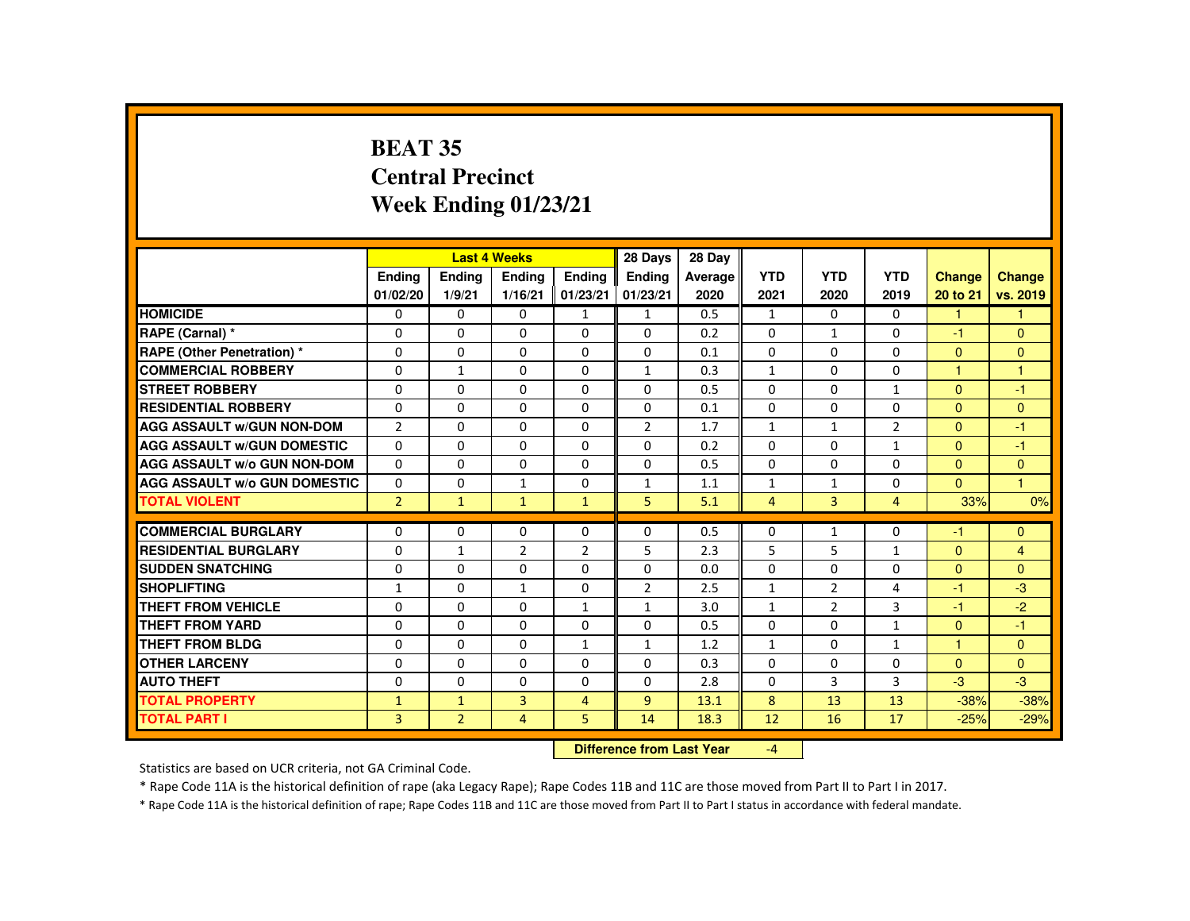# **BEAT 35 Central PrecinctWeek Ending 01/23/21**

|                                     |                           |                           | <b>Last 4 Weeks</b>      |                           | 28 Days                   | 28 Day          |                    |                    |                    |                           |                           |
|-------------------------------------|---------------------------|---------------------------|--------------------------|---------------------------|---------------------------|-----------------|--------------------|--------------------|--------------------|---------------------------|---------------------------|
|                                     | <b>Endina</b><br>01/02/20 | Ending<br>1/9/21          | <b>Ending</b><br>1/16/21 | <b>Endina</b><br>01/23/21 | <b>Ending</b><br>01/23/21 | Average<br>2020 | <b>YTD</b><br>2021 | <b>YTD</b><br>2020 | <b>YTD</b><br>2019 | <b>Change</b><br>20 to 21 | <b>Change</b><br>vs. 2019 |
| <b>HOMICIDE</b>                     | 0                         | 0                         | 0                        | $\mathbf{1}$              | $\mathbf{1}$              | 0.5             | 1                  | $\Omega$           | $\Omega$           | $\mathbf{1}$              | $\mathbf{1}$              |
| RAPE (Carnal) *                     | 0                         | $\Omega$                  | $\Omega$                 | $\Omega$                  | $\Omega$                  | 0.2             | $\Omega$           | 1                  | $\Omega$           | -1                        | $\mathbf{0}$              |
| <b>RAPE (Other Penetration) *</b>   | $\Omega$                  | $\Omega$                  | $\Omega$                 | $\Omega$                  | $\Omega$                  | 0.1             | $\Omega$           | $\Omega$           | $\Omega$           | $\Omega$                  | $\mathbf{0}$              |
| <b>COMMERCIAL ROBBERY</b>           | $\Omega$                  | $\mathbf{1}$              | $\Omega$                 | $\Omega$                  | $\mathbf{1}$              | 0.3             | $\mathbf{1}$       | $\Omega$           | $\Omega$           | $\overline{1}$            | $\mathbf{1}$              |
| <b>STREET ROBBERY</b>               | $\Omega$                  | $\Omega$                  | $\Omega$                 | $\Omega$                  | $\Omega$                  | 0.5             | $\Omega$           | $\Omega$           | $\mathbf{1}$       | $\Omega$                  | $-1$                      |
| <b>RESIDENTIAL ROBBERY</b>          | 0                         | 0                         | 0                        | 0                         | 0                         | 0.1             | $\Omega$           | 0                  | 0                  | $\Omega$                  | $\mathbf{0}$              |
| <b>AGG ASSAULT W/GUN NON-DOM</b>    | $\overline{2}$            | $\Omega$                  | $\Omega$                 | $\Omega$                  | $\overline{2}$            | 1.7             | $\mathbf{1}$       | $\mathbf{1}$       | $\overline{2}$     | $\Omega$                  | $-1$                      |
| <b>AGG ASSAULT W/GUN DOMESTIC</b>   | $\Omega$                  | $\Omega$                  | $\Omega$                 | $\Omega$                  | $\Omega$                  | 0.2             | $\Omega$           | $\Omega$           | $\mathbf{1}$       | $\Omega$                  | $-1$                      |
| <b>AGG ASSAULT W/o GUN NON-DOM</b>  | $\Omega$                  | $\Omega$                  | $\Omega$                 | $\mathbf{0}$              | $\Omega$                  | 0.5             | $\Omega$           | $\Omega$           | $\Omega$           | $\Omega$                  | $\mathbf{0}$              |
| <b>AGG ASSAULT W/o GUN DOMESTIC</b> | $\Omega$                  | $\Omega$                  | $\mathbf{1}$             | $\Omega$                  | $\mathbf{1}$              | 1.1             | $\mathbf{1}$       | $\mathbf{1}$       | $\Omega$           | $\Omega$                  | $\mathbf{1}$              |
| <b>TOTAL VIOLENT</b>                | $\overline{2}$            | $\mathbf{1}$              | $\mathbf{1}$             | $\mathbf{1}$              | 5                         | 5.1             | $\overline{4}$     | 3                  | $\overline{4}$     | 33%                       | 0%                        |
| <b>COMMERCIAL BURGLARY</b>          | $\Omega$                  | $\Omega$                  | $\Omega$                 | $\Omega$                  | 0                         | 0.5             | $\Omega$           | $\mathbf{1}$       | $\Omega$           | $-1$                      | $\Omega$                  |
| <b>RESIDENTIAL BURGLARY</b>         | $\Omega$                  | $\mathbf{1}$              | 2                        | $\overline{2}$            | 5                         | 2.3             | 5                  | 5                  | $\mathbf{1}$       | $\Omega$                  | $\overline{4}$            |
| <b>SUDDEN SNATCHING</b>             | 0                         | 0                         | 0                        | 0                         | 0                         | 0.0             | 0                  | 0                  | 0                  | $\Omega$                  | $\Omega$                  |
| <b>SHOPLIFTING</b>                  | $\mathbf{1}$              | $\Omega$                  | $\mathbf{1}$             | $\Omega$                  | $\overline{2}$            | 2.5             | $\mathbf{1}$       | 2                  | 4                  | $-1$                      | $-3$                      |
| <b>THEFT FROM VEHICLE</b>           | $\Omega$                  | $\Omega$                  | $\Omega$                 | $\mathbf{1}$              | $\mathbf{1}$              | 3.0             | $\mathbf{1}$       | $\overline{2}$     | 3                  | $-1$                      | $-2$                      |
| <b>THEFT FROM YARD</b>              | $\Omega$                  | $\Omega$                  | $\Omega$                 | $\Omega$                  | $\Omega$                  | 0.5             | $\Omega$           | $\Omega$           | $\mathbf{1}$       | $\Omega$                  | $-1$                      |
| THEFT FROM BLDG                     | 0                         | $\Omega$                  | $\Omega$                 | $\mathbf{1}$              | $\mathbf{1}$              | 1.2             | $\mathbf{1}$       | $\Omega$           | $\mathbf{1}$       |                           | $\mathbf{0}$              |
| <b>OTHER LARCENY</b>                | $\Omega$                  | $\Omega$                  | $\Omega$                 | $\Omega$                  | $\Omega$                  | 0.3             | $\Omega$           | $\Omega$           | $\Omega$           | $\Omega$                  | $\Omega$                  |
| <b>AUTO THEFT</b>                   | $\Omega$                  | $\Omega$                  | $\Omega$                 | $\Omega$                  | $\Omega$                  | 2.8             | $\Omega$           | 3                  | 3                  | $-3$                      | $-3$                      |
| <b>TOTAL PROPERTY</b>               | $\mathbf{1}$              | $\mathbf{1}$              | $\overline{3}$           | $\overline{4}$            | $\overline{9}$            | 13.1            | 8                  | 13                 | 13                 | $-38%$                    | $-38%$                    |
| <b>TOTAL PART I</b>                 | 3                         | $\overline{2}$            | $\overline{4}$           | 5                         | 14                        | 18.3            | 12                 | 16                 | 17                 | $-25%$                    | $-29%$                    |
|                                     |                           | Difference from Leat Vacu |                          | $\mathbf{A}$              |                           |                 |                    |                    |                    |                           |                           |

 **Difference from Last Year**-4

Statistics are based on UCR criteria, not GA Criminal Code.

\* Rape Code 11A is the historical definition of rape (aka Legacy Rape); Rape Codes 11B and 11C are those moved from Part II to Part I in 2017.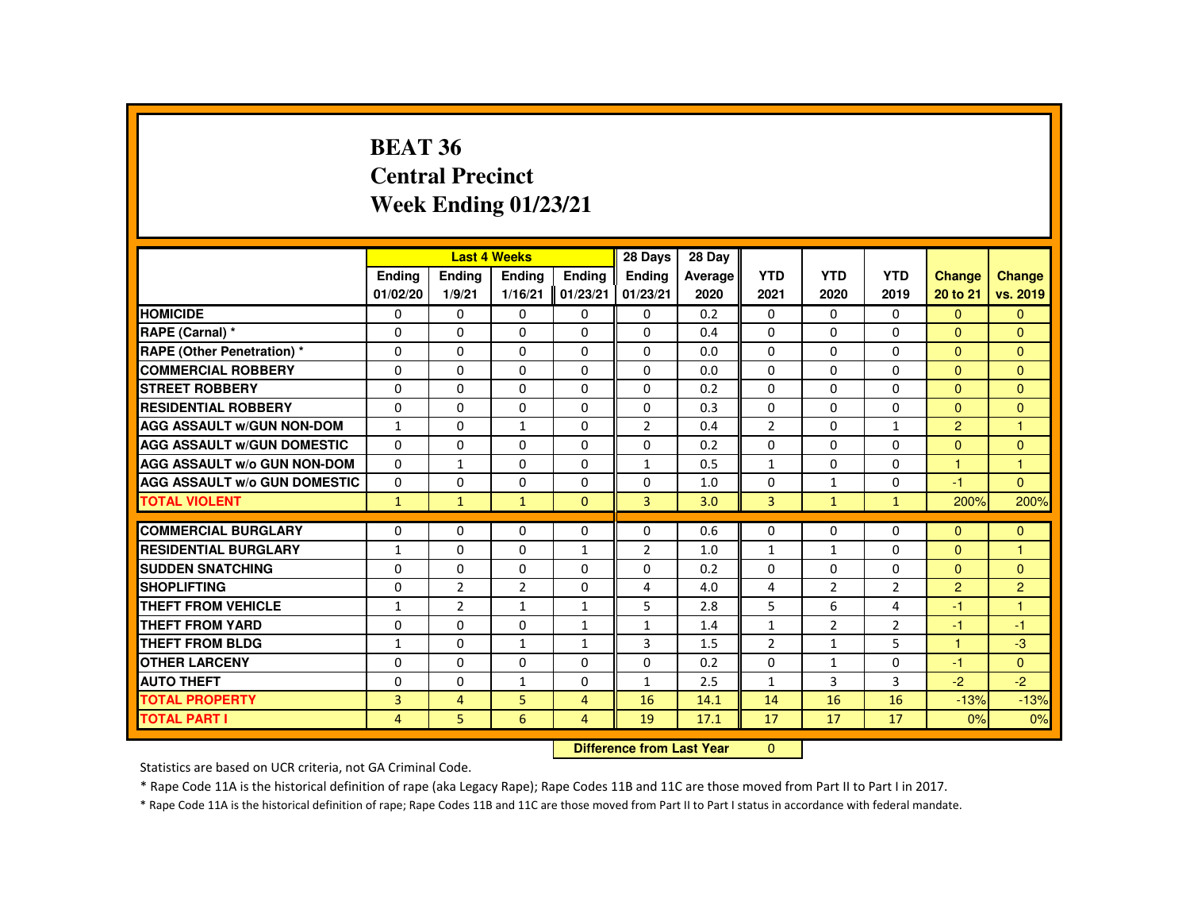#### **BEAT 36 Central PrecinctWeek Ending 01/23/21**

|                                     |               |                | <b>Last 4 Weeks</b> |                | 28 Days                   | 28 Day  |                |                |                |                |                |
|-------------------------------------|---------------|----------------|---------------------|----------------|---------------------------|---------|----------------|----------------|----------------|----------------|----------------|
|                                     | <b>Endina</b> | <b>Ending</b>  | <b>Ending</b>       | <b>Endina</b>  | <b>Ending</b>             | Average | <b>YTD</b>     | <b>YTD</b>     | <b>YTD</b>     | <b>Change</b>  | <b>Change</b>  |
|                                     | 01/02/20      | 1/9/21         | 1/16/21             | 01/23/21       | 01/23/21                  | 2020    | 2021           | 2020           | 2019           | 20 to 21       | vs. 2019       |
| <b>HOMICIDE</b>                     | $\Omega$      | $\Omega$       | $\Omega$            | $\Omega$       | 0                         | 0.2     | $\Omega$       | $\Omega$       | $\mathbf{0}$   | $\Omega$       | $\overline{0}$ |
| RAPE (Carnal) *                     | $\Omega$      | $\Omega$       | $\Omega$            | $\Omega$       | $\Omega$                  | 0.4     | $\Omega$       | $\Omega$       | $\Omega$       | $\Omega$       | $\Omega$       |
| <b>RAPE (Other Penetration) *</b>   | 0             | 0              | 0                   | 0              | 0                         | 0.0     | $\mathbf{0}$   | 0              | $\mathbf{0}$   | $\mathbf{0}$   | $\mathbf{0}$   |
| <b>COMMERCIAL ROBBERY</b>           | $\Omega$      | $\Omega$       | $\Omega$            | $\Omega$       | $\Omega$                  | 0.0     | $\Omega$       | $\Omega$       | $\Omega$       | $\Omega$       | $\Omega$       |
| <b>STREET ROBBERY</b>               | $\Omega$      | $\Omega$       | $\Omega$            | $\Omega$       | $\Omega$                  | 0.2     | $\Omega$       | $\Omega$       | $\Omega$       | $\Omega$       | $\mathbf{0}$   |
| <b>RESIDENTIAL ROBBERY</b>          | $\Omega$      | $\Omega$       | $\Omega$            | $\Omega$       | $\Omega$                  | 0.3     | $\Omega$       | $\Omega$       | $\Omega$       | $\Omega$       | $\Omega$       |
| <b>AGG ASSAULT W/GUN NON-DOM</b>    | $\mathbf{1}$  | 0              | 1                   | 0              | $\overline{2}$            | 0.4     | $\overline{2}$ | $\Omega$       | $\mathbf{1}$   | $\overline{2}$ | $\overline{1}$ |
| <b>AGG ASSAULT W/GUN DOMESTIC</b>   | $\Omega$      | 0              | $\Omega$            | $\Omega$       | $\Omega$                  | 0.2     | $\Omega$       | $\Omega$       | $\Omega$       | $\Omega$       | $\mathbf{0}$   |
| <b>AGG ASSAULT W/o GUN NON-DOM</b>  | $\Omega$      | $\mathbf{1}$   | $\Omega$            | $\Omega$       | $\mathbf{1}$              | 0.5     | $\mathbf{1}$   | $\Omega$       | $\Omega$       | $\overline{1}$ | $\overline{1}$ |
| <b>AGG ASSAULT W/o GUN DOMESTIC</b> | $\Omega$      | $\Omega$       | $\Omega$            | $\Omega$       | $\Omega$                  | 1.0     | $\Omega$       | $\mathbf{1}$   | $\Omega$       | $-1$           | $\Omega$       |
| <b>TOTAL VIOLENT</b>                | $\mathbf{1}$  | $\mathbf{1}$   | $\mathbf{1}$        | $\mathbf{0}$   | 3                         | 3.0     | 3              | $\mathbf{1}$   | $\mathbf{1}$   | 200%           | 200%           |
|                                     |               |                |                     |                |                           |         |                |                |                |                |                |
| <b>COMMERCIAL BURGLARY</b>          | 0             | 0              | $\Omega$            | 0              | 0                         | 0.6     | $\mathbf{0}$   | 0              | $\Omega$       | $\Omega$       | $\Omega$       |
| <b>RESIDENTIAL BURGLARY</b>         | $\mathbf{1}$  | 0              | $\Omega$            | $\mathbf{1}$   | $\overline{2}$            | 1.0     | $\mathbf{1}$   | $\mathbf{1}$   | $\Omega$       | $\Omega$       | $\overline{1}$ |
| <b>SUDDEN SNATCHING</b>             | 0             | 0              | 0                   | 0              | 0                         | 0.2     | $\mathbf{0}$   | 0              | $\mathbf{0}$   | $\mathbf{0}$   | $\mathbf{0}$   |
| <b>SHOPLIFTING</b>                  | $\Omega$      | $\overline{2}$ | 2                   | $\Omega$       | $\overline{4}$            | 4.0     | 4              | $\overline{2}$ | $\overline{2}$ | 2              | $\overline{2}$ |
| <b>THEFT FROM VEHICLE</b>           | $\mathbf{1}$  | $\overline{2}$ | $\mathbf{1}$        | $\mathbf{1}$   | 5                         | 2.8     | 5              | 6              | 4              | $-1$           | $\overline{1}$ |
| <b>THEFT FROM YARD</b>              | $\Omega$      | $\Omega$       | $\Omega$            | $\mathbf{1}$   | $\mathbf{1}$              | 1.4     | $\mathbf{1}$   | $\overline{2}$ | $\overline{2}$ | $-1$           | $-1$           |
| <b>THEFT FROM BLDG</b>              | $\mathbf{1}$  | $\Omega$       | $\mathbf{1}$        | $\mathbf{1}$   | 3                         | 1.5     | $\overline{2}$ | $\mathbf{1}$   | 5              | $\mathbf{1}$   | $-3$           |
| <b>OTHER LARCENY</b>                | $\Omega$      | $\Omega$       | $\Omega$            | $\Omega$       | $\Omega$                  | 0.2     | $\Omega$       | $\mathbf{1}$   | $\Omega$       | $-1$           | $\Omega$       |
| <b>AUTO THEFT</b>                   | $\Omega$      | $\Omega$       | $\mathbf{1}$        | $\Omega$       | $\mathbf{1}$              | 2.5     | $\mathbf{1}$   | 3              | 3              | $-2$           | $-2$           |
| <b>TOTAL PROPERTY</b>               | 3             | $\overline{4}$ | 5                   | $\overline{4}$ | 16                        | 14.1    | 14             | 16             | 16             | $-13%$         | $-13%$         |
| <b>TOTAL PART I</b>                 | 4             | 5              | 6                   | 4              | 19                        | 17.1    | 17             | 17             | 17             | 0%             | 0%             |
|                                     |               |                |                     |                | Difference from Loot Vear |         | $\Omega$       |                |                |                |                |

 **Difference from Last Year**r 0

Statistics are based on UCR criteria, not GA Criminal Code.

\* Rape Code 11A is the historical definition of rape (aka Legacy Rape); Rape Codes 11B and 11C are those moved from Part II to Part I in 2017.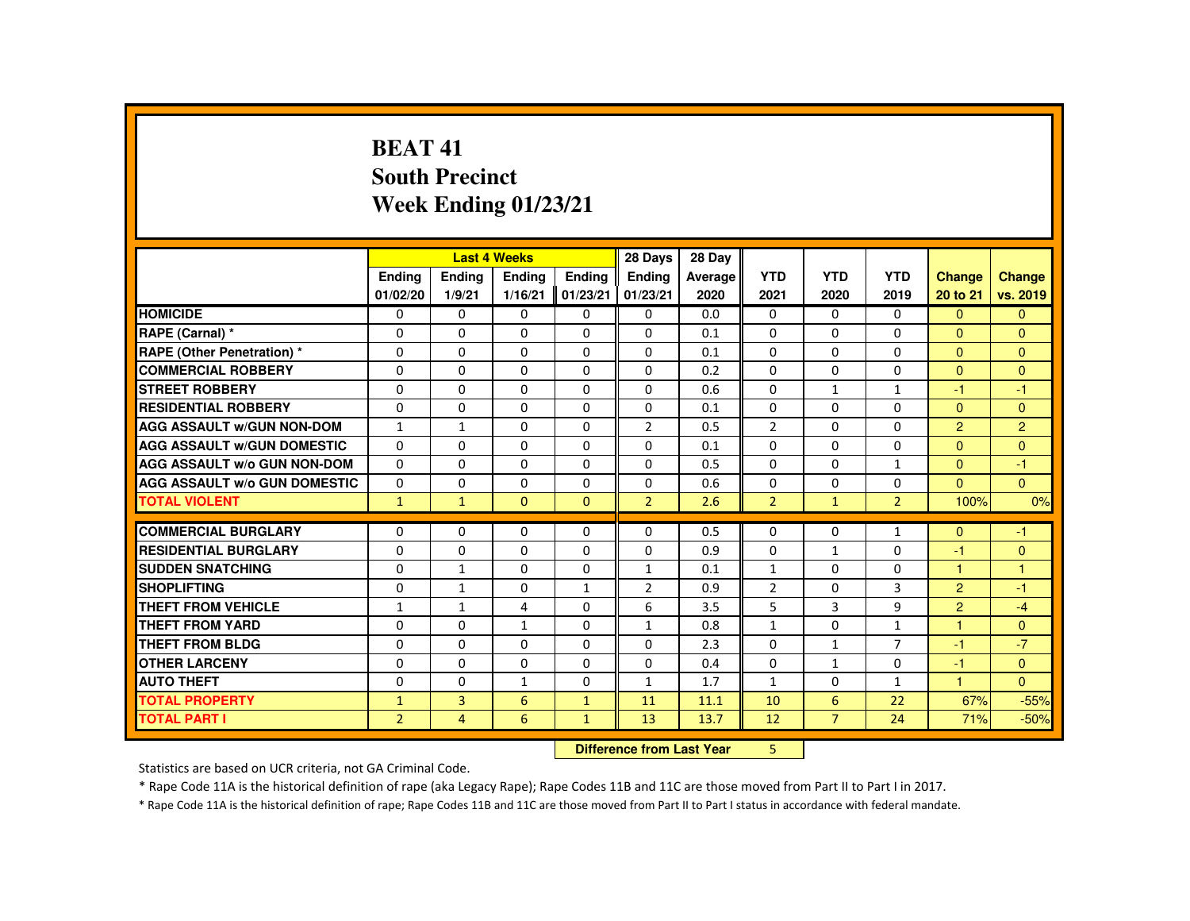## **BEAT 41 South PrecinctWeek Ending 01/23/21**

|                                     |                |                | <b>Last 4 Weeks</b> |               | 28 Days        | 28 Day  |                |                |                |                |                |
|-------------------------------------|----------------|----------------|---------------------|---------------|----------------|---------|----------------|----------------|----------------|----------------|----------------|
|                                     | <b>Endina</b>  | <b>Endina</b>  | <b>Endina</b>       | <b>Endina</b> | <b>Endina</b>  | Average | <b>YTD</b>     | <b>YTD</b>     | <b>YTD</b>     | <b>Change</b>  | Change         |
|                                     | 01/02/20       | 1/9/21         | 1/16/21             | 01/23/21      | 01/23/21       | 2020    | 2021           | 2020           | 2019           | 20 to 21       | vs. 2019       |
| <b>HOMICIDE</b>                     | $\Omega$       | $\Omega$       | $\Omega$            | $\Omega$      | 0              | 0.0     | $\Omega$       | $\Omega$       | $\Omega$       | $\Omega$       | $\mathbf{0}$   |
| RAPE (Carnal) *                     | $\Omega$       | $\Omega$       | $\Omega$            | $\Omega$      | $\Omega$       | 0.1     | $\Omega$       | 0              | $\Omega$       | $\mathbf{0}$   | $\Omega$       |
| RAPE (Other Penetration) *          | $\Omega$       | $\Omega$       | $\Omega$            | $\Omega$      | $\Omega$       | 0.1     | $\Omega$       | $\Omega$       | $\Omega$       | $\Omega$       | $\Omega$       |
| <b>COMMERCIAL ROBBERY</b>           | $\Omega$       | $\Omega$       | $\Omega$            | $\Omega$      | $\Omega$       | 0.2     | $\Omega$       | $\Omega$       | $\Omega$       | $\Omega$       | $\Omega$       |
| <b>STREET ROBBERY</b>               | $\Omega$       | $\Omega$       | $\Omega$            | $\Omega$      | $\Omega$       | 0.6     | $\Omega$       | $\mathbf{1}$   | $\mathbf{1}$   | $-1$           | $-1$           |
| <b>RESIDENTIAL ROBBERY</b>          | $\Omega$       | $\Omega$       | $\Omega$            | $\Omega$      | $\Omega$       | 0.1     | $\Omega$       | $\Omega$       | $\Omega$       | $\Omega$       | $\Omega$       |
| <b>AGG ASSAULT W/GUN NON-DOM</b>    | $\mathbf{1}$   | $\mathbf{1}$   | $\Omega$            | $\Omega$      | $\overline{2}$ | 0.5     | $\overline{2}$ | $\Omega$       | $\Omega$       | $\overline{2}$ | $\overline{2}$ |
| <b>AGG ASSAULT W/GUN DOMESTIC</b>   | $\Omega$       | $\Omega$       | $\Omega$            | $\Omega$      | $\Omega$       | 0.1     | $\Omega$       | $\Omega$       | $\Omega$       | $\Omega$       | $\Omega$       |
| <b>AGG ASSAULT W/o GUN NON-DOM</b>  | $\mathbf{0}$   | $\Omega$       | $\Omega$            | $\Omega$      | $\Omega$       | 0.5     | $\Omega$       | $\Omega$       | $\mathbf{1}$   | $\Omega$       | $-1$           |
| <b>AGG ASSAULT W/o GUN DOMESTIC</b> | $\Omega$       | $\Omega$       | $\Omega$            | $\Omega$      | $\Omega$       | 0.6     | $\Omega$       | $\Omega$       | $\Omega$       | $\Omega$       | $\Omega$       |
| <b>TOTAL VIOLENT</b>                | $\mathbf{1}$   | $\mathbf{1}$   | $\Omega$            | $\mathbf{0}$  | $\overline{2}$ | 2.6     | $\overline{2}$ | $\mathbf{1}$   | $\overline{2}$ | 100%           | 0%             |
| <b>COMMERCIAL BURGLARY</b>          | $\mathbf{0}$   | $\Omega$       | $\Omega$            | $\Omega$      | $\Omega$       | 0.5     | $\Omega$       | $\Omega$       | $\mathbf{1}$   | $\Omega$       | $-1$           |
| <b>RESIDENTIAL BURGLARY</b>         | $\Omega$       | $\Omega$       | $\Omega$            | $\Omega$      | $\Omega$       | 0.9     | $\Omega$       | $\mathbf{1}$   | $\Omega$       | $-1$           | $\mathbf{0}$   |
| <b>SUDDEN SNATCHING</b>             | 0              | $\mathbf{1}$   | $\mathbf{0}$        | 0             | $\mathbf{1}$   | 0.1     | $\mathbf{1}$   | 0              | 0              | $\overline{1}$ | $\overline{1}$ |
| <b>SHOPLIFTING</b>                  | $\Omega$       | $\mathbf{1}$   | $\Omega$            | $\mathbf{1}$  | $\overline{2}$ | 0.9     | $\overline{2}$ | $\Omega$       | 3              | $\overline{2}$ | $-1$           |
| <b>THEFT FROM VEHICLE</b>           | $\mathbf{1}$   | $\mathbf{1}$   | 4                   | $\Omega$      | 6              | 3.5     | 5              | 3              | 9              | 2              | $-4$           |
| <b>THEFT FROM YARD</b>              | $\Omega$       | $\Omega$       | $\mathbf{1}$        | $\Omega$      | $\mathbf{1}$   | 0.8     | $\mathbf{1}$   | $\Omega$       | $\mathbf{1}$   | 1              | $\Omega$       |
| <b>THEFT FROM BLDG</b>              | $\Omega$       | $\Omega$       | $\Omega$            | $\Omega$      | $\Omega$       | 2.3     | $\Omega$       | $\mathbf{1}$   | $\overline{7}$ | $-1$           | $-7$           |
| <b>OTHER LARCENY</b>                | $\Omega$       | $\mathbf{0}$   | $\Omega$            | 0             | $\Omega$       | 0.4     | $\Omega$       | $\mathbf{1}$   | $\Omega$       | $-1$           | $\mathbf{0}$   |
| <b>AUTO THEFT</b>                   | $\Omega$       | $\Omega$       | $\mathbf{1}$        | $\Omega$      | $\mathbf{1}$   | 1.7     | $\mathbf{1}$   | $\Omega$       | $\mathbf{1}$   | $\overline{1}$ | $\Omega$       |
| <b>TOTAL PROPERTY</b>               | $\mathbf{1}$   | 3              | 6                   | $\mathbf{1}$  | 11             | 11.1    | 10             | 6              | 22             | 67%            | $-55%$         |
| <b>TOTAL PART I</b>                 | $\overline{2}$ | $\overline{4}$ | 6                   | $\mathbf{1}$  | 13             | 13.7    | 12             | $\overline{7}$ | 24             | 71%            | $-50%$         |
|                                     |                |                |                     |               |                |         |                |                |                |                |                |

 **Difference from Last Year**<sup>5</sup>

Statistics are based on UCR criteria, not GA Criminal Code.

\* Rape Code 11A is the historical definition of rape (aka Legacy Rape); Rape Codes 11B and 11C are those moved from Part II to Part I in 2017.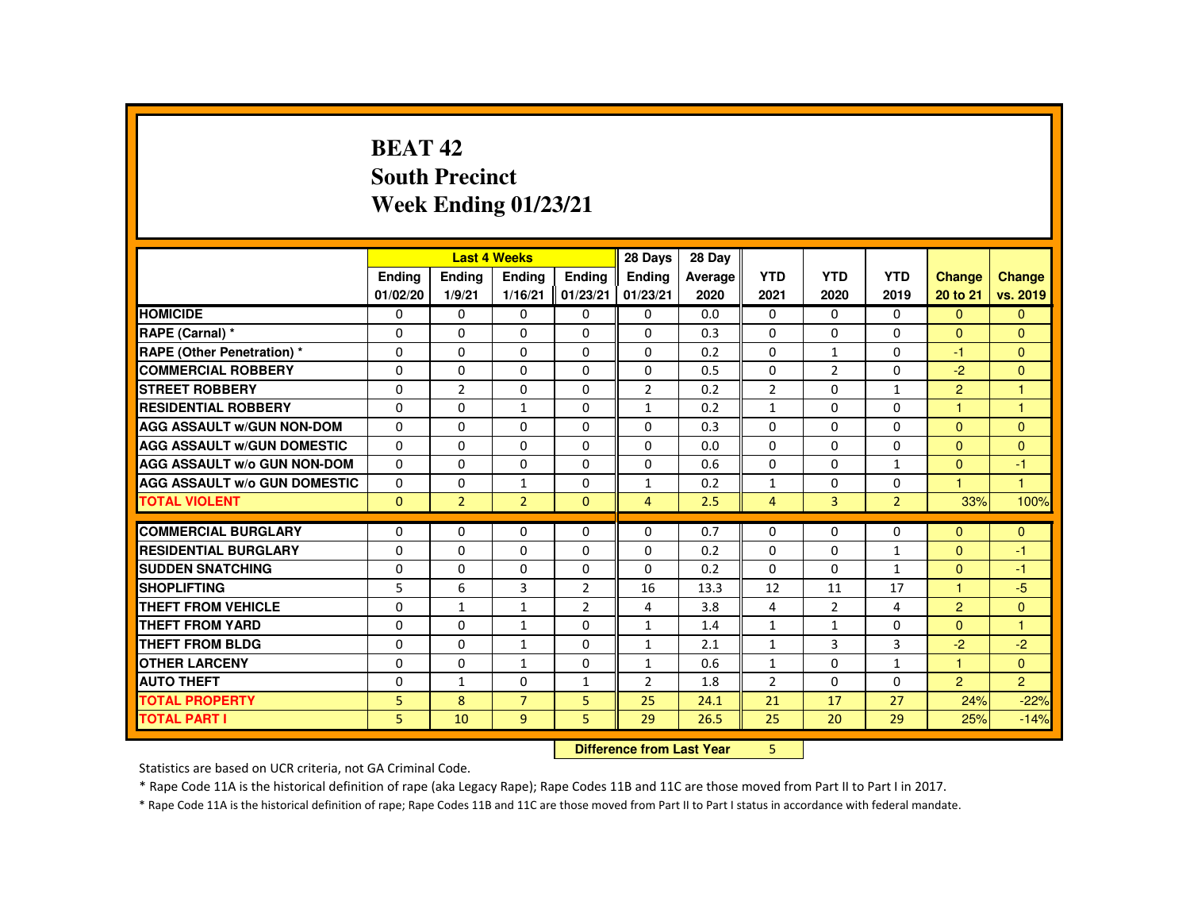# **BEAT 42 South PrecinctWeek Ending 01/23/21**

|                                     |          |                | <b>Last 4 Weeks</b>       |                | 28 Days        | 28 Day  |                |                |                |                |                |
|-------------------------------------|----------|----------------|---------------------------|----------------|----------------|---------|----------------|----------------|----------------|----------------|----------------|
|                                     | Ending   | Ending         | Ending                    | <b>Endina</b>  | <b>Endina</b>  | Average | <b>YTD</b>     | <b>YTD</b>     | <b>YTD</b>     | Change         | Change         |
|                                     | 01/02/20 | 1/9/21         | 1/16/21                   | 01/23/21       | 01/23/21       | 2020    | 2021           | 2020           | 2019           | 20 to 21       | vs. 2019       |
| <b>HOMICIDE</b>                     | 0        | $\Omega$       | 0                         | 0              | 0              | 0.0     | 0              | 0              | $\mathbf{0}$   | $\mathbf{0}$   | $\mathbf{0}$   |
| RAPE (Carnal) *                     | $\Omega$ | $\Omega$       | $\Omega$                  | $\Omega$       | $\Omega$       | 0.3     | $\Omega$       | $\Omega$       | $\Omega$       | $\Omega$       | $\mathbf{0}$   |
| <b>RAPE (Other Penetration) *</b>   | $\Omega$ | $\Omega$       | $\Omega$                  | $\Omega$       | $\Omega$       | 0.2     | $\Omega$       | $\mathbf{1}$   | $\Omega$       | $-1$           | $\Omega$       |
| <b>COMMERCIAL ROBBERY</b>           | 0        | $\Omega$       | $\Omega$                  | $\Omega$       | $\Omega$       | 0.5     | $\Omega$       | 2              | $\Omega$       | $-2$           | $\mathbf{0}$   |
| <b>STREET ROBBERY</b>               | 0        | $\overline{2}$ | $\Omega$                  | $\Omega$       | $\overline{2}$ | 0.2     | $\overline{2}$ | $\Omega$       | $\mathbf{1}$   | $\overline{2}$ | 1              |
| <b>RESIDENTIAL ROBBERY</b>          | $\Omega$ | $\Omega$       | $\mathbf{1}$              | $\Omega$       | $\mathbf{1}$   | 0.2     | $\mathbf{1}$   | $\Omega$       | $\Omega$       | $\mathbf{1}$   | $\mathbf{1}$   |
| <b>AGG ASSAULT W/GUN NON-DOM</b>    | $\Omega$ | $\Omega$       | $\Omega$                  | $\Omega$       | $\Omega$       | 0.3     | $\Omega$       | $\Omega$       | $\Omega$       | $\Omega$       | $\mathbf{0}$   |
| <b>AGG ASSAULT W/GUN DOMESTIC</b>   | $\Omega$ | $\Omega$       | $\Omega$                  | $\Omega$       | $\Omega$       | 0.0     | $\Omega$       | $\Omega$       | $\Omega$       | $\Omega$       | $\Omega$       |
| <b>AGG ASSAULT W/o GUN NON-DOM</b>  | $\Omega$ | $\Omega$       | $\Omega$                  | $\Omega$       | $\Omega$       | 0.6     | $\Omega$       | 0              | $\mathbf{1}$   | $\Omega$       | $-1$           |
| <b>AGG ASSAULT W/o GUN DOMESTIC</b> | $\Omega$ | $\Omega$       | $\mathbf{1}$              | $\Omega$       | $\mathbf{1}$   | 0.2     | $\mathbf{1}$   | $\Omega$       | $\Omega$       | $\mathbf{1}$   | $\mathbf{1}$   |
| <b>TOTAL VIOLENT</b>                | $\Omega$ | $\overline{2}$ | $\overline{2}$            | $\Omega$       | $\overline{4}$ | 2.5     | $\overline{4}$ | $\overline{3}$ | $\overline{2}$ | 33%            | 100%           |
| <b>COMMERCIAL BURGLARY</b>          | $\Omega$ | $\Omega$       | $\Omega$                  | $\Omega$       | $\Omega$       | 0.7     | $\Omega$       | 0              | $\Omega$       | $\mathbf{0}$   | $\Omega$       |
| <b>RESIDENTIAL BURGLARY</b>         | $\Omega$ | $\Omega$       | $\Omega$                  | 0              | $\mathbf 0$    | 0.2     | $\Omega$       | 0              | $\mathbf{1}$   | $\overline{0}$ | $-1$           |
| <b>SUDDEN SNATCHING</b>             | $\Omega$ | $\Omega$       | $\Omega$                  | $\Omega$       | $\Omega$       | 0.2     | $\Omega$       | $\Omega$       | $\mathbf{1}$   | $\Omega$       | $-1$           |
| <b>SHOPLIFTING</b>                  | 5        | 6              | 3                         | $\overline{2}$ | 16             | 13.3    | 12             | 11             | 17             | 1              | $-5$           |
| <b>THEFT FROM VEHICLE</b>           | $\Omega$ | $\mathbf{1}$   | $\mathbf{1}$              | $\overline{2}$ | 4              | 3.8     | 4              | 2              | 4              | $\overline{2}$ | $\Omega$       |
| <b>THEFT FROM YARD</b>              | $\Omega$ | $\Omega$       | $\mathbf{1}$              | $\Omega$       | 1              | 1.4     | $\mathbf{1}$   | $\mathbf{1}$   | $\Omega$       | $\Omega$       | $\mathbf{1}$   |
| <b>THEFT FROM BLDG</b>              | $\Omega$ | $\Omega$       | $\mathbf{1}$              | $\Omega$       | 1              | 2.1     | $\mathbf{1}$   | 3              | $\overline{3}$ | $-2$           | $-2$           |
| <b>OTHER LARCENY</b>                | 0        | $\mathbf{0}$   | $\mathbf{1}$              | $\Omega$       | $\mathbf{1}$   | 0.6     | $\mathbf{1}$   | 0              | $\mathbf{1}$   | 1              | $\Omega$       |
| <b>AUTO THEFT</b>                   | $\Omega$ | $\mathbf{1}$   | $\Omega$                  | $\mathbf{1}$   | $\overline{2}$ | 1.8     | $\overline{2}$ | $\Omega$       | $\Omega$       | $\overline{2}$ | $\overline{2}$ |
| <b>TOTAL PROPERTY</b>               | 5        | 8              | $\overline{7}$            | 5              | 25             | 24.1    | 21             | 17             | 27             | 24%            | $-22%$         |
| <b>TOTAL PART I</b>                 | 5        | 10             | $\overline{9}$            | 5              | 29             | 26.5    | 25             | 20             | 29             | 25%            | $-14%$         |
|                                     |          |                | Difference from Last Year |                | 5.             |         |                |                |                |                |                |

 **Difference from Last Year**

Statistics are based on UCR criteria, not GA Criminal Code.

\* Rape Code 11A is the historical definition of rape (aka Legacy Rape); Rape Codes 11B and 11C are those moved from Part II to Part I in 2017.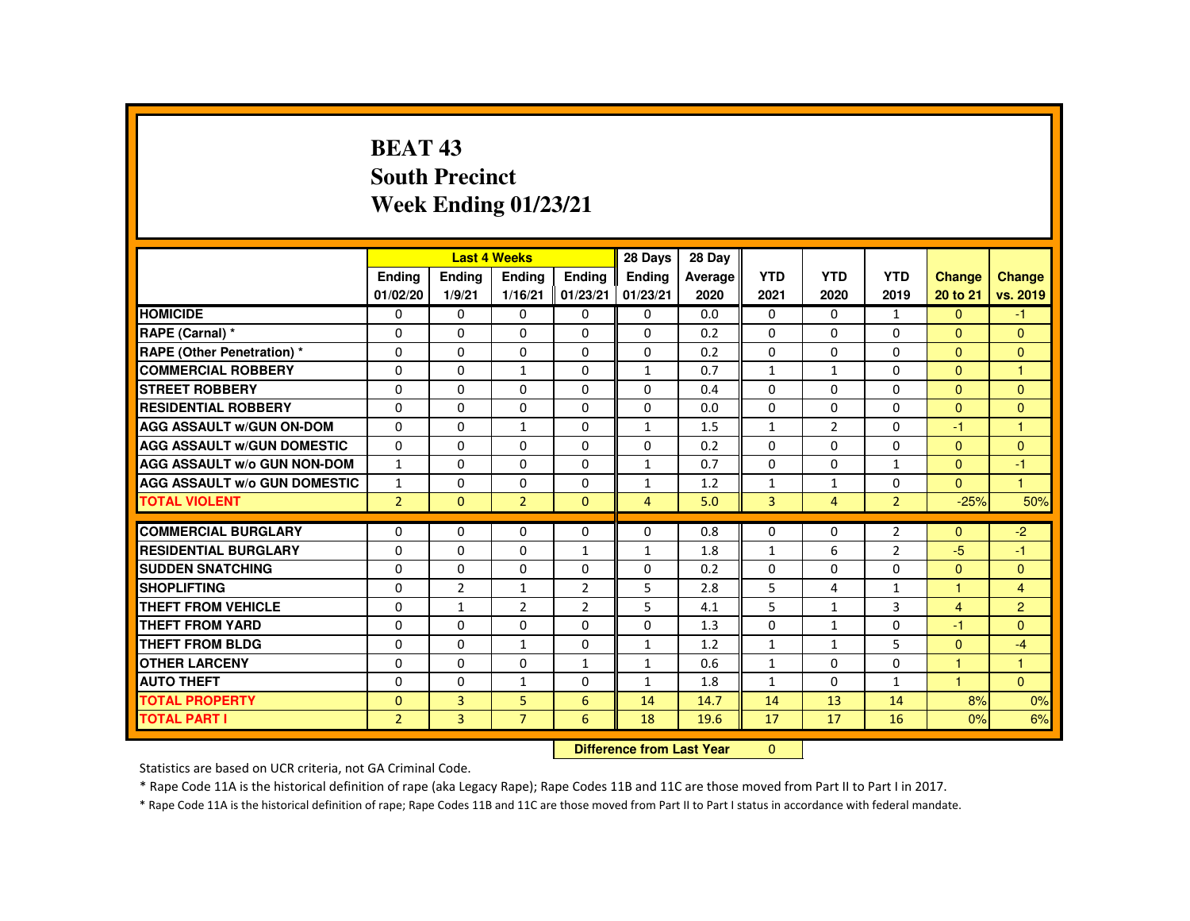# **BEAT 43 South PrecinctWeek Ending 01/23/21**

|                                     |                |                | <b>Last 4 Weeks</b> |                | 28 Days                   | 28 Day  |                |                |                |                |                |
|-------------------------------------|----------------|----------------|---------------------|----------------|---------------------------|---------|----------------|----------------|----------------|----------------|----------------|
|                                     | <b>Endina</b>  | <b>Ending</b>  | <b>Ending</b>       | <b>Endina</b>  | <b>Endina</b>             | Average | <b>YTD</b>     | <b>YTD</b>     | <b>YTD</b>     | <b>Change</b>  | <b>Change</b>  |
|                                     | 01/02/20       | 1/9/21         | 1/16/21             | 01/23/21       | 01/23/21                  | 2020    | 2021           | 2020           | 2019           | 20 to 21       | vs. 2019       |
| <b>HOMICIDE</b>                     | $\mathbf{0}$   | $\Omega$       | 0                   | 0              | $\mathbf{0}$              | 0.0     | $\mathbf{0}$   | $\Omega$       | $\mathbf{1}$   | $\mathbf{0}$   | $-1$           |
| RAPE (Carnal) *                     | 0              | $\Omega$       | $\Omega$            | $\Omega$       | $\mathbf{0}$              | 0.2     | $\Omega$       | $\Omega$       | $\mathbf{0}$   | $\Omega$       | $\Omega$       |
| RAPE (Other Penetration) *          | $\Omega$       | $\Omega$       | $\Omega$            | $\Omega$       | $\Omega$                  | 0.2     | $\Omega$       | $\Omega$       | $\Omega$       | $\mathbf{0}$   | $\Omega$       |
| <b>COMMERCIAL ROBBERY</b>           | $\Omega$       | $\Omega$       | $\mathbf{1}$        | $\Omega$       | $\mathbf{1}$              | 0.7     | $\mathbf{1}$   | $\mathbf{1}$   | $\Omega$       | $\mathbf{0}$   | -1             |
| <b>STREET ROBBERY</b>               | $\Omega$       | $\Omega$       | $\Omega$            | $\Omega$       | $\Omega$                  | 0.4     | $\Omega$       | $\Omega$       | $\Omega$       | $\Omega$       | $\Omega$       |
| <b>RESIDENTIAL ROBBERY</b>          | 0              | $\mathbf{0}$   | 0                   | $\mathbf{0}$   | 0                         | 0.0     | 0              | 0              | 0              | $\overline{0}$ | $\mathbf{0}$   |
| <b>AGG ASSAULT w/GUN ON-DOM</b>     | $\Omega$       | $\Omega$       | $\mathbf{1}$        | $\Omega$       | 1                         | 1.5     | $\mathbf{1}$   | $\overline{2}$ | $\Omega$       | $-1$           |                |
| <b>AGG ASSAULT W/GUN DOMESTIC</b>   | $\Omega$       | $\Omega$       | $\Omega$            | $\Omega$       | $\Omega$                  | 0.2     | $\Omega$       | $\Omega$       | $\Omega$       | $\mathbf{0}$   | $\Omega$       |
| <b>AGG ASSAULT w/o GUN NON-DOM</b>  | $\mathbf{1}$   | $\Omega$       | $\Omega$            | $\Omega$       | $\mathbf{1}$              | 0.7     | $\Omega$       | $\Omega$       | $\mathbf{1}$   | $\mathbf{0}$   | $-1$           |
| <b>AGG ASSAULT W/o GUN DOMESTIC</b> | $\mathbf{1}$   | $\Omega$       | $\Omega$            | $\Omega$       | $\mathbf{1}$              | 1.2     | $\mathbf{1}$   | $\mathbf{1}$   | $\Omega$       | $\Omega$       | $\blacksquare$ |
| <b>TOTAL VIOLENT</b>                | 2 <sup>1</sup> | $\Omega$       | $\overline{2}$      | $\Omega$       | $\overline{4}$            | 5.0     | $\overline{3}$ | $\overline{4}$ | 2 <sup>1</sup> | $-25%$         | 50%            |
| <b>COMMERCIAL BURGLARY</b>          | $\Omega$       | $\Omega$       | $\Omega$            | $\Omega$       | $\Omega$                  | 0.8     | $\Omega$       | $\Omega$       | $\overline{2}$ | $\Omega$       | $-2$           |
| <b>RESIDENTIAL BURGLARY</b>         | 0              | $\Omega$       | 0                   | $\mathbf{1}$   | $\mathbf{1}$              | 1.8     | $\mathbf{1}$   | 6              | $\overline{2}$ | $-5$           | $-1$           |
| <b>SUDDEN SNATCHING</b>             | $\Omega$       | $\Omega$       | $\Omega$            | $\Omega$       | $\Omega$                  | 0.2     | $\Omega$       | $\Omega$       | $\Omega$       | $\mathbf{0}$   | $\Omega$       |
| <b>SHOPLIFTING</b>                  | $\Omega$       | $\overline{2}$ | $\mathbf{1}$        | $\overline{2}$ | 5                         | 2.8     | 5              | 4              | $\mathbf{1}$   | н              | $\overline{4}$ |
| <b>THEFT FROM VEHICLE</b>           | $\Omega$       | $\mathbf{1}$   | $\overline{2}$      | $\overline{2}$ | 5                         | 4.1     | 5              | $\mathbf{1}$   | $\overline{3}$ | $\overline{4}$ | $\overline{2}$ |
| <b>THEFT FROM YARD</b>              | $\Omega$       | $\Omega$       | $\Omega$            | $\Omega$       | $\Omega$                  | 1.3     | $\Omega$       | $\mathbf{1}$   | $\Omega$       | $-1$           | $\Omega$       |
| <b>THEFT FROM BLDG</b>              | 0              | $\Omega$       | $\mathbf{1}$        | $\Omega$       | $\mathbf{1}$              | 1.2     | $\mathbf{1}$   | $\mathbf{1}$   | 5              | $\mathbf{0}$   | $-4$           |
| <b>OTHER LARCENY</b>                | $\Omega$       | $\Omega$       | $\Omega$            | $\mathbf{1}$   | 1                         | 0.6     | $\mathbf{1}$   | $\Omega$       | $\Omega$       | 1              | $\mathbf{1}$   |
| <b>AUTO THEFT</b>                   | $\Omega$       | $\Omega$       | $\mathbf{1}$        | $\Omega$       | $\mathbf{1}$              | 1.8     | $\mathbf{1}$   | $\Omega$       | $\mathbf{1}$   | 1              | $\Omega$       |
| <b>TOTAL PROPERTY</b>               | $\Omega$       | 3              | 5                   | 6              | 14                        | 14.7    | 14             | 13             | 14             | 8%             | 0%             |
| <b>TOTAL PART I</b>                 | $\overline{2}$ | 3              | $\overline{7}$      | 6              | 18                        | 19.6    | 17             | 17             | 16             | 0%             | 6%             |
|                                     |                |                |                     |                | Difference from Loot Vear |         | $\sim$         |                |                |                |                |

 **Difference from Last Year**r 0

Statistics are based on UCR criteria, not GA Criminal Code.

\* Rape Code 11A is the historical definition of rape (aka Legacy Rape); Rape Codes 11B and 11C are those moved from Part II to Part I in 2017.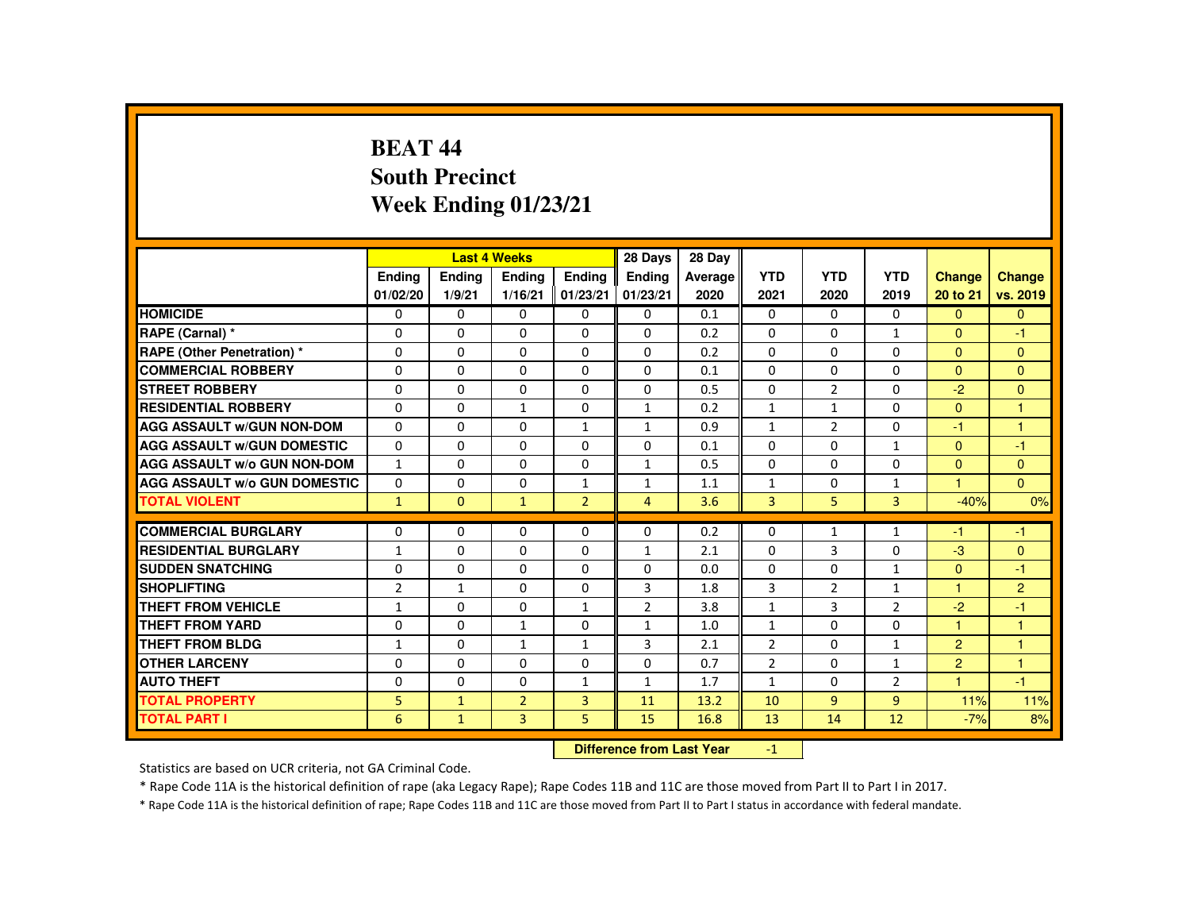# **BEAT 44 South PrecinctWeek Ending 01/23/21**

|                                     |                |               | <b>Last 4 Weeks</b> |                | 28 Days        | 28 Day  |                |                |                |                |                      |
|-------------------------------------|----------------|---------------|---------------------|----------------|----------------|---------|----------------|----------------|----------------|----------------|----------------------|
|                                     | <b>Endina</b>  | <b>Ending</b> | <b>Ending</b>       | Ending         | Ending         | Average | <b>YTD</b>     | <b>YTD</b>     | <b>YTD</b>     | <b>Change</b>  | <b>Change</b>        |
|                                     | 01/02/20       | 1/9/21        | 1/16/21             | 01/23/21       | 01/23/21       | 2020    | 2021           | 2020           | 2019           | 20 to 21       | vs. 2019             |
| <b>HOMICIDE</b>                     | $\Omega$       | $\Omega$      | $\Omega$            | $\Omega$       | $\Omega$       | 0.1     | $\Omega$       | $\Omega$       | $\Omega$       | $\overline{0}$ | $\overline{0}$       |
| RAPE (Carnal) *                     | $\Omega$       | $\Omega$      | $\mathbf{0}$        | $\Omega$       | $\Omega$       | 0.2     | $\Omega$       | $\Omega$       | $\mathbf{1}$   | $\Omega$       | $-1$                 |
| <b>RAPE (Other Penetration) *</b>   | $\Omega$       | $\Omega$      | $\Omega$            | $\Omega$       | $\Omega$       | 0.2     | $\Omega$       | $\Omega$       | 0              | $\Omega$       | $\Omega$             |
| <b>COMMERCIAL ROBBERY</b>           | $\Omega$       | $\Omega$      | $\Omega$            | $\Omega$       | $\Omega$       | 0.1     | $\Omega$       | $\Omega$       | $\Omega$       | $\Omega$       | $\mathbf{0}$         |
| <b>STREET ROBBERY</b>               | $\Omega$       | $\Omega$      | $\Omega$            | $\Omega$       | $\Omega$       | 0.5     | $\Omega$       | $\overline{2}$ | $\Omega$       | $-2$           | $\mathbf{0}$         |
| <b>RESIDENTIAL ROBBERY</b>          | $\Omega$       | $\Omega$      | $\mathbf{1}$        | 0              | $\mathbf{1}$   | 0.2     | $\mathbf{1}$   | $\mathbf{1}$   | 0              | $\mathbf{0}$   | 1                    |
| <b>AGG ASSAULT W/GUN NON-DOM</b>    | $\Omega$       | $\Omega$      | $\Omega$            | $\mathbf{1}$   | $\mathbf{1}$   | 0.9     | $\mathbf{1}$   | $\overline{2}$ | $\Omega$       | -1             | $\blacktriangleleft$ |
| <b>AGG ASSAULT W/GUN DOMESTIC</b>   | $\Omega$       | $\Omega$      | $\Omega$            | $\Omega$       | $\Omega$       | 0.1     | $\Omega$       | $\Omega$       | $\mathbf{1}$   | $\Omega$       | $-1$                 |
| <b>AGG ASSAULT W/o GUN NON-DOM</b>  | $\mathbf{1}$   | $\Omega$      | $\Omega$            | $\Omega$       | $\mathbf{1}$   | 0.5     | $\Omega$       | $\Omega$       | $\Omega$       | $\Omega$       | $\mathbf{0}$         |
| <b>AGG ASSAULT W/o GUN DOMESTIC</b> | $\Omega$       | $\Omega$      | $\Omega$            | $\mathbf{1}$   | $\mathbf{1}$   | 1.1     | $\mathbf{1}$   | $\Omega$       | $\mathbf{1}$   | 1.             | $\overline{0}$       |
| <b>TOTAL VIOLENT</b>                | $\mathbf{1}$   | $\Omega$      | $\mathbf{1}$        | $\overline{2}$ | $\overline{4}$ | 3.6     | $\overline{3}$ | 5.             | $\overline{3}$ | $-40%$         | 0%                   |
|                                     |                |               |                     |                |                |         |                |                |                |                |                      |
| <b>COMMERCIAL BURGLARY</b>          | $\Omega$       | $\Omega$      | $\Omega$            | $\Omega$       | $\Omega$       | 0.2     | $\Omega$       | $\mathbf{1}$   | $\mathbf{1}$   | -1             | $-1$                 |
| <b>RESIDENTIAL BURGLARY</b>         | $\mathbf{1}$   | $\Omega$      | $\Omega$            | $\Omega$       | $\mathbf{1}$   | 2.1     | $\Omega$       | 3              | $\Omega$       | $-3$           | $\Omega$             |
| <b>SUDDEN SNATCHING</b>             | $\Omega$       | $\Omega$      | $\Omega$            | $\Omega$       | $\Omega$       | 0.0     | $\Omega$       | $\Omega$       | $\mathbf{1}$   | $\Omega$       | $-1$                 |
| <b>SHOPLIFTING</b>                  | $\overline{2}$ | $\mathbf{1}$  | $\Omega$            | $\Omega$       | 3              | 1.8     | 3              | 2              | $\mathbf{1}$   | 1              | $\overline{2}$       |
| <b>THEFT FROM VEHICLE</b>           | $\mathbf{1}$   | $\Omega$      | $\Omega$            | $\mathbf{1}$   | $\overline{2}$ | 3.8     | $\mathbf{1}$   | $\overline{3}$ | $\overline{2}$ | $-2$           | $-1$                 |
| <b>THEFT FROM YARD</b>              | $\Omega$       | $\Omega$      | $\mathbf{1}$        | $\Omega$       | $\mathbf{1}$   | 1.0     | $\mathbf{1}$   | $\Omega$       | $\Omega$       | 1              | 1                    |
| <b>THEFT FROM BLDG</b>              | $\mathbf{1}$   | $\Omega$      | $\mathbf{1}$        | 1              | 3              | 2.1     | $\overline{2}$ | $\Omega$       | $\mathbf{1}$   | $\overline{2}$ | $\overline{1}$       |
| <b>OTHER LARCENY</b>                | $\Omega$       | $\Omega$      | $\Omega$            | $\Omega$       | $\Omega$       | 0.7     | $\overline{2}$ | $\Omega$       | 1              | $\overline{2}$ | $\overline{1}$       |
| <b>AUTO THEFT</b>                   | $\Omega$       | $\Omega$      | $\Omega$            | $\mathbf{1}$   | $\mathbf{1}$   | 1.7     | $\mathbf{1}$   | $\Omega$       | $\overline{2}$ | 1              | $-1$                 |
| <b>TOTAL PROPERTY</b>               | 5              | $\mathbf{1}$  | $\overline{2}$      | $\overline{3}$ | 11             | 13.2    | 10             | $\overline{9}$ | $\overline{9}$ | 11%            | 11%                  |
| <b>TOTAL PART I</b>                 | 6              | $\mathbf{1}$  | 3                   | 5.             | 15             | 16.8    | 13             | 14             | 12             | $-7%$          | 8%                   |
|                                     |                |               |                     |                |                |         |                |                |                |                |                      |

 **Difference from Last Year**-1

Statistics are based on UCR criteria, not GA Criminal Code.

\* Rape Code 11A is the historical definition of rape (aka Legacy Rape); Rape Codes 11B and 11C are those moved from Part II to Part I in 2017.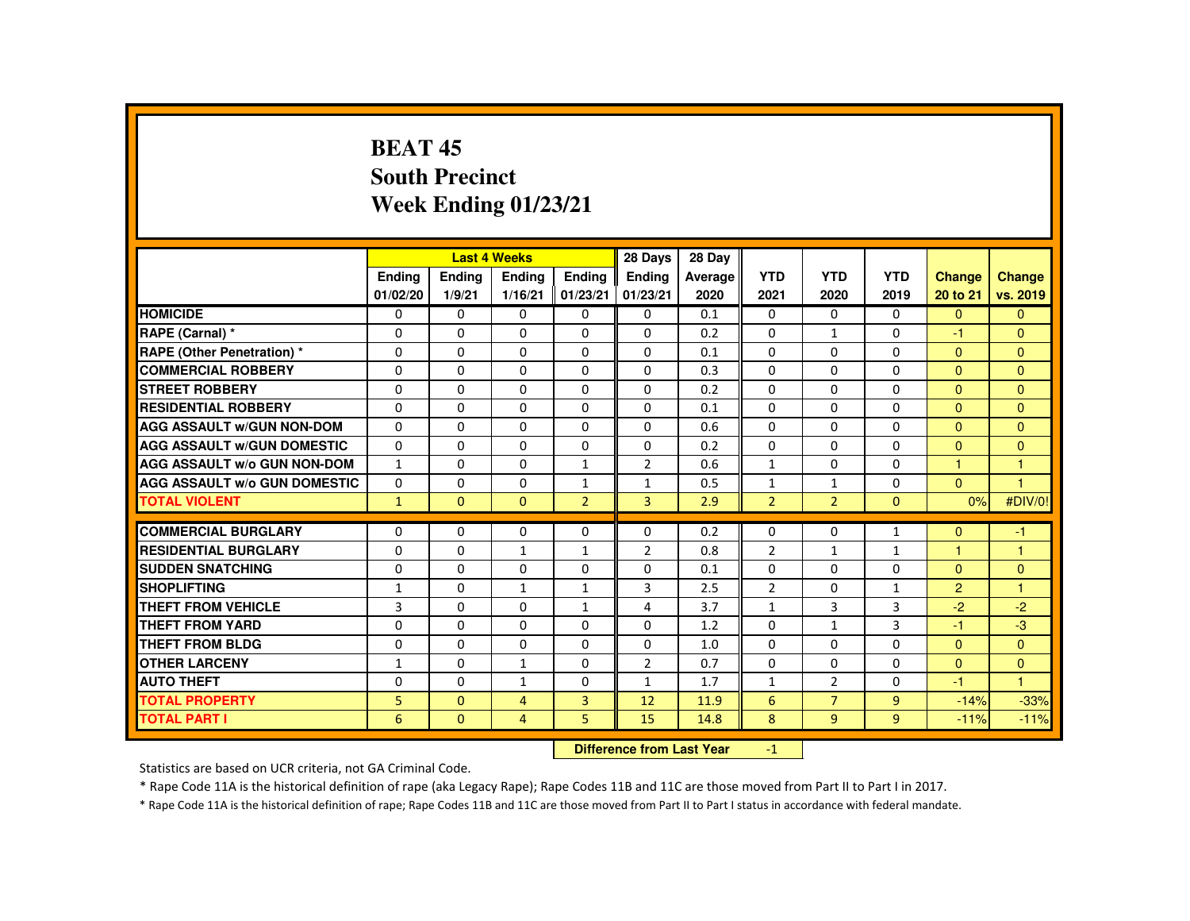# **BEAT 45 South PrecinctWeek Ending 01/23/21**

|                                     |                |               | <b>Last 4 Weeks</b> |                | 28 Days                   | 28 Day  |                |                |              |                      |                      |
|-------------------------------------|----------------|---------------|---------------------|----------------|---------------------------|---------|----------------|----------------|--------------|----------------------|----------------------|
|                                     | <b>Endina</b>  | <b>Ending</b> | <b>Ending</b>       | <b>Endina</b>  | <b>Endina</b>             | Average | <b>YTD</b>     | <b>YTD</b>     | <b>YTD</b>   | <b>Change</b>        | <b>Change</b>        |
|                                     | 01/02/20       | 1/9/21        | 1/16/21             | 01/23/21       | 01/23/21                  | 2020    | 2021           | 2020           | 2019         | 20 to 21             | vs. 2019             |
| <b>HOMICIDE</b>                     | $\Omega$       | $\Omega$      | 0                   | 0              | $\mathbf{0}$              | 0.1     | $\mathbf{0}$   | $\Omega$       | $\Omega$     | $\Omega$             | $\Omega$             |
| RAPE (Carnal) *                     | 0              | $\mathbf{0}$  | $\Omega$            | $\Omega$       | $\mathbf{0}$              | 0.2     | $\Omega$       | $\mathbf{1}$   | $\mathbf{0}$ | $-1$                 | $\Omega$             |
| RAPE (Other Penetration) *          | $\Omega$       | $\Omega$      | $\Omega$            | $\Omega$       | $\Omega$                  | 0.1     | $\Omega$       | $\Omega$       | $\Omega$     | $\Omega$             | $\Omega$             |
| <b>COMMERCIAL ROBBERY</b>           | $\Omega$       | $\Omega$      | $\Omega$            | $\Omega$       | $\Omega$                  | 0.3     | $\Omega$       | $\Omega$       | $\Omega$     | $\mathbf{0}$         | $\Omega$             |
| <b>STREET ROBBERY</b>               | $\Omega$       | $\Omega$      | $\Omega$            | $\Omega$       | $\Omega$                  | 0.2     | $\Omega$       | $\Omega$       | $\Omega$     | $\Omega$             | $\Omega$             |
| <b>RESIDENTIAL ROBBERY</b>          | 0              | $\mathbf{0}$  | 0                   | $\mathbf{0}$   | 0                         | 0.1     | 0              | 0              | 0            | $\mathbf{0}$         | $\mathbf{0}$         |
| <b>AGG ASSAULT w/GUN NON-DOM</b>    | $\Omega$       | $\Omega$      | $\Omega$            | $\Omega$       | $\Omega$                  | 0.6     | $\Omega$       | $\Omega$       | $\Omega$     | $\Omega$             | $\Omega$             |
| <b>AGG ASSAULT W/GUN DOMESTIC</b>   | $\Omega$       | $\Omega$      | $\Omega$            | $\Omega$       | $\Omega$                  | 0.2     | $\Omega$       | $\Omega$       | $\Omega$     | $\mathbf{0}$         | $\Omega$             |
| <b>AGG ASSAULT w/o GUN NON-DOM</b>  | $\mathbf{1}$   | $\Omega$      | $\Omega$            | $\mathbf{1}$   | $\overline{2}$            | 0.6     | $\mathbf{1}$   | $\Omega$       | $\Omega$     | $\blacktriangleleft$ | $\overline{1}$       |
| <b>AGG ASSAULT W/o GUN DOMESTIC</b> | $\Omega$       | $\Omega$      | $\Omega$            | $\mathbf{1}$   | $\mathbf{1}$              | 0.5     | $\mathbf{1}$   | $\mathbf{1}$   | $\Omega$     | $\Omega$             | $\blacktriangleleft$ |
| <b>TOTAL VIOLENT</b>                | $\mathbf{1}$   | $\Omega$      | $\Omega$            | 2 <sup>1</sup> | $\overline{3}$            | 2.9     | $\overline{2}$ | $\overline{2}$ | $\Omega$     | 0%                   | #DIV/0!              |
| <b>COMMERCIAL BURGLARY</b>          | $\Omega$       | $\Omega$      | $\Omega$            | $\Omega$       | $\Omega$                  | 0.2     | $\Omega$       | $\Omega$       | $\mathbf{1}$ | $\Omega$             | $-1$                 |
| <b>RESIDENTIAL BURGLARY</b>         | 0              | $\Omega$      | $\mathbf{1}$        | $\mathbf{1}$   | $\overline{2}$            | 0.8     | $\overline{2}$ | $\mathbf{1}$   | $\mathbf{1}$ | ۴                    | 1                    |
| <b>SUDDEN SNATCHING</b>             | $\Omega$       | $\Omega$      | $\Omega$            | $\Omega$       | $\Omega$                  | 0.1     | $\Omega$       | $\Omega$       | $\Omega$     | $\mathbf{0}$         | $\Omega$             |
| <b>SHOPLIFTING</b>                  | $\mathbf{1}$   | $\Omega$      | $\mathbf{1}$        | $\mathbf{1}$   | 3                         | 2.5     | $\overline{2}$ | $\Omega$       | $\mathbf{1}$ | $\overline{2}$       | $\overline{1}$       |
| <b>THEFT FROM VEHICLE</b>           | $\overline{3}$ | $\Omega$      | $\Omega$            | $\mathbf{1}$   | 4                         | 3.7     | $\mathbf{1}$   | $\overline{3}$ | 3            | $-2$                 | $-2$                 |
| <b>THEFT FROM YARD</b>              | $\Omega$       | $\Omega$      | $\Omega$            | $\Omega$       | $\Omega$                  | 1.2     | $\Omega$       | $\mathbf{1}$   | 3            | $-1$                 | $-3$                 |
| <b>THEFT FROM BLDG</b>              | 0              | $\Omega$      | $\Omega$            | $\Omega$       | $\mathbf{0}$              | 1.0     | $\Omega$       | $\Omega$       | $\Omega$     | $\Omega$             | $\Omega$             |
| <b>OTHER LARCENY</b>                | 1              | $\Omega$      | $\mathbf{1}$        | $\Omega$       | 2                         | 0.7     | $\Omega$       | $\Omega$       | $\Omega$     | $\mathbf{0}$         | $\mathbf{0}$         |
| <b>AUTO THEFT</b>                   | $\Omega$       | $\Omega$      | $\mathbf{1}$        | $\Omega$       | $\mathbf{1}$              | 1.7     | $\mathbf{1}$   | 2              | $\Omega$     | $-1$                 | $\overline{1}$       |
| <b>TOTAL PROPERTY</b>               | 5              | $\Omega$      | $\overline{a}$      | $\overline{3}$ | 12                        | 11.9    | 6              | $\overline{7}$ | 9            | $-14%$               | $-33%$               |
| <b>TOTAL PART I</b>                 | 6              | $\mathbf{0}$  | $\overline{4}$      | 5              | 15                        | 14.8    | 8              | 9              | 9            | $-11%$               | $-11%$               |
|                                     |                |               |                     |                | Difference from Loot Vear |         | $\sim$         |                |              |                      |                      |

 **Difference from Last Year**r  $-1$ 

Statistics are based on UCR criteria, not GA Criminal Code.

\* Rape Code 11A is the historical definition of rape (aka Legacy Rape); Rape Codes 11B and 11C are those moved from Part II to Part I in 2017.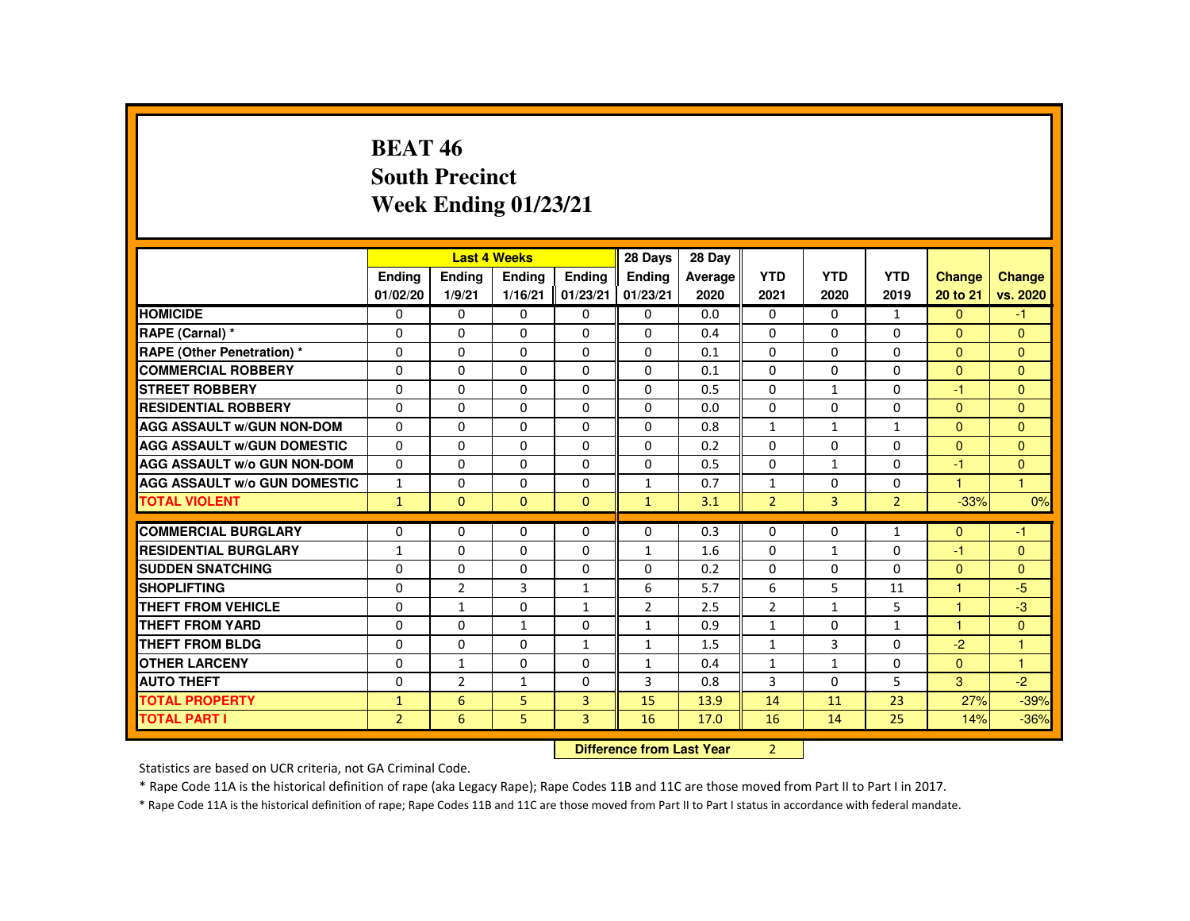## **BEAT 46 South PrecinctWeek Ending 01/23/21**

|                                     |                   |                | <b>Last 4 Weeks</b> |                | 28 Days        | 28 Day  |                |                |                |                |               |
|-------------------------------------|-------------------|----------------|---------------------|----------------|----------------|---------|----------------|----------------|----------------|----------------|---------------|
|                                     | Ending            | Ending         | Ending              | Ending         | <b>Ending</b>  | Average | <b>YTD</b>     | <b>YTD</b>     | <b>YTD</b>     | Change         | <b>Change</b> |
|                                     | 01/02/20          | 1/9/21         | 1/16/21             | 01/23/21       | 01/23/21       | 2020    | 2021           | 2020           | 2019           | 20 to 21       | vs. 2020      |
| <b>HOMICIDE</b>                     | $\Omega$          | $\Omega$       | 0                   | $\mathbf{0}$   | 0              | 0.0     | $\mathbf{0}$   | 0              | $\mathbf{1}$   | $\mathbf{0}$   | $-1$          |
| RAPE (Carnal) *                     | 0                 | $\Omega$       | $\Omega$            | $\Omega$       | $\Omega$       | 0.4     | $\Omega$       | 0              | $\Omega$       | $\mathbf{0}$   | $\Omega$      |
| <b>RAPE (Other Penetration) *</b>   | $\Omega$          | $\Omega$       | $\Omega$            | $\Omega$       | $\Omega$       | 0.1     | $\Omega$       | $\Omega$       | $\Omega$       | $\Omega$       | $\Omega$      |
| <b>COMMERCIAL ROBBERY</b>           | $\Omega$          | $\Omega$       | $\Omega$            | $\Omega$       | $\Omega$       | 0.1     | $\Omega$       | $\Omega$       | $\Omega$       | $\Omega$       | $\Omega$      |
| <b>STREET ROBBERY</b>               | $\Omega$          | $\Omega$       | $\Omega$            | $\Omega$       | $\Omega$       | 0.5     | $\Omega$       | $\mathbf{1}$   | $\Omega$       | $-1$           | $\Omega$      |
| <b>RESIDENTIAL ROBBERY</b>          | 0                 | $\mathbf{0}$   | 0                   | 0              | 0              | 0.0     | 0              | 0              | 0              | $\mathbf{0}$   | $\mathbf{0}$  |
| <b>AGG ASSAULT W/GUN NON-DOM</b>    | $\Omega$          | $\Omega$       | 0                   | $\Omega$       | $\Omega$       | 0.8     | $\mathbf{1}$   | $\mathbf{1}$   | $\mathbf{1}$   | $\Omega$       | $\mathbf{0}$  |
| <b>AGG ASSAULT W/GUN DOMESTIC</b>   | $\Omega$          | $\Omega$       | $\Omega$            | $\Omega$       | $\Omega$       | 0.2     | $\Omega$       | $\Omega$       | $\Omega$       | $\Omega$       | $\Omega$      |
| <b>AGG ASSAULT W/o GUN NON-DOM</b>  | $\Omega$          | $\Omega$       | $\Omega$            | $\Omega$       | $\Omega$       | 0.5     | $\Omega$       | $\mathbf{1}$   | $\Omega$       | $-1$           | $\mathbf{0}$  |
| <b>AGG ASSAULT W/o GUN DOMESTIC</b> | $\mathbf{1}$      | $\Omega$       | $\Omega$            | $\Omega$       | $\mathbf{1}$   | 0.7     | $\mathbf{1}$   | $\Omega$       | $\Omega$       | 1              | $\mathbf{1}$  |
| <b>TOTAL VIOLENT</b>                | $\mathbf{1}$      | $\mathbf{0}$   | $\mathbf{0}$        | $\mathbf{0}$   | $\mathbf{1}$   | 3.1     | $\overline{2}$ | $\overline{3}$ | $\overline{2}$ | $-33%$         | 0%            |
|                                     |                   |                |                     |                |                |         |                |                |                |                |               |
| <b>COMMERCIAL BURGLARY</b>          | $\Omega$          | $\Omega$       | $\Omega$            | 0              | $\Omega$       | 0.3     | 0              | 0              | $\mathbf{1}$   | $\Omega$       | $-1$          |
| <b>RESIDENTIAL BURGLARY</b>         | $\mathbf{1}$      | $\Omega$       | $\Omega$            | $\Omega$       | $\mathbf{1}$   | 1.6     | $\Omega$       | $\mathbf{1}$   | $\Omega$       | $-1$           | $\Omega$      |
| <b>SUDDEN SNATCHING</b>             | 0                 | $\mathbf{0}$   | $\Omega$            | 0              | 0              | 0.2     | 0              | 0              | 0              | $\mathbf{0}$   | $\mathbf{0}$  |
| <b>SHOPLIFTING</b>                  | $\Omega$          | 2              | 3                   | $\mathbf{1}$   | 6              | 5.7     | 6              | 5              | 11             | $\overline{1}$ | $-5$          |
| <b>THEFT FROM VEHICLE</b>           | $\Omega$          | $\mathbf{1}$   | $\Omega$            | $\mathbf{1}$   | $\overline{2}$ | 2.5     | $\overline{2}$ | $\mathbf{1}$   | 5              | $\mathbf{1}$   | $-3$          |
| <b>THEFT FROM YARD</b>              | $\Omega$          | $\Omega$       | $\mathbf{1}$        | $\Omega$       | $\mathbf{1}$   | 0.9     | $\mathbf{1}$   | $\Omega$       | $\mathbf{1}$   | $\mathbf{1}$   | $\Omega$      |
| <b>THEFT FROM BLDG</b>              | $\Omega$          | $\Omega$       | $\Omega$            | $\mathbf{1}$   | $\mathbf{1}$   | 1.5     | $\mathbf{1}$   | 3              | 0              | $-2$           | $\mathbf{1}$  |
| <b>OTHER LARCENY</b>                | $\Omega$          | $\mathbf{1}$   | $\Omega$            | 0              | $\mathbf{1}$   | 0.4     | $\mathbf{1}$   | $\mathbf{1}$   | 0              | $\overline{0}$ | $\mathbf{1}$  |
| <b>AUTO THEFT</b>                   | $\Omega$          | $\overline{2}$ | $\mathbf{1}$        | $\Omega$       | 3              | 0.8     | 3              | $\Omega$       | 5              | 3              | $-2$          |
| <b>TOTAL PROPERTY</b>               | $\mathbf{1}$      | 6              | 5                   | $\overline{3}$ | 15             | 13.9    | 14             | 11             | 23             | 27%            | $-39%$        |
| <b>TOTAL PART I</b>                 | $\overline{2}$    | 6              | 5                   | 3              | 16             | 17.0    | 16             | 14             | 25             | 14%            | $-36%$        |
|                                     | <b>COLLECTION</b> |                |                     |                |                |         | $\sim$         |                |                |                |               |

 **Difference from Last Year**<sup>2</sup>

Statistics are based on UCR criteria, not GA Criminal Code.

\* Rape Code 11A is the historical definition of rape (aka Legacy Rape); Rape Codes 11B and 11C are those moved from Part II to Part I in 2017.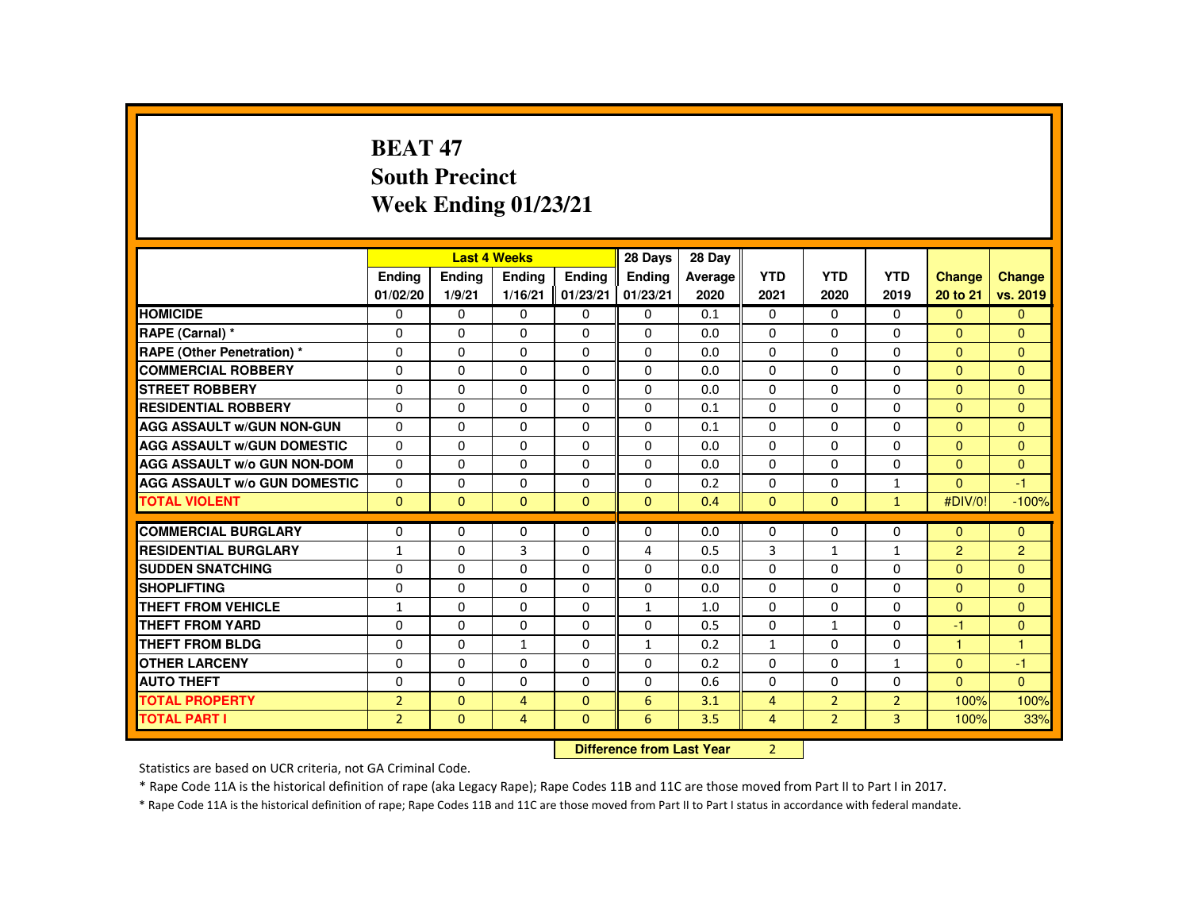# **BEAT 47 South PrecinctWeek Ending 01/23/21**

|                                     |                |              | <b>Last 4 Weeks</b> |               | 28 Days                    | 28 Day  |                |                |                |                |                |
|-------------------------------------|----------------|--------------|---------------------|---------------|----------------------------|---------|----------------|----------------|----------------|----------------|----------------|
|                                     | Ending         | Ending       | Ending              | <b>Endina</b> | Ending                     | Average | <b>YTD</b>     | <b>YTD</b>     | <b>YTD</b>     | Change         | <b>Change</b>  |
|                                     | 01/02/20       | 1/9/21       | 1/16/21             | 01/23/21      | 01/23/21                   | 2020    | 2021           | 2020           | 2019           | 20 to 21       | vs. 2019       |
| <b>HOMICIDE</b>                     | $\mathbf{0}$   | $\Omega$     | $\Omega$            | $\Omega$      | 0                          | 0.1     | $\mathbf{0}$   | $\Omega$       | $\mathbf{0}$   | $\Omega$       | $\mathbf{0}$   |
| RAPE (Carnal) *                     | $\Omega$       | $\Omega$     | $\Omega$            | $\Omega$      | $\Omega$                   | 0.0     | $\Omega$       | $\Omega$       | $\Omega$       | $\Omega$       | $\mathbf{0}$   |
| <b>RAPE (Other Penetration) *</b>   | 0              | $\Omega$     | $\Omega$            | $\Omega$      | 0                          | 0.0     | $\Omega$       | $\Omega$       | $\Omega$       | $\Omega$       | $\mathbf{0}$   |
| <b>COMMERCIAL ROBBERY</b>           | $\Omega$       | $\Omega$     | $\Omega$            | $\Omega$      | $\Omega$                   | 0.0     | $\Omega$       | $\Omega$       | $\Omega$       | $\mathbf{0}$   | $\mathbf{0}$   |
| <b>STREET ROBBERY</b>               | $\Omega$       | $\Omega$     | $\Omega$            | $\Omega$      | $\Omega$                   | 0.0     | $\Omega$       | $\Omega$       | $\Omega$       | $\Omega$       | $\Omega$       |
| <b>RESIDENTIAL ROBBERY</b>          | $\Omega$       | $\mathbf{0}$ | 0                   | 0             | $\Omega$                   | 0.1     | 0              | 0              | 0              | $\mathbf{0}$   | $\mathbf{0}$   |
| <b>AGG ASSAULT W/GUN NON-GUN</b>    | $\Omega$       | $\Omega$     | $\Omega$            | $\Omega$      | $\Omega$                   | 0.1     | $\Omega$       | 0              | $\Omega$       | $\mathbf{0}$   | $\Omega$       |
| <b>AGG ASSAULT W/GUN DOMESTIC</b>   | $\Omega$       | $\Omega$     | $\Omega$            | $\Omega$      | $\Omega$                   | 0.0     | $\Omega$       | $\Omega$       | $\Omega$       | $\Omega$       | $\mathbf{0}$   |
| <b>AGG ASSAULT W/o GUN NON-DOM</b>  | $\Omega$       | $\Omega$     | $\Omega$            | $\Omega$      | $\Omega$                   | 0.0     | $\Omega$       | $\Omega$       | $\Omega$       | $\Omega$       | $\Omega$       |
| <b>AGG ASSAULT W/o GUN DOMESTIC</b> | $\Omega$       | $\Omega$     | $\Omega$            | $\Omega$      | $\Omega$                   | 0.2     | $\Omega$       | $\Omega$       | $\mathbf{1}$   | $\Omega$       | $-1$           |
| <b>TOTAL VIOLENT</b>                | $\Omega$       | $\mathbf{0}$ | $\Omega$            | $\Omega$      | $\Omega$                   | 0.4     | $\mathbf{0}$   | $\mathbf{0}$   | $\mathbf{1}$   | #DIV/0!        | $-100%$        |
| <b>COMMERCIAL BURGLARY</b>          | $\Omega$       | $\Omega$     | $\Omega$            | $\Omega$      | $\Omega$                   | 0.0     | $\Omega$       | $\Omega$       | $\Omega$       | $\Omega$       | $\mathbf{0}$   |
| <b>RESIDENTIAL BURGLARY</b>         | $\mathbf{1}$   | $\Omega$     | 3                   | 0             | 4                          | 0.5     | 3              | $\mathbf{1}$   | $\mathbf{1}$   | $\overline{2}$ | $\overline{2}$ |
| <b>SUDDEN SNATCHING</b>             | $\Omega$       | $\Omega$     | $\Omega$            | $\Omega$      | $\Omega$                   | 0.0     | $\Omega$       | $\Omega$       | $\Omega$       | $\Omega$       | $\Omega$       |
| <b>SHOPLIFTING</b>                  | $\Omega$       | $\Omega$     | $\Omega$            | $\Omega$      | $\Omega$                   | 0.0     | $\Omega$       | $\Omega$       | $\Omega$       | $\Omega$       | $\mathbf{0}$   |
| <b>THEFT FROM VEHICLE</b>           | $\mathbf{1}$   | $\Omega$     | $\Omega$            | $\Omega$      | $\mathbf{1}$               | 1.0     | $\Omega$       | $\Omega$       | $\Omega$       | $\Omega$       | $\mathbf{0}$   |
| <b>THEFT FROM YARD</b>              | $\Omega$       | $\Omega$     | $\Omega$            | $\Omega$      | $\Omega$                   | 0.5     | $\Omega$       | $\mathbf{1}$   | $\Omega$       | $-1$           | $\mathbf{0}$   |
| THEFT FROM BLDG                     | 0              | $\Omega$     | $\mathbf{1}$        | $\Omega$      | $\mathbf{1}$               | 0.2     | $\mathbf{1}$   | 0              | $\Omega$       | $\mathbf{1}$   | 1              |
| <b>OTHER LARCENY</b>                | $\Omega$       | $\mathbf{0}$ | $\Omega$            | $\Omega$      | $\Omega$                   | 0.2     | $\Omega$       | 0              | $\mathbf{1}$   | $\Omega$       | $-1$           |
| <b>AUTO THEFT</b>                   | $\Omega$       | $\Omega$     | $\Omega$            | $\Omega$      | $\Omega$                   | 0.6     | $\Omega$       | $\Omega$       | $\Omega$       | $\Omega$       | $\Omega$       |
| <b>TOTAL PROPERTY</b>               | $\overline{2}$ | $\Omega$     | $\overline{4}$      | $\Omega$      | 6                          | 3.1     | $\overline{4}$ | $\overline{2}$ | $\overline{2}$ | 100%           | 100%           |
| <b>TOTAL PART I</b>                 | $\overline{2}$ | $\Omega$     | $\overline{4}$      | $\mathbf{0}$  | 6                          | 3.5     | $\overline{4}$ | $\overline{2}$ | 3              | 100%           | 33%            |
|                                     |                |              |                     |               | Difference from Least Vacu |         | $\sim$         |                |                |                |                |

 **Difference from Last Year**r 2

Statistics are based on UCR criteria, not GA Criminal Code.

\* Rape Code 11A is the historical definition of rape (aka Legacy Rape); Rape Codes 11B and 11C are those moved from Part II to Part I in 2017.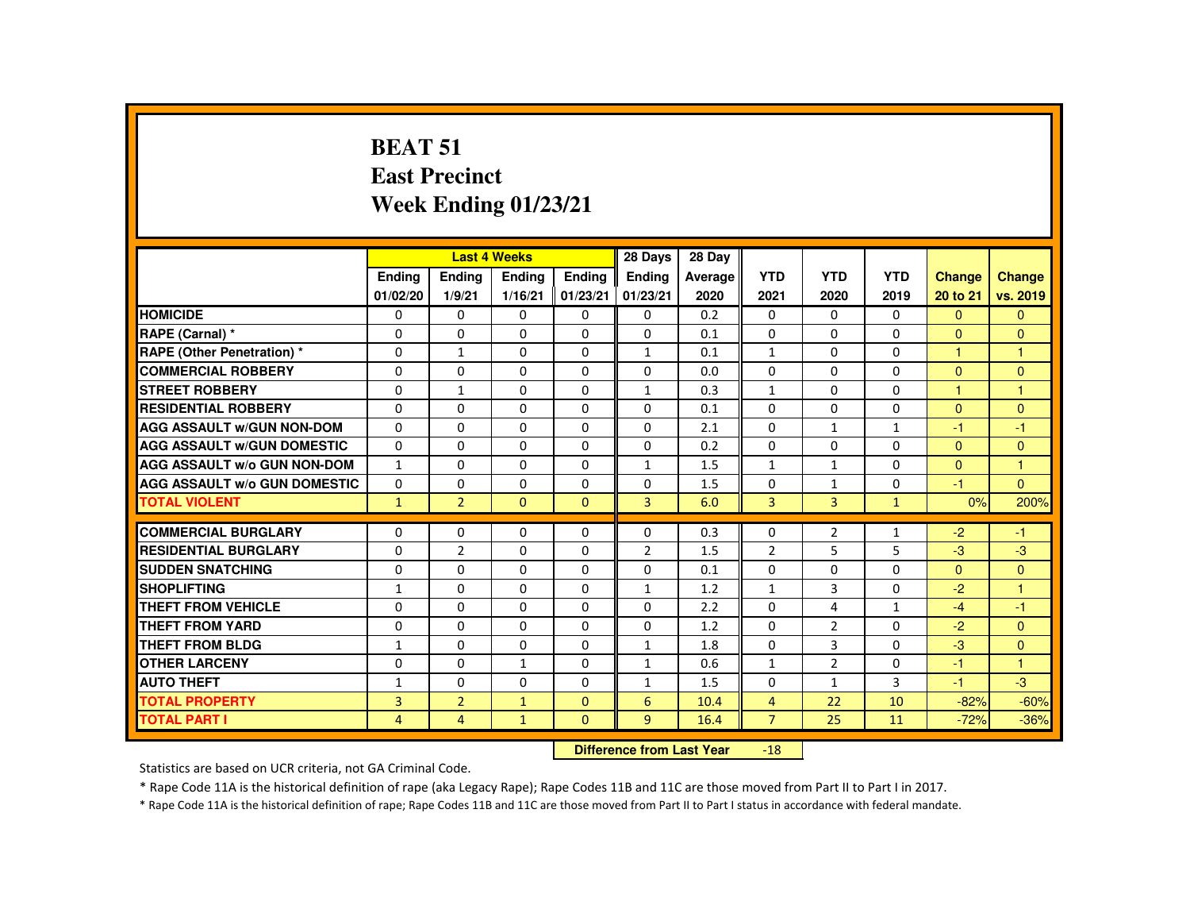# **BEAT 51 East PrecinctWeek Ending 01/23/21**

|                                     |                    |                                  | <b>Last 4 Weeks</b> |                    | 28 Days            | 28 Day          |                    |                    |                    |                           |                           |
|-------------------------------------|--------------------|----------------------------------|---------------------|--------------------|--------------------|-----------------|--------------------|--------------------|--------------------|---------------------------|---------------------------|
|                                     | Ending<br>01/02/20 | Ending<br>1/9/21                 | Ending<br>1/16/21   | Ending<br>01/23/21 | Ending<br>01/23/21 | Average<br>2020 | <b>YTD</b><br>2021 | <b>YTD</b><br>2020 | <b>YTD</b><br>2019 | <b>Change</b><br>20 to 21 | <b>Change</b><br>vs. 2019 |
| <b>HOMICIDE</b>                     | 0                  | 0                                | 0                   | 0                  | 0                  | 0.2             | 0                  | $\Omega$           | $\Omega$           | $\Omega$                  | $\Omega$                  |
| RAPE (Carnal) *                     | 0                  | 0                                | 0                   | 0                  | 0                  | 0.1             | $\Omega$           | 0                  | 0                  | $\mathbf{0}$              | $\mathbf{0}$              |
| <b>RAPE (Other Penetration) *</b>   | $\Omega$           | $\mathbf{1}$                     | $\Omega$            | $\Omega$           | $\mathbf{1}$       | 0.1             | $\mathbf{1}$       | $\Omega$           | $\Omega$           | $\blacktriangleleft$      | $\overline{1}$            |
| <b>COMMERCIAL ROBBERY</b>           | $\Omega$           | $\Omega$                         | $\Omega$            | $\Omega$           | $\Omega$           | 0.0             | $\Omega$           | $\Omega$           | $\Omega$           | $\Omega$                  | $\Omega$                  |
| <b>STREET ROBBERY</b>               | $\Omega$           | $\mathbf{1}$                     | $\Omega$            | $\Omega$           | $\mathbf{1}$       | 0.3             | $\mathbf{1}$       | $\Omega$           | $\Omega$           | $\overline{1}$            | $\overline{1}$            |
| <b>RESIDENTIAL ROBBERY</b>          | 0                  | 0                                | 0                   | 0                  | 0                  | 0.1             | $\Omega$           | 0                  | 0                  | $\Omega$                  | $\Omega$                  |
| <b>AGG ASSAULT W/GUN NON-DOM</b>    | $\Omega$           | $\Omega$                         | $\Omega$            | $\Omega$           | 0                  | 2.1             | $\Omega$           | 1                  | $\mathbf{1}$       | -1                        | $-1$                      |
| <b>AGG ASSAULT W/GUN DOMESTIC</b>   | $\Omega$           | $\Omega$                         | $\Omega$            | $\Omega$           | $\Omega$           | 0.2             | $\Omega$           | $\Omega$           | $\Omega$           | $\Omega$                  | $\Omega$                  |
| <b>AGG ASSAULT W/o GUN NON-DOM</b>  | $\mathbf{1}$       | 0                                | 0                   | 0                  | $\mathbf{1}$       | 1.5             | $\mathbf{1}$       | $\mathbf{1}$       | 0                  | $\mathbf{0}$              | $\overline{1}$            |
| <b>AGG ASSAULT W/o GUN DOMESTIC</b> | $\Omega$           | $\Omega$                         | $\Omega$            | $\Omega$           | $\Omega$           | 1.5             | 0                  | $\mathbf{1}$       | 0                  | $-1$                      | $\Omega$                  |
| <b>TOTAL VIOLENT</b>                | $\mathbf{1}$       | $\overline{2}$                   | $\mathbf{0}$        | $\mathbf{0}$       | $\overline{3}$     | 6.0             | 3                  | $\overline{3}$     | $\mathbf{1}$       | 0%                        | 200%                      |
| <b>COMMERCIAL BURGLARY</b>          | 0                  | 0                                | 0                   | 0                  | 0                  | 0.3             | 0                  | $\overline{2}$     | $\mathbf{1}$       | $-2$                      | $-1$                      |
| <b>RESIDENTIAL BURGLARY</b>         | $\Omega$           | $\overline{2}$                   | $\Omega$            | $\Omega$           | $\overline{2}$     | 1.5             | $\overline{2}$     | 5                  | 5                  | $-3$                      | $-3$                      |
| <b>SUDDEN SNATCHING</b>             | 0                  | $\Omega$                         | 0                   | $\Omega$           | $\Omega$           | 0.1             | $\Omega$           | 0                  | $\Omega$           | $\mathbf{0}$              | $\Omega$                  |
| <b>SHOPLIFTING</b>                  | $\mathbf{1}$       | $\Omega$                         | $\Omega$            | $\Omega$           | $\mathbf{1}$       | 1.2             | $\mathbf{1}$       | $\overline{3}$     | $\Omega$           | $-2$                      | $\blacktriangleleft$      |
| <b>THEFT FROM VEHICLE</b>           | $\Omega$           | $\Omega$                         | $\Omega$            | $\Omega$           | $\Omega$           | 2.2             | $\Omega$           | 4                  | $\mathbf{1}$       | $-4$                      | $-1$                      |
| <b>THEFT FROM YARD</b>              | $\Omega$           | $\Omega$                         | $\Omega$            | $\Omega$           | $\Omega$           | 1.2             | $\Omega$           | $\overline{2}$     | $\Omega$           | $-2$                      | $\Omega$                  |
| <b>THEFT FROM BLDG</b>              | $\mathbf{1}$       | $\Omega$                         | $\Omega$            | $\Omega$           | $\mathbf{1}$       | 1.8             | $\Omega$           | 3                  | $\Omega$           | $-3$                      | $\Omega$                  |
| <b>OTHER LARCENY</b>                | $\Omega$           | $\Omega$                         | $\mathbf{1}$        | $\Omega$           | $\mathbf{1}$       | 0.6             | $\mathbf{1}$       | $\overline{2}$     | $\Omega$           | $-1$                      | $\overline{1}$            |
| <b>AUTO THEFT</b>                   | $\mathbf{1}$       | $\Omega$                         | $\Omega$            | $\Omega$           | $\mathbf{1}$       | 1.5             | $\Omega$           | $\mathbf{1}$       | 3                  | $-1$                      | $-3$                      |
| <b>TOTAL PROPERTY</b>               | 3                  | $\overline{2}$                   | $\mathbf{1}$        | $\mathbf{0}$       | 6                  | 10.4            | $\overline{4}$     | 22                 | 10                 | $-82%$                    | $-60%$                    |
| <b>TOTAL PART I</b>                 | $\overline{4}$     | $\overline{4}$                   | $\mathbf{1}$        | $\mathbf{0}$       | 9                  | 16.4            | $\overline{7}$     | 25                 | 11                 | $-72%$                    | $-36%$                    |
|                                     |                    | <b>Difference from Last Year</b> |                     | $-18$              |                    |                 |                    |                    |                    |                           |                           |

Statistics are based on UCR criteria, not GA Criminal Code.

\* Rape Code 11A is the historical definition of rape (aka Legacy Rape); Rape Codes 11B and 11C are those moved from Part II to Part I in 2017.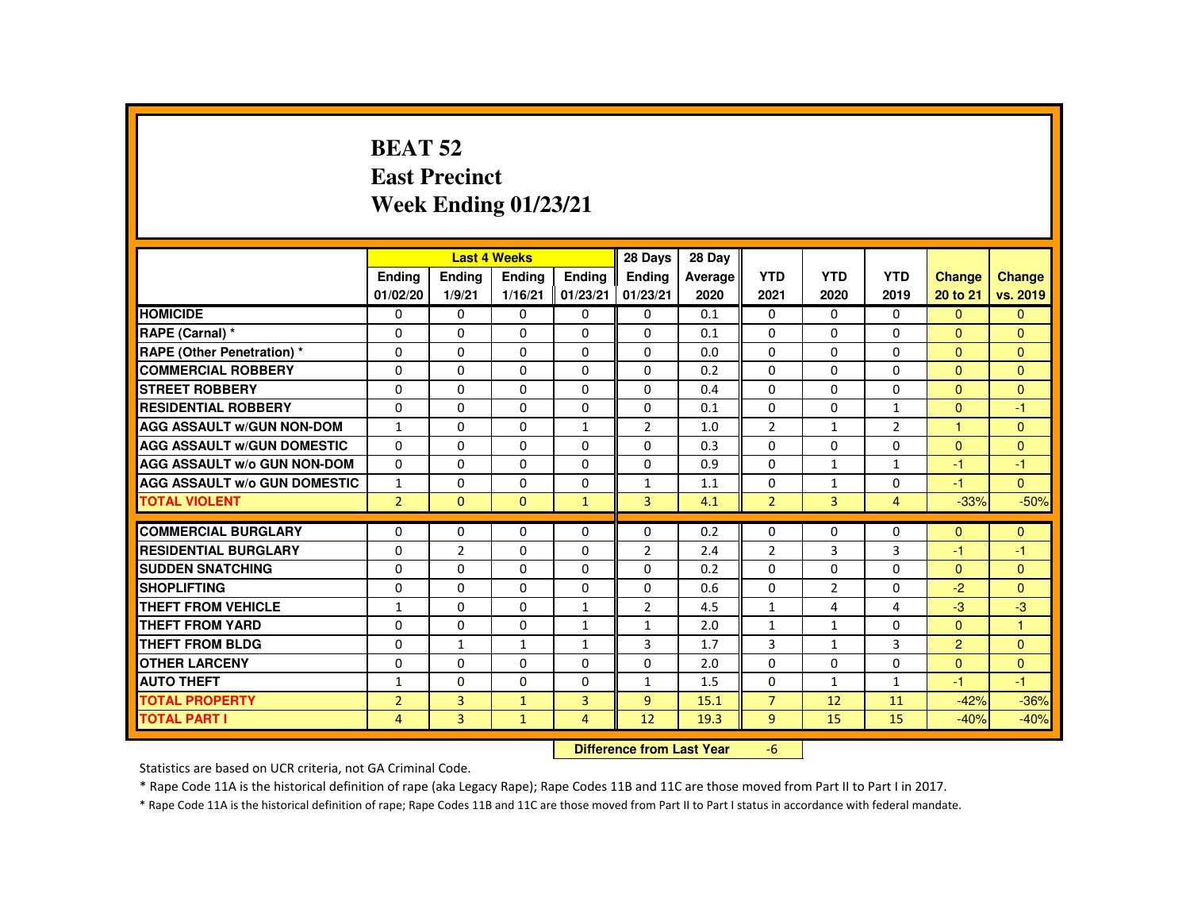### **BEAT 52 East PrecinctWeek Ending 01/23/21**

|                                     |                      |                | <b>Last 4 Weeks</b>              |               | 28 Days        | 28 Day     |                |                |                |                |                |
|-------------------------------------|----------------------|----------------|----------------------------------|---------------|----------------|------------|----------------|----------------|----------------|----------------|----------------|
|                                     | <b>Endina</b>        | <b>Endina</b>  | <b>Endina</b>                    | <b>Endina</b> | <b>Endina</b>  | Average    | <b>YTD</b>     | <b>YTD</b>     | <b>YTD</b>     | <b>Change</b>  | Change         |
|                                     | 01/02/20             | 1/9/21         | 1/16/21                          | 01/23/21      | 01/23/21       | 2020       | 2021           | 2020           | 2019           | 20 to 21       | vs. 2019       |
| <b>HOMICIDE</b>                     | 0                    | 0              | 0                                | 0             | 0              | 0.1        | 0              | $\Omega$       | $\mathbf{0}$   | $\Omega$       | $\mathbf{0}$   |
| RAPE (Carnal) *                     | $\Omega$             | $\Omega$       | $\Omega$                         | $\Omega$      | $\Omega$       | 0.1        | $\Omega$       | $\Omega$       | $\Omega$       | $\Omega$       | $\Omega$       |
| <b>RAPE (Other Penetration)*</b>    | $\Omega$             | $\Omega$       | $\Omega$                         | $\Omega$      | $\Omega$       | 0.0        | $\Omega$       | $\Omega$       | $\Omega$       | $\Omega$       | $\overline{0}$ |
| <b>COMMERCIAL ROBBERY</b>           | 0                    | 0              | $\Omega$                         | $\Omega$      | $\Omega$       | 0.2        | $\Omega$       | $\Omega$       | $\Omega$       | $\Omega$       | $\Omega$       |
| <b>STREET ROBBERY</b>               | $\Omega$             | $\Omega$       | $\Omega$                         | $\Omega$      | $\Omega$       | 0.4        | $\Omega$       | $\Omega$       | $\Omega$       | $\Omega$       | $\Omega$       |
| <b>RESIDENTIAL ROBBERY</b>          | $\Omega$             | $\Omega$       | $\Omega$                         | $\Omega$      | $\Omega$       | 0.1        | $\Omega$       | $\Omega$       | $\mathbf{1}$   | $\Omega$       | $-1$           |
| <b>AGG ASSAULT W/GUN NON-DOM</b>    | $\mathbf{1}$         | $\Omega$       | $\Omega$                         | $\mathbf{1}$  | $\overline{2}$ | 1.0        | $\overline{2}$ | $\mathbf{1}$   | $\overline{2}$ | $\overline{1}$ | $\Omega$       |
| <b>AGG ASSAULT W/GUN DOMESTIC</b>   | 0                    | 0              | 0                                | 0             | 0              | 0.3        | $\Omega$       | 0              | 0              | $\Omega$       | $\mathbf{0}$   |
| <b>AGG ASSAULT W/o GUN NON-DOM</b>  | $\Omega$             | $\Omega$       | $\Omega$                         | $\Omega$      | $\Omega$       | 0.9        | $\Omega$       | $\mathbf{1}$   | $\mathbf{1}$   | -1             | $-1$           |
| <b>AGG ASSAULT W/o GUN DOMESTIC</b> | $\mathbf{1}$         | $\Omega$       | $\Omega$                         | $\Omega$      | $\mathbf{1}$   | 1.1        | $\Omega$       | $\mathbf{1}$   | $\Omega$       | $-1$           | $\Omega$       |
| <b>TOTAL VIOLENT</b>                | $\overline{2}$       | $\Omega$       | $\Omega$                         | $\mathbf{1}$  | $\overline{3}$ | 4.1        | $\overline{2}$ | $\overline{3}$ | $\overline{4}$ | $-33%$         | $-50%$         |
| <b>COMMERCIAL BURGLARY</b>          | 0                    | 0              | $\Omega$                         | $\Omega$      | $\Omega$       | 0.2        | 0              | $\Omega$       | $\Omega$       | $\mathbf{0}$   | $\mathbf{0}$   |
| <b>RESIDENTIAL BURGLARY</b>         | $\Omega$             | $\overline{2}$ | $\Omega$                         | 0             | 2              | 2.4        | $\overline{2}$ | 3              | 3              | $-1$           | $-1$           |
| <b>SUDDEN SNATCHING</b>             |                      | $\Omega$       | $\Omega$                         | $\Omega$      | $\Omega$       |            | $\Omega$       | $\Omega$       | $\Omega$       | $\Omega$       | $\Omega$       |
| <b>SHOPLIFTING</b>                  | $\Omega$<br>$\Omega$ | $\Omega$       | $\Omega$                         | $\Omega$      | $\Omega$       | 0.2<br>0.6 | $\Omega$       | 2              | $\Omega$       | $-2$           | $\Omega$       |
| <b>THEFT FROM VEHICLE</b>           |                      | $\Omega$       | $\Omega$                         | $\mathbf{1}$  | $\overline{2}$ |            | $\mathbf{1}$   | 4              | 4              | $-3$           | $-3$           |
|                                     | $\mathbf{1}$         |                |                                  |               |                | 4.5        |                |                |                |                |                |
| <b>THEFT FROM YARD</b>              | $\Omega$             | $\Omega$       | $\Omega$                         | $\mathbf{1}$  | $\mathbf{1}$   | 2.0        | $\mathbf{1}$   | $\mathbf{1}$   | $\Omega$       | $\Omega$       | $\mathbf{1}$   |
| <b>THEFT FROM BLDG</b>              | $\Omega$             | $\mathbf{1}$   | $\mathbf{1}$                     | $\mathbf{1}$  | 3              | 1.7        | 3              | $\mathbf{1}$   | 3              | 2              | $\Omega$       |
| <b>OTHER LARCENY</b>                | $\Omega$             | $\Omega$       | $\Omega$                         | $\Omega$      | $\Omega$       | 2.0        | $\Omega$       | $\Omega$       | $\Omega$       | $\Omega$       | $\Omega$       |
| <b>AUTO THEFT</b>                   | $\mathbf{1}$         | $\Omega$       | $\Omega$                         | $\Omega$      | $\mathbf{1}$   | 1.5        | $\Omega$       | $\mathbf{1}$   | $\mathbf{1}$   | $-1$           | $-1$           |
| <b>TOTAL PROPERTY</b>               | $\overline{2}$       | 3              | $\mathbf{1}$                     | 3             | 9              | 15.1       | $\overline{7}$ | 12             | 11             | $-42%$         | $-36%$         |
| <b>TOTAL PART I</b>                 | $\overline{4}$       | $\overline{3}$ | $\mathbf{1}$                     | 4             | 12             | 19.3       | 9              | 15             | 15             | $-40%$         | $-40%$         |
|                                     |                      |                | <b>Difference from Last Year</b> |               | $-6$           |            |                |                |                |                |                |

Statistics are based on UCR criteria, not GA Criminal Code.

\* Rape Code 11A is the historical definition of rape (aka Legacy Rape); Rape Codes 11B and 11C are those moved from Part II to Part I in 2017.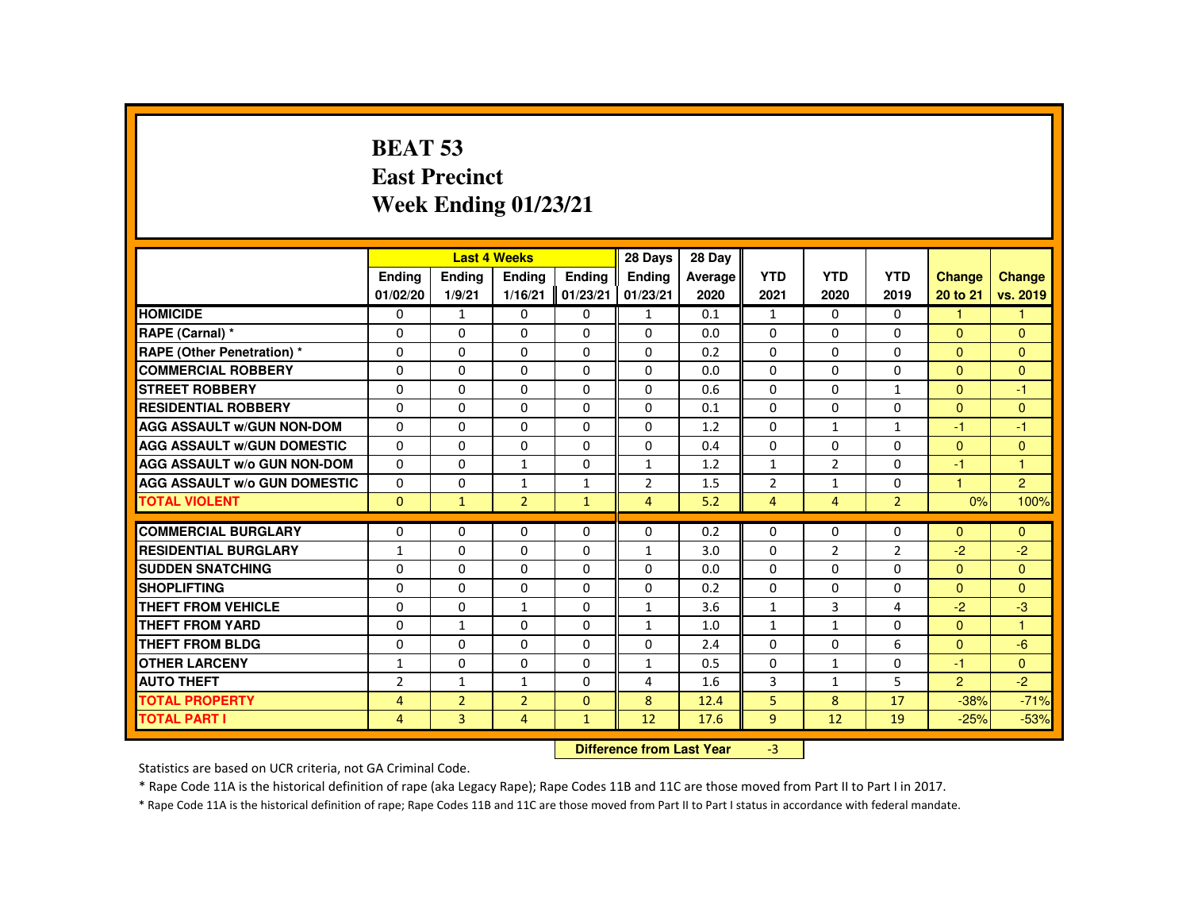# **BEAT 53 East PrecinctWeek Ending 01/23/21**

|                                     |                |                | <b>Last 4 Weeks</b> |              | 28 Days        | 28 Day  |                |                   |                |                      |                |
|-------------------------------------|----------------|----------------|---------------------|--------------|----------------|---------|----------------|-------------------|----------------|----------------------|----------------|
|                                     | <b>Endina</b>  | <b>Ending</b>  | <b>Ending</b>       | Ending       | <b>Endina</b>  | Average | <b>YTD</b>     | <b>YTD</b>        | <b>YTD</b>     | <b>Change</b>        | Change         |
|                                     | 01/02/20       | 1/9/21         | 1/16/21             | 01/23/21     | 01/23/21       | 2020    | 2021           | 2020              | 2019           | 20 to 21             | vs. 2019       |
| <b>HOMICIDE</b>                     | $\Omega$       | $\mathbf{1}$   | $\mathbf{0}$        | $\Omega$     | $\mathbf{1}$   | 0.1     | $\mathbf{1}$   | $\Omega$          | $\Omega$       | $\mathbf{1}$         | $\mathbf{1}$   |
| RAPE (Carnal) *                     | $\mathbf{0}$   | $\Omega$       | $\Omega$            | $\Omega$     | $\Omega$       | 0.0     | $\Omega$       | $\Omega$          | $\Omega$       | $\mathbf{0}$         | $\mathbf{0}$   |
| RAPE (Other Penetration) *          | $\Omega$       | $\Omega$       | $\Omega$            | $\Omega$     | $\Omega$       | 0.2     | $\Omega$       | $\Omega$          | $\Omega$       | $\Omega$             | $\mathbf{0}$   |
| <b>COMMERCIAL ROBBERY</b>           | $\mathbf{0}$   | $\Omega$       | $\Omega$            | $\Omega$     | 0              | 0.0     | $\Omega$       | $\Omega$          | 0              | $\overline{0}$       | $\mathbf{0}$   |
| <b>STREET ROBBERY</b>               | $\Omega$       | $\Omega$       | $\Omega$            | $\Omega$     | $\Omega$       | 0.6     | $\Omega$       | $\Omega$          | $\mathbf{1}$   | $\Omega$             | $-1$           |
| <b>RESIDENTIAL ROBBERY</b>          | $\mathbf{0}$   | $\Omega$       | $\mathbf{0}$        | 0            | 0              | 0.1     | 0              | 0                 | 0              | $\overline{0}$       | $\mathbf{0}$   |
| <b>AGG ASSAULT w/GUN NON-DOM</b>    | $\mathbf{0}$   | $\Omega$       | $\Omega$            | $\Omega$     | $\Omega$       | 1.2     | $\Omega$       | $\mathbf{1}$      | $\mathbf{1}$   | -1                   | $-1$           |
| <b>AGG ASSAULT W/GUN DOMESTIC</b>   | $\Omega$       | $\Omega$       | $\Omega$            | $\Omega$     | $\Omega$       | 0.4     | $\Omega$       | $\Omega$          | $\Omega$       | $\Omega$             | $\mathbf{0}$   |
| AGG ASSAULT w/o GUN NON-DOM         | $\Omega$       | $\Omega$       | $\mathbf{1}$        | $\Omega$     | $\mathbf{1}$   | 1.2     | $\mathbf{1}$   | $\overline{2}$    | $\Omega$       | $-1$                 | $\mathbf{1}$   |
| <b>AGG ASSAULT W/o GUN DOMESTIC</b> | $\Omega$       | $\Omega$       | $\mathbf{1}$        | $\mathbf{1}$ | $\overline{2}$ | 1.5     | $\overline{2}$ | $\mathbf{1}$      | $\Omega$       | $\blacktriangleleft$ | $\overline{2}$ |
| <b>TOTAL VIOLENT</b>                | $\mathbf{0}$   | $\mathbf{1}$   | $\overline{2}$      | $\mathbf{1}$ | $\overline{4}$ | 5.2     | $\overline{4}$ | $\overline{4}$    | $\overline{2}$ | 0%                   | 100%           |
| <b>COMMERCIAL BURGLARY</b>          | $\mathbf{0}$   | $\Omega$       | $\Omega$            | $\Omega$     | $\Omega$       | 0.2     | $\Omega$       | $\Omega$          | $\Omega$       | $\Omega$             | $\Omega$       |
| <b>RESIDENTIAL BURGLARY</b>         | $\mathbf{1}$   | $\Omega$       | $\Omega$            | $\Omega$     | $\mathbf{1}$   | 3.0     | $\Omega$       | $\overline{2}$    | $\overline{2}$ | $-2$                 | $-2$           |
| <b>SUDDEN SNATCHING</b>             | $\Omega$       | $\Omega$       | $\Omega$            | $\Omega$     | $\Omega$       | 0.0     | $\Omega$       | $\Omega$          | $\Omega$       | $\mathbf{0}$         | $\overline{0}$ |
| <b>SHOPLIFTING</b>                  | $\Omega$       | $\Omega$       | $\Omega$            | $\Omega$     | $\Omega$       | 0.2     | $\Omega$       | $\Omega$          | $\Omega$       | $\Omega$             | $\Omega$       |
| <b>THEFT FROM VEHICLE</b>           | $\Omega$       | $\Omega$       | $\mathbf{1}$        | $\Omega$     | $\mathbf{1}$   | 3.6     | $\mathbf{1}$   | $\overline{3}$    | 4              | $-2$                 | $-3$           |
| <b>THEFT FROM YARD</b>              | $\Omega$       | $\mathbf{1}$   | $\Omega$            | $\mathbf{0}$ | $\mathbf{1}$   | 1.0     | $\mathbf{1}$   | $\mathbf{1}$      | $\Omega$       | $\Omega$             | $\mathbf{1}$   |
| <b>THEFT FROM BLDG</b>              | $\Omega$       | $\Omega$       | $\mathbf{0}$        | $\mathbf{0}$ | 0              | 2.4     | $\Omega$       | 0                 | 6              | $\overline{0}$       | $-6$           |
| <b>OTHER LARCENY</b>                | 1              | $\Omega$       | $\Omega$            | $\Omega$     | $\mathbf{1}$   | 0.5     | $\Omega$       | $\mathbf{1}$      | $\Omega$       | $-1$                 | $\Omega$       |
| <b>AUTO THEFT</b>                   | $\overline{2}$ | $\mathbf{1}$   | $\mathbf{1}$        | $\Omega$     | 4              | 1.6     | 3              | $\mathbf{1}$      | 5              | $\overline{2}$       | $-2$           |
| <b>TOTAL PROPERTY</b>               | $\overline{4}$ | $\overline{2}$ | $\overline{2}$      | $\mathbf{0}$ | 8              | 12.4    | 5              | 8                 | 17             | $-38%$               | $-71%$         |
| <b>TOTAL PART I</b>                 | 4              | 3              | $\overline{4}$      | $\mathbf{1}$ | 12             | 17.6    | 9              | $12 \overline{ }$ | 19             | $-25%$               | $-53%$         |
|                                     |                |                |                     |              |                |         |                |                   |                |                      |                |

 **Difference from Last Year**r  $-3$ 

Statistics are based on UCR criteria, not GA Criminal Code.

\* Rape Code 11A is the historical definition of rape (aka Legacy Rape); Rape Codes 11B and 11C are those moved from Part II to Part I in 2017.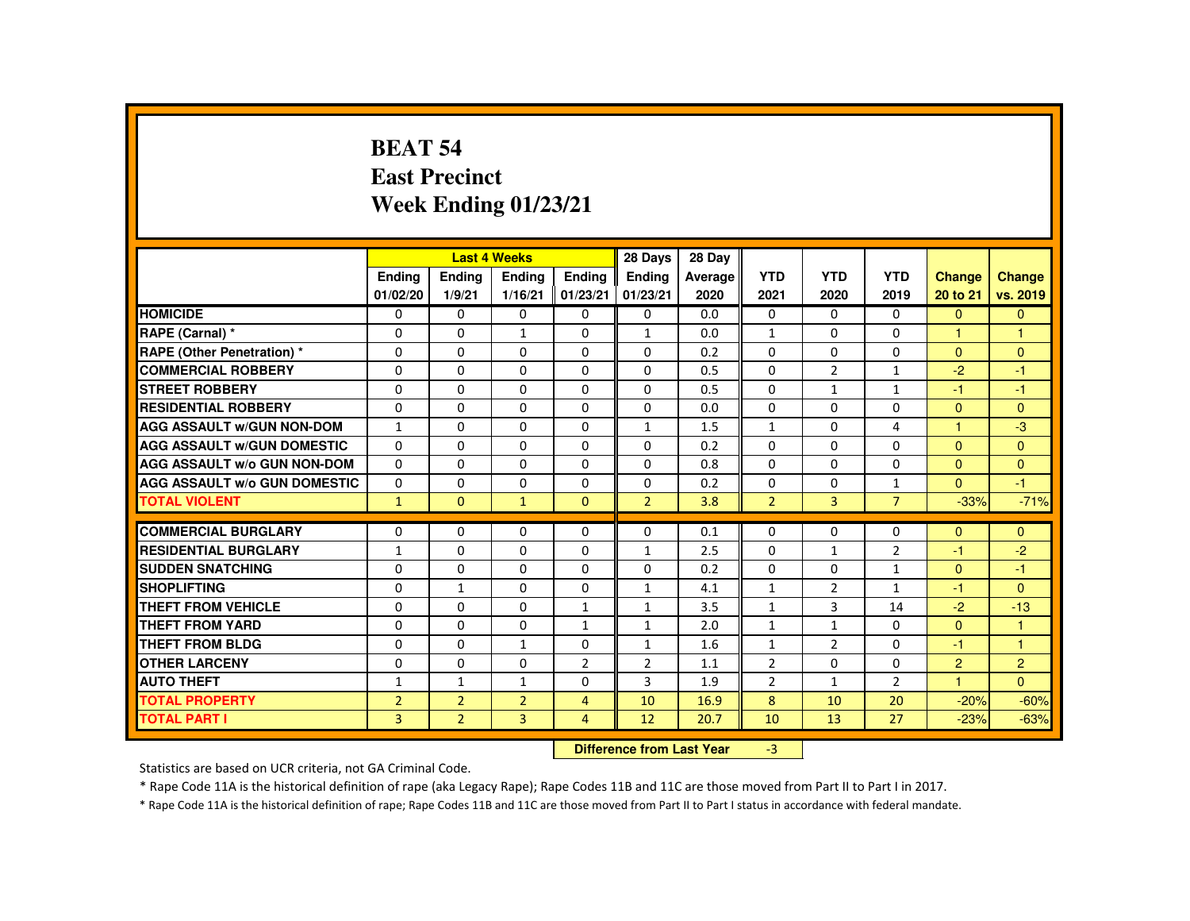#### **BEAT 54 East PrecinctWeek Ending 01/23/21**

|                                     |                      |                | <b>Last 4 Weeks</b>              |                | 28 Days                      | 28 Day     |                              |                |                              |                      |                |
|-------------------------------------|----------------------|----------------|----------------------------------|----------------|------------------------------|------------|------------------------------|----------------|------------------------------|----------------------|----------------|
|                                     | <b>Endina</b>        | <b>Endina</b>  | <b>Endina</b>                    | <b>Endina</b>  | <b>Endina</b>                | Average    | <b>YTD</b>                   | <b>YTD</b>     | <b>YTD</b>                   | <b>Change</b>        | <b>Change</b>  |
|                                     | 01/02/20             | 1/9/21         | 1/16/21                          | 01/23/21       | 01/23/21                     | 2020       | 2021                         | 2020           | 2019                         | 20 to 21             | vs. 2019       |
| <b>HOMICIDE</b>                     | 0                    | 0              | 0                                | 0              | 0                            | 0.0        | 0                            | $\Omega$       | $\mathbf{0}$                 | $\Omega$             | $\mathbf{0}$   |
| RAPE (Carnal) *                     | $\Omega$             | $\Omega$       | $\mathbf{1}$                     | $\Omega$       | $\mathbf{1}$                 | 0.0        | $\mathbf{1}$                 | $\Omega$       | $\Omega$                     | 1                    | 1              |
| <b>RAPE (Other Penetration)*</b>    | $\Omega$             | $\Omega$       | $\Omega$                         | $\Omega$       | $\Omega$                     | 0.2        | $\Omega$                     | $\Omega$       | $\Omega$                     | $\Omega$             | $\mathbf{0}$   |
| <b>COMMERCIAL ROBBERY</b>           | 0                    | 0              | $\Omega$                         | $\Omega$       | $\Omega$                     | 0.5        | $\Omega$                     | $\overline{2}$ | $\mathbf{1}$                 | $-2$                 | $-1$           |
| <b>STREET ROBBERY</b>               | $\Omega$             | $\Omega$       | $\Omega$                         | $\Omega$       | $\Omega$                     | 0.5        | $\Omega$                     | $\mathbf{1}$   | $\mathbf{1}$                 | $-1$                 | $-1$           |
| <b>RESIDENTIAL ROBBERY</b>          | $\Omega$             | $\Omega$       | $\Omega$                         | $\Omega$       | $\Omega$                     | 0.0        | $\Omega$                     | $\Omega$       | $\Omega$                     | $\Omega$             | $\mathbf{0}$   |
| <b>AGG ASSAULT W/GUN NON-DOM</b>    | $\mathbf{1}$         | $\Omega$       | $\Omega$                         | $\Omega$       | $\mathbf{1}$                 | 1.5        | $\mathbf{1}$                 | $\Omega$       | 4                            | $\overline{1}$       | $-3$           |
| <b>AGG ASSAULT W/GUN DOMESTIC</b>   | 0                    | 0              | 0                                | 0              | 0                            | 0.2        | $\Omega$                     | 0              | 0                            | $\Omega$             | $\mathbf{0}$   |
| <b>AGG ASSAULT W/o GUN NON-DOM</b>  | $\Omega$             | $\Omega$       | $\Omega$                         | $\Omega$       | $\Omega$                     | 0.8        | $\Omega$                     | $\Omega$       | $\Omega$                     | $\Omega$             | $\Omega$       |
| <b>AGG ASSAULT W/o GUN DOMESTIC</b> | $\Omega$             | $\Omega$       | $\Omega$                         | $\Omega$       | $\Omega$                     | 0.2        | $\Omega$                     | $\Omega$       | $\mathbf{1}$                 | $\Omega$             | $-1$           |
| <b>TOTAL VIOLENT</b>                | $\mathbf{1}$         | $\Omega$       | $\mathbf{1}$                     | $\Omega$       | $\overline{2}$               | 3.8        | $\overline{2}$               | $\overline{3}$ | $\overline{7}$               | $-33%$               | $-71%$         |
| <b>COMMERCIAL BURGLARY</b>          | 0                    | $\Omega$       | $\Omega$                         | $\Omega$       | 0                            | 0.1        | $\Omega$                     | $\Omega$       | $\Omega$                     | $\mathbf{0}$         | $\mathbf{0}$   |
| <b>RESIDENTIAL BURGLARY</b>         | $\mathbf{1}$         | 0              | $\Omega$                         | 0              | $\mathbf{1}$                 | 2.5        | $\Omega$                     | $\mathbf{1}$   | $\overline{2}$               | $-1$                 | $-2$           |
| <b>SUDDEN SNATCHING</b>             |                      | $\Omega$       | $\Omega$                         | $\Omega$       | $\Omega$                     |            | $\Omega$                     | $\Omega$       |                              | $\Omega$             | $-1$           |
| <b>SHOPLIFTING</b>                  | $\Omega$<br>$\Omega$ | $\mathbf{1}$   | $\Omega$                         | $\Omega$       |                              | 0.2<br>4.1 |                              |                | $\mathbf{1}$<br>$\mathbf{1}$ |                      | $\Omega$       |
| <b>THEFT FROM VEHICLE</b>           | $\Omega$             | $\Omega$       | $\Omega$                         | $\mathbf{1}$   | $\mathbf{1}$<br>$\mathbf{1}$ | 3.5        | $\mathbf{1}$<br>$\mathbf{1}$ | 2<br>3         | 14                           | $-1$<br>$-2$         | $-13$          |
|                                     |                      |                |                                  |                |                              |            |                              |                |                              |                      |                |
| <b>THEFT FROM YARD</b>              | $\Omega$             | $\Omega$       | $\Omega$                         | $\mathbf{1}$   | $\mathbf{1}$                 | 2.0        | $\mathbf{1}$                 | $\mathbf{1}$   | $\Omega$                     | $\Omega$             | $\mathbf{1}$   |
| <b>THEFT FROM BLDG</b>              | $\Omega$             | 0              | $\mathbf{1}$                     | $\Omega$       | $\mathbf{1}$                 | 1.6        | $\mathbf{1}$                 | $\overline{2}$ | $\Omega$                     | $-1$                 | $\overline{1}$ |
| <b>OTHER LARCENY</b>                | $\Omega$             | $\Omega$       | $\Omega$                         | $\overline{2}$ | $\overline{2}$               | 1.1        | $\overline{2}$               | $\Omega$       | $\Omega$                     | $\overline{2}$       | 2              |
| <b>AUTO THEFT</b>                   | $\mathbf{1}$         | $\mathbf{1}$   | $\mathbf{1}$                     | $\Omega$       | 3                            | 1.9        | $\overline{2}$               | $\mathbf{1}$   | $\overline{2}$               | $\blacktriangleleft$ | $\Omega$       |
| <b>TOTAL PROPERTY</b>               | $\overline{2}$       | $\overline{2}$ | $\overline{2}$                   | $\overline{4}$ | 10                           | 16.9       | 8                            | 10             | 20                           | $-20%$               | $-60%$         |
| <b>TOTAL PART I</b>                 | $\overline{3}$       | $\overline{2}$ | $\overline{3}$                   | $\overline{4}$ | 12                           | 20.7       | 10                           | 13             | 27                           | $-23%$               | $-63%$         |
|                                     |                      |                | <b>Difference from Last Year</b> |                | $-3$                         |            |                              |                |                              |                      |                |

Statistics are based on UCR criteria, not GA Criminal Code.

\* Rape Code 11A is the historical definition of rape (aka Legacy Rape); Rape Codes 11B and 11C are those moved from Part II to Part I in 2017.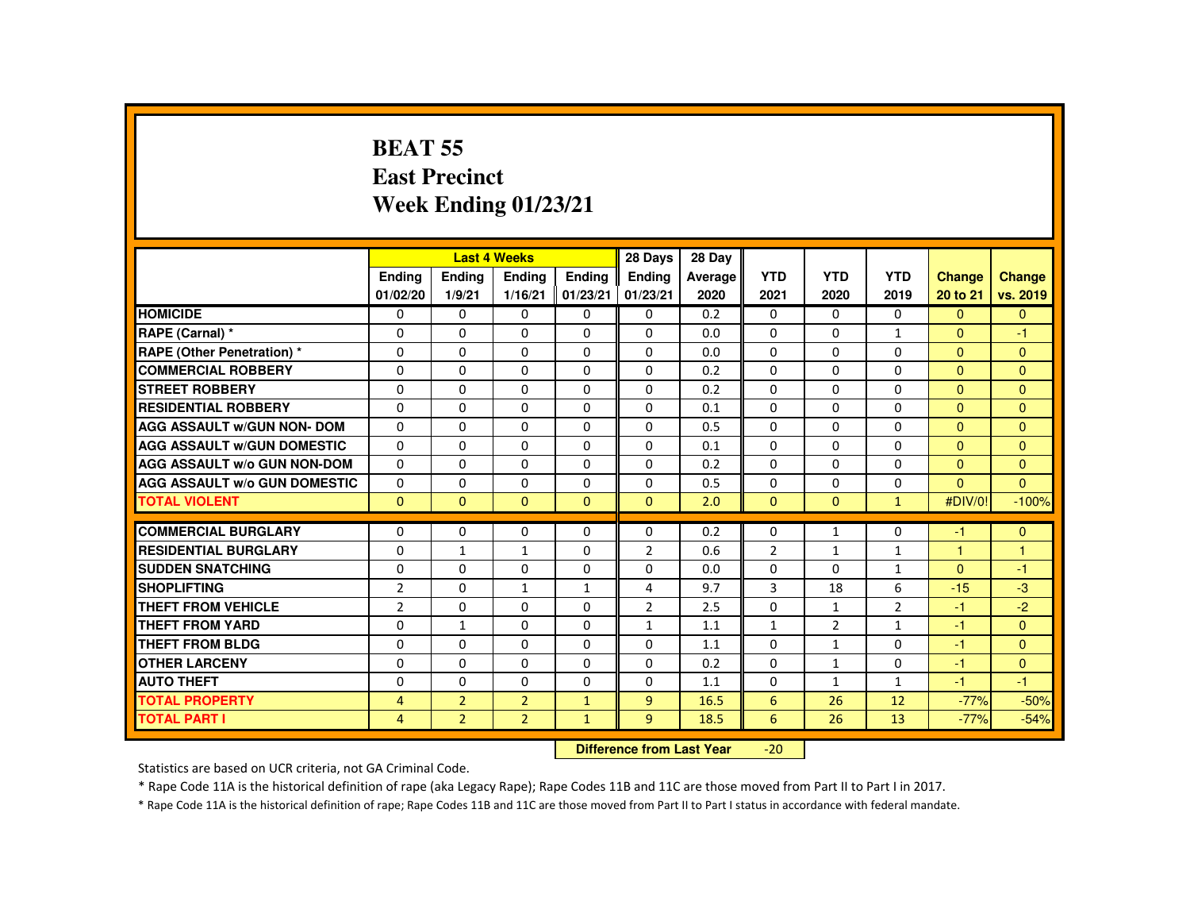## **BEAT 55 East PrecinctWeek Ending 01/23/21**

|                                     |                |                | <b>Last 4 Weeks</b> |              | 28 Days        | 28 Day  |                 |                |                |               |                |
|-------------------------------------|----------------|----------------|---------------------|--------------|----------------|---------|-----------------|----------------|----------------|---------------|----------------|
|                                     | <b>Ending</b>  | <b>Ending</b>  | <b>Ending</b>       | Ending       | Ending         | Average | <b>YTD</b>      | <b>YTD</b>     | <b>YTD</b>     | <b>Change</b> | <b>Change</b>  |
|                                     | 01/02/20       | 1/9/21         | 1/16/21             | 01/23/21     | 01/23/21       | 2020    | 2021            | 2020           | 2019           | 20 to 21      | vs. 2019       |
| <b>HOMICIDE</b>                     | 0              | $\Omega$       | $\mathbf{0}$        | $\mathbf{0}$ | 0              | 0.2     | $\Omega$        | $\mathbf{0}$   | $\mathbf{0}$   | $\mathbf{0}$  | $\overline{0}$ |
| RAPE (Carnal) *                     | 0              | $\Omega$       | $\Omega$            | $\Omega$     | $\Omega$       | 0.0     | $\Omega$        | 0              | $\mathbf{1}$   | $\mathbf{0}$  | $-1$           |
| RAPE (Other Penetration) *          | $\Omega$       | $\Omega$       | $\Omega$            | $\Omega$     | $\Omega$       | 0.0     | $\Omega$        | $\Omega$       | $\Omega$       | $\Omega$      | $\mathbf{0}$   |
| <b>COMMERCIAL ROBBERY</b>           | $\Omega$       | $\Omega$       | $\Omega$            | $\Omega$     | $\Omega$       | 0.2     | $\Omega$        | $\Omega$       | $\Omega$       | $\Omega$      | $\Omega$       |
| <b>STREET ROBBERY</b>               | $\Omega$       | $\Omega$       | $\Omega$            | $\Omega$     | $\Omega$       | 0.2     | $\Omega$        | $\Omega$       | $\Omega$       | $\Omega$      | $\Omega$       |
| <b>RESIDENTIAL ROBBERY</b>          | $\Omega$       | $\Omega$       | $\Omega$            | $\Omega$     | $\Omega$       | 0.1     | $\Omega$        | $\Omega$       | $\Omega$       | $\mathbf{0}$  | $\mathbf{0}$   |
| <b>AGG ASSAULT W/GUN NON- DOM</b>   | $\Omega$       | $\Omega$       | $\Omega$            | $\Omega$     | $\Omega$       | 0.5     | $\Omega$        | $\Omega$       | $\Omega$       | $\Omega$      | $\Omega$       |
| <b>AGG ASSAULT W/GUN DOMESTIC</b>   | $\Omega$       | $\Omega$       | $\Omega$            | $\Omega$     | $\Omega$       | 0.1     | $\Omega$        | $\Omega$       | $\Omega$       | $\Omega$      | $\mathbf{0}$   |
| <b>AGG ASSAULT w/o GUN NON-DOM</b>  | $\Omega$       | $\Omega$       | $\Omega$            | $\Omega$     | $\Omega$       | 0.2     | $\Omega$        | $\Omega$       | $\Omega$       | $\Omega$      | $\mathbf{0}$   |
| <b>AGG ASSAULT W/o GUN DOMESTIC</b> | $\Omega$       | $\Omega$       | $\Omega$            | $\Omega$     | $\Omega$       | 0.5     | $\Omega$        | $\Omega$       | $\Omega$       | $\Omega$      | $\Omega$       |
| <b>TOTAL VIOLENT</b>                | $\mathbf{0}$   | $\Omega$       | $\mathbf{0}$        | $\mathbf{0}$ | $\mathbf{0}$   | 2.0     | $\mathbf{0}$    | $\mathbf{0}$   | $\mathbf{1}$   | #DIV/0!       | $-100%$        |
| <b>COMMERCIAL BURGLARY</b>          | $\Omega$       | $\Omega$       | $\Omega$            | $\Omega$     | $\Omega$       | 0.2     | $\Omega$        | $\mathbf{1}$   | $\Omega$       | $-1$          | $\mathbf{0}$   |
| <b>RESIDENTIAL BURGLARY</b>         | $\Omega$       | $\mathbf{1}$   | $\mathbf{1}$        | $\Omega$     | $\overline{2}$ | 0.6     | $\overline{2}$  | $\mathbf{1}$   | $\mathbf{1}$   | $\mathbf{1}$  | 1              |
| <b>SUDDEN SNATCHING</b>             | 0              | $\Omega$       | $\Omega$            | 0            | 0              | 0.0     | 0               | $\Omega$       | $\mathbf{1}$   | $\mathbf{0}$  | $-1$           |
| <b>SHOPLIFTING</b>                  | $\overline{2}$ | $\Omega$       | $\mathbf{1}$        | $\mathbf{1}$ | 4              | 9.7     | 3               | 18             | 6              | $-15$         | $-3$           |
| <b>THEFT FROM VEHICLE</b>           | $\overline{2}$ | $\Omega$       | $\Omega$            | $\Omega$     | $\overline{2}$ | 2.5     | 0               | $\mathbf{1}$   | $\overline{2}$ | $-1$          | $-2$           |
| <b>THEFT FROM YARD</b>              | $\Omega$       | $\mathbf{1}$   | $\Omega$            | $\Omega$     | $\mathbf{1}$   | 1.1     | $\mathbf{1}$    | $\overline{2}$ | $\mathbf{1}$   | $-1$          | $\Omega$       |
| <b>THEFT FROM BLDG</b>              | $\Omega$       | $\Omega$       | $\Omega$            | $\Omega$     | $\Omega$       | 1.1     | $\Omega$        | $\mathbf{1}$   | $\Omega$       | $-1$          | $\mathbf{0}$   |
| <b>OTHER LARCENY</b>                | $\Omega$       | $\Omega$       | $\Omega$            | $\Omega$     | $\Omega$       | 0.2     | $\Omega$        | $\mathbf{1}$   | $\Omega$       | $-1$          | $\Omega$       |
| <b>AUTO THEFT</b>                   | $\Omega$       | $\Omega$       | $\Omega$            | $\Omega$     | $\Omega$       | 1.1     | $\Omega$        | $\mathbf{1}$   | $\mathbf{1}$   | $-1$          | $-1$           |
| <b>TOTAL PROPERTY</b>               | $\overline{4}$ | $\overline{2}$ | $\overline{2}$      | $\mathbf{1}$ | 9              | 16.5    | $6\phantom{1}6$ | 26             | 12             | $-77%$        | $-50%$         |
| <b>TOTAL PART I</b>                 | $\overline{4}$ | 2 <sup>1</sup> | $\overline{2}$      | $\mathbf{1}$ | 9              | 18.5    | 6               | 26             | 13             | $-77%$        | $-54%$         |
|                                     |                |                |                     |              |                |         |                 |                |                |               |                |

 **Difference from Last Year**-20

Statistics are based on UCR criteria, not GA Criminal Code.

\* Rape Code 11A is the historical definition of rape (aka Legacy Rape); Rape Codes 11B and 11C are those moved from Part II to Part I in 2017.